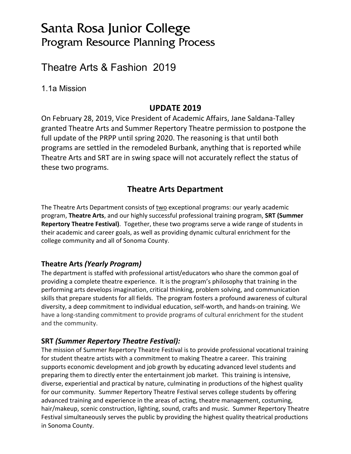# Santa Rosa Junior College Program Resource Planning Process

# Theatre Arts & Fashion 2019

1.1a Mission

# **UPDATE 2019**

On February 28, 2019, Vice President of Academic Affairs, Jane Saldana-Talley granted Theatre Arts and Summer Repertory Theatre permission to postpone the full update of the PRPP until spring 2020. The reasoning is that until both programs are settled in the remodeled Burbank, anything that is reported while Theatre Arts and SRT are in swing space will not accurately reflect the status of these two programs.

# **Theatre Arts Department**

The Theatre Arts Department consists of two exceptional programs: our yearly academic program, **Theatre Arts**, and our highly successful professional training program, **SRT (Summer Repertory Theatre Festival)**. Together, these two programs serve a wide range of students in their academic and career goals, as well as providing dynamic cultural enrichment for the college community and all of Sonoma County.

### **Theatre Arts** *(Yearly Program)*

The department is staffed with professional artist/educators who share the common goal of providing a complete theatre experience. It is the program's philosophy that training in the performing arts develops imagination, critical thinking, problem solving, and communication skills that prepare students for all fields. The program fosters a profound awareness of cultural diversity, a deep commitment to individual education, self-worth, and hands-on training. We have a long-standing commitment to provide programs of cultural enrichment for the student and the community.

### **SRT** *(Summer Repertory Theatre Festival):*

The mission of Summer Repertory Theatre Festival is to provide professional vocational training for student theatre artists with a commitment to making Theatre a career. This training supports economic development and job growth by educating advanced level students and preparing them to directly enter the entertainment job market. This training is intensive, diverse, experiential and practical by nature, culminating in productions of the highest quality for our community. Summer Repertory Theatre Festival serves college students by offering advanced training and experience in the areas of acting, theatre management, costuming, hair/makeup, scenic construction, lighting, sound, crafts and music. Summer Repertory Theatre Festival simultaneously serves the public by providing the highest quality theatrical productions in Sonoma County.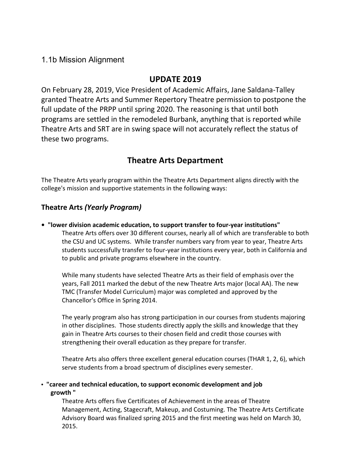### 1.1b Mission Alignment

## **UPDATE 2019**

On February 28, 2019, Vice President of Academic Affairs, Jane Saldana-Talley granted Theatre Arts and Summer Repertory Theatre permission to postpone the full update of the PRPP until spring 2020. The reasoning is that until both programs are settled in the remodeled Burbank, anything that is reported while Theatre Arts and SRT are in swing space will not accurately reflect the status of these two programs.

# **Theatre Arts Department**

The Theatre Arts yearly program within the Theatre Arts Department aligns directly with the college's mission and supportive statements in the following ways:

### **Theatre Arts** *(Yearly Program)*

**• "lower division academic education, to support transfer to four-year institutions"** Theatre Arts offers over 30 different courses, nearly all of which are transferable to both the CSU and UC systems. While transfer numbers vary from year to year, Theatre Arts students successfully transfer to four-year institutions every year, both in California and to public and private programs elsewhere in the country.

While many students have selected Theatre Arts as their field of emphasis over the years, Fall 2011 marked the debut of the new Theatre Arts major (local AA). The new TMC (Transfer Model Curriculum) major was completed and approved by the Chancellor's Office in Spring 2014.

The yearly program also has strong participation in our courses from students majoring in other disciplines. Those students directly apply the skills and knowledge that they gain in Theatre Arts courses to their chosen field and credit those courses with strengthening their overall education as they prepare for transfer.

Theatre Arts also offers three excellent general education courses (THAR 1, 2, 6), which serve students from a broad spectrum of disciplines every semester.

**• "career and technical education, to support economic development and job growth "**

Theatre Arts offers five Certificates of Achievement in the areas of Theatre Management, Acting, Stagecraft, Makeup, and Costuming. The Theatre Arts Certificate Advisory Board was finalized spring 2015 and the first meeting was held on March 30, 2015.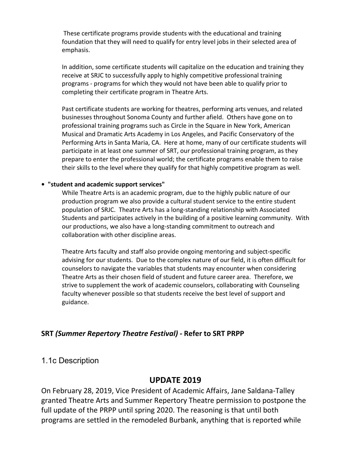These certificate programs provide students with the educational and training foundation that they will need to qualify for entry level jobs in their selected area of emphasis.

In addition, some certificate students will capitalize on the education and training they receive at SRJC to successfully apply to highly competitive professional training programs - programs for which they would not have been able to qualify prior to completing their certificate program in Theatre Arts.

Past certificate students are working for theatres, performing arts venues, and related businesses throughout Sonoma County and further afield. Others have gone on to professional training programs such as Circle in the Square in New York, American Musical and Dramatic Arts Academy in Los Angeles, and Pacific Conservatory of the Performing Arts in Santa Maria, CA. Here at home, many of our certificate students will participate in at least one summer of SRT, our professional training program, as they prepare to enter the professional world; the certificate programs enable them to raise their skills to the level where they qualify for that highly competitive program as well.

#### **• "student and academic support services"**

While Theatre Arts is an academic program, due to the highly public nature of our production program we also provide a cultural student service to the entire student population of SRJC. Theatre Arts has a long-standing relationship with Associated Students and participates actively in the building of a positive learning community. With our productions, we also have a long-standing commitment to outreach and collaboration with other discipline areas.

Theatre Arts faculty and staff also provide ongoing mentoring and subject-specific advising for our students. Due to the complex nature of our field, it is often difficult for counselors to navigate the variables that students may encounter when considering Theatre Arts as their chosen field of student and future career area. Therefore, we strive to supplement the work of academic counselors, collaborating with Counseling faculty whenever possible so that students receive the best level of support and guidance.

#### **SRT** *(Summer Repertory Theatre Festival) -* **Refer to SRT PRPP**

### 1.1c Description

### **UPDATE 2019**

On February 28, 2019, Vice President of Academic Affairs, Jane Saldana-Talley granted Theatre Arts and Summer Repertory Theatre permission to postpone the full update of the PRPP until spring 2020. The reasoning is that until both programs are settled in the remodeled Burbank, anything that is reported while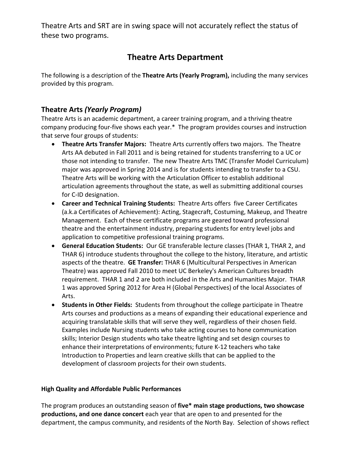Theatre Arts and SRT are in swing space will not accurately reflect the status of these two programs.

# **Theatre Arts Department**

The following is a description of the **Theatre Arts (Yearly Program),** including the many services provided by this program.

### **Theatre Arts** *(Yearly Program)*

Theatre Arts is an academic department, a career training program, and a thriving theatre company producing four-five shows each year.\* The program provides courses and instruction that serve four groups of students:

- **Theatre Arts Transfer Majors:** Theatre Arts currently offers two majors. The Theatre Arts AA debuted in Fall 2011 and is being retained for students transferring to a UC or those not intending to transfer. The new Theatre Arts TMC (Transfer Model Curriculum) major was approved in Spring 2014 and is for students intending to transfer to a CSU. Theatre Arts will be working with the Articulation Officer to establish additional articulation agreements throughout the state, as well as submitting additional courses for C-ID designation.
- **Career and Technical Training Students:** Theatre Arts offers five Career Certificates (a.k.a Certificates of Achievement): Acting, Stagecraft, Costuming, Makeup, and Theatre Management. Each of these certificate programs are geared toward professional theatre and the entertainment industry, preparing students for entry level jobs and application to competitive professional training programs.
- **General Education Students:** Our GE transferable lecture classes (THAR 1, THAR 2, and THAR 6) introduce students throughout the college to the history, literature, and artistic aspects of the theatre. **GE Transfer:** THAR 6 (Multicultural Perspectives in American Theatre) was approved Fall 2010 to meet UC Berkeley's American Cultures breadth requirement. THAR 1 and 2 are both included in the Arts and Humanities Major. THAR 1 was approved Spring 2012 for Area H (Global Perspectives) of the local Associates of Arts.
- **Students in Other Fields:** Students from throughout the college participate in Theatre Arts courses and productions as a means of expanding their educational experience and acquiring translatable skills that will serve they well, regardless of their chosen field. Examples include Nursing students who take acting courses to hone communication skills; Interior Design students who take theatre lighting and set design courses to enhance their interpretations of environments; future K-12 teachers who take Introduction to Properties and learn creative skills that can be applied to the development of classroom projects for their own students.

#### **High Quality and Affordable Public Performances**

The program produces an outstanding season of **five\* main stage productions, two showcase productions, and one dance concert** each year that are open to and presented for the department, the campus community, and residents of the North Bay. Selection of shows reflect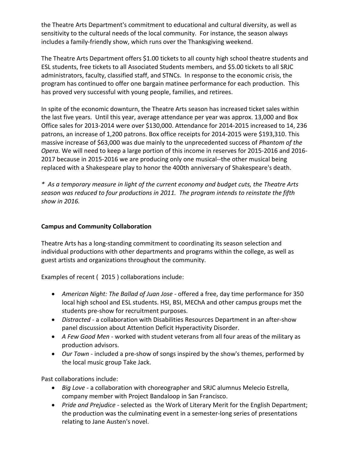the Theatre Arts Department's commitment to educational and cultural diversity, as well as sensitivity to the cultural needs of the local community. For instance, the season always includes a family-friendly show, which runs over the Thanksgiving weekend.

The Theatre Arts Department offers \$1.00 tickets to all county high school theatre students and ESL students, free tickets to all Associated Students members, and \$5.00 tickets to all SRJC administrators, faculty, classified staff, and STNCs. In response to the economic crisis, the program has continued to offer one bargain matinee performance for each production. This has proved very successful with young people, families, and retirees.

In spite of the economic downturn, the Theatre Arts season has increased ticket sales within the last five years. Until this year, average attendance per year was approx. 13,000 and Box Office sales for 2013-2014 were over \$130,000. Attendance for 2014-2015 increased to 14, 236 patrons, an increase of 1,200 patrons. Box office receipts for 2014-2015 were \$193,310. This massive increase of \$63,000 was due mainly to the unprecedented success of *Phantom of the Opera.* We will need to keep a large portion of this income in reserves for 2015-2016 and 2016- 2017 because in 2015-2016 we are producing only one musical--the other musical being replaced with a Shakespeare play to honor the 400th anniversary of Shakespeare's death.

*\* As a temporary measure in light of the current economy and budget cuts, the Theatre Arts season was reduced to four productions in 2011. The program intends to reinstate the fifth show in 2016.*

#### **Campus and Community Collaboration**

Theatre Arts has a long-standing commitment to coordinating its season selection and individual productions with other departments and programs within the college, as well as guest artists and organizations throughout the community.

Examples of recent ( 2015 ) collaborations include:

- *American Night: The Ballad of Juan Jose -* offered a free, day time performance for 350 local high school and ESL students. HSI, BSI, MEChA and other campus groups met the students pre-show for recruitment purposes.
- *Distracted* a collaboration with Disabilities Resources Department in an after-show panel discussion about Attention Deficit Hyperactivity Disorder.
- *A Few Good Men* worked with student veterans from all four areas of the military as production advisors.
- *Our Town* included a pre-show of songs inspired by the show's themes, performed by the local music group Take Jack.

Past collaborations include:

- *Big Love* a collaboration with choreographer and SRJC alumnus Melecio Estrella, company member with Project Bandaloop in San Francisco.
- *Pride and Prejudice* selected as the Work of Literary Merit for the English Department; the production was the culminating event in a semester-long series of presentations relating to Jane Austen's novel.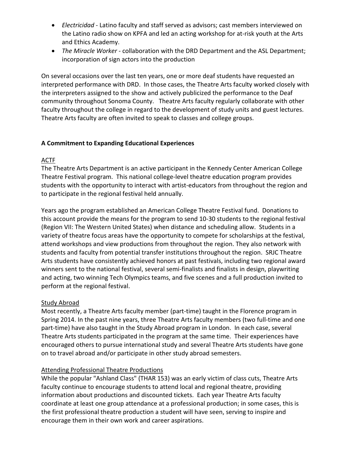- *Electricidad* Latino faculty and staff served as advisors; cast members interviewed on the Latino radio show on KPFA and led an acting workshop for at-risk youth at the Arts and Ethics Academy.
- *The Miracle Worker* collaboration with the DRD Department and the ASL Department; incorporation of sign actors into the production

On several occasions over the last ten years, one or more deaf students have requested an interpreted performance with DRD. In those cases, the Theatre Arts faculty worked closely with the interpreters assigned to the show and actively publicized the performance to the Deaf community throughout Sonoma County. Theatre Arts faculty regularly collaborate with other faculty throughout the college in regard to the development of study units and guest lectures. Theatre Arts faculty are often invited to speak to classes and college groups.

#### **A Commitment to Expanding Educational Experiences**

#### ACTF

The Theatre Arts Department is an active participant in the Kennedy Center American College Theatre Festival program. This national college-level theatre education program provides students with the opportunity to interact with artist-educators from throughout the region and to participate in the regional festival held annually.

Years ago the program established an American College Theatre Festival fund. Donations to this account provide the means for the program to send 10-30 students to the regional festival (Region VII: The Western United States) when distance and scheduling allow. Students in a variety of theatre focus areas have the opportunity to compete for scholarships at the festival, attend workshops and view productions from throughout the region. They also network with students and faculty from potential transfer institutions throughout the region. SRJC Theatre Arts students have consistently achieved honors at past festivals, including two regional award winners sent to the national festival, several semi-finalists and finalists in design, playwriting and acting, two winning Tech Olympics teams, and five scenes and a full production invited to perform at the regional festival.

#### Study Abroad

Most recently, a Theatre Arts faculty member (part-time) taught in the Florence program in Spring 2014. In the past nine years, three Theatre Arts faculty members (two full-time and one part-time) have also taught in the Study Abroad program in London. In each case, several Theatre Arts students participated in the program at the same time. Their experiences have encouraged others to pursue international study and several Theatre Arts students have gone on to travel abroad and/or participate in other study abroad semesters.

#### Attending Professional Theatre Productions

While the popular "Ashland Class" (THAR 153) was an early victim of class cuts, Theatre Arts faculty continue to encourage students to attend local and regional theatre, providing information about productions and discounted tickets. Each year Theatre Arts faculty coordinate at least one group attendance at a professional production; in some cases, this is the first professional theatre production a student will have seen, serving to inspire and encourage them in their own work and career aspirations.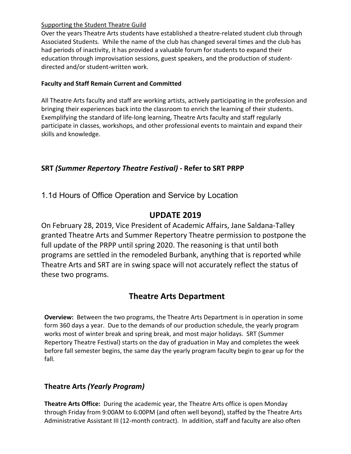#### Supporting the Student Theatre Guild

Over the years Theatre Arts students have established a theatre-related student club through Associated Students. While the name of the club has changed several times and the club has had periods of inactivity, it has provided a valuable forum for students to expand their education through improvisation sessions, guest speakers, and the production of studentdirected and/or student-written work.

### **Faculty and Staff Remain Current and Committed**

All Theatre Arts faculty and staff are working artists, actively participating in the profession and bringing their experiences back into the classroom to enrich the learning of their students. Exemplifying the standard of life-long learning, Theatre Arts faculty and staff regularly participate in classes, workshops, and other professional events to maintain and expand their skills and knowledge.

# **SRT** *(Summer Repertory Theatre Festival) -* **Refer to SRT PRPP**

1.1d Hours of Office Operation and Service by Location

# **UPDATE 2019**

On February 28, 2019, Vice President of Academic Affairs, Jane Saldana-Talley granted Theatre Arts and Summer Repertory Theatre permission to postpone the full update of the PRPP until spring 2020. The reasoning is that until both programs are settled in the remodeled Burbank, anything that is reported while Theatre Arts and SRT are in swing space will not accurately reflect the status of these two programs.

# **Theatre Arts Department**

**Overview:** Between the two programs, the Theatre Arts Department is in operation in some form 360 days a year. Due to the demands of our production schedule, the yearly program works most of winter break and spring break, and most major holidays. SRT (Summer Repertory Theatre Festival) starts on the day of graduation in May and completes the week before fall semester begins, the same day the yearly program faculty begin to gear up for the fall.

## **Theatre Arts** *(Yearly Program)*

**Theatre Arts Office:** During the academic year, the Theatre Arts office is open Monday through Friday from 9:00AM to 6:00PM (and often well beyond), staffed by the Theatre Arts Administrative Assistant III (12-month contract). In addition, staff and faculty are also often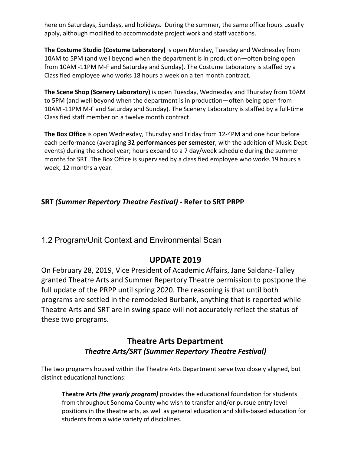here on Saturdays, Sundays, and holidays. During the summer, the same office hours usually apply, although modified to accommodate project work and staff vacations.

**The Costume Studio (Costume Laboratory)** is open Monday, Tuesday and Wednesday from 10AM to 5PM (and well beyond when the department is in production—often being open from 10AM -11PM M-F and Saturday and Sunday). The Costume Laboratory is staffed by a Classified employee who works 18 hours a week on a ten month contract.

**The Scene Shop (Scenery Laboratory)** is open Tuesday, Wednesday and Thursday from 10AM to 5PM (and well beyond when the department is in production—often being open from 10AM -11PM M-F and Saturday and Sunday). The Scenery Laboratory is staffed by a full-time Classified staff member on a twelve month contract.

**The Box Office** is open Wednesday, Thursday and Friday from 12-4PM and one hour before each performance (averaging **32 performances per semester**, with the addition of Music Dept. events) during the school year; hours expand to a 7 day/week schedule during the summer months for SRT. The Box Office is supervised by a classified employee who works 19 hours a week, 12 months a year.

### **SRT** *(Summer Repertory Theatre Festival) -* **Refer to SRT PRPP**

1.2 Program/Unit Context and Environmental Scan

# **UPDATE 2019**

On February 28, 2019, Vice President of Academic Affairs, Jane Saldana-Talley granted Theatre Arts and Summer Repertory Theatre permission to postpone the full update of the PRPP until spring 2020. The reasoning is that until both programs are settled in the remodeled Burbank, anything that is reported while Theatre Arts and SRT are in swing space will not accurately reflect the status of these two programs.

# **Theatre Arts Department** *Theatre Arts/SRT (Summer Repertory Theatre Festival)*

The two programs housed within the Theatre Arts Department serve two closely aligned, but distinct educational functions:

**Theatre Arts** *(the yearly program)* provides the educational foundation for students from throughout Sonoma County who wish to transfer and/or pursue entry level positions in the theatre arts, as well as general education and skills-based education for students from a wide variety of disciplines.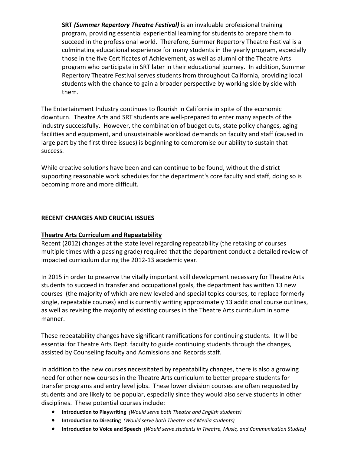**SRT** *(Summer Repertory Theatre Festival)* is an invaluable professional training program, providing essential experiential learning for students to prepare them to succeed in the professional world. Therefore, Summer Repertory Theatre Festival is a culminating educational experience for many students in the yearly program, especially those in the five Certificates of Achievement, as well as alumni of the Theatre Arts program who participate in SRT later in their educational journey. In addition, Summer Repertory Theatre Festival serves students from throughout California, providing local students with the chance to gain a broader perspective by working side by side with them.

The Entertainment Industry continues to flourish in California in spite of the economic downturn. Theatre Arts and SRT students are well-prepared to enter many aspects of the industry successfully. However, the combination of budget cuts, state policy changes, aging facilities and equipment, and unsustainable workload demands on faculty and staff (caused in large part by the first three issues) is beginning to compromise our ability to sustain that success.

While creative solutions have been and can continue to be found, without the district supporting reasonable work schedules for the department's core faculty and staff, doing so is becoming more and more difficult.

#### **RECENT CHANGES AND CRUCIAL ISSUES**

#### **Theatre Arts Curriculum and Repeatability**

Recent (2012) changes at the state level regarding repeatability (the retaking of courses multiple times with a passing grade) required that the department conduct a detailed review of impacted curriculum during the 2012-13 academic year.

In 2015 in order to preserve the vitally important skill development necessary for Theatre Arts students to succeed in transfer and occupational goals, the department has written 13 new courses (the majority of which are new leveled and special topics courses, to replace formerly single, repeatable courses) and is currently writing approximately 13 additional course outlines, as well as revising the majority of existing courses in the Theatre Arts curriculum in some manner.

These repeatability changes have significant ramifications for continuing students. It will be essential for Theatre Arts Dept. faculty to guide continuing students through the changes, assisted by Counseling faculty and Admissions and Records staff.

In addition to the new courses necessitated by repeatability changes, there is also a growing need for other new courses in the Theatre Arts curriculum to better prepare students for transfer programs and entry level jobs. These lower division courses are often requested by students and are likely to be popular, especially since they would also serve students in other disciplines. These potential courses include:

- **Introduction to Playwriting** *(Would serve both Theatre and English students)*
- **Introduction to Directing** *(Would serve both Theatre and Media students)*
- **Introduction to Voice and Speech** *(Would serve students in Theatre, Music, and Communication Studies)*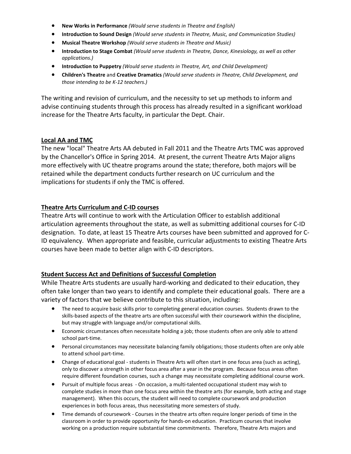- **New Works in Performance** *(Would serve students in Theatre and English)*
- **Introduction to Sound Design** *(Would serve students in Theatre, Music, and Communication Studies)*
- **Musical Theatre Workshop** *(Would serve students in Theatre and Music)*
- **Introduction to Stage Combat** *(Would serve students in Theatre, Dance, Kinesiology, as well as other applications.)*
- **Introduction to Puppetry** *(Would serve students in Theatre, Art, and Child Development)*
- **Children's Theatre** and **Creative Dramatics** *(Would serve students in Theatre, Child Development, and those intending to be K-12 teachers.)*

The writing and revision of curriculum, and the necessity to set up methods to inform and advise continuing students through this process has already resulted in a significant workload increase for the Theatre Arts faculty, in particular the Dept. Chair.

#### **Local AA and TMC**

The new "local" Theatre Arts AA debuted in Fall 2011 and the Theatre Arts TMC was approved by the Chancellor's Office in Spring 2014. At present, the current Theatre Arts Major aligns more effectively with UC theatre programs around the state; therefore, both majors will be retained while the department conducts further research on UC curriculum and the implications for students if only the TMC is offered.

#### **Theatre Arts Curriculum and C-ID courses**

Theatre Arts will continue to work with the Articulation Officer to establish additional articulation agreements throughout the state, as well as submitting additional courses for C-ID designation. To date, at least 15 Theatre Arts courses have been submitted and approved for C-ID equivalency. When appropriate and feasible, curricular adjustments to existing Theatre Arts courses have been made to better align with C-ID descriptors.

#### **Student Success Act and Definitions of Successful Completion**

While Theatre Arts students are usually hard-working and dedicated to their education, they often take longer than two years to identify and complete their educational goals. There are a variety of factors that we believe contribute to this situation, including:

- The need to acquire basic skills prior to completing general education courses. Students drawn to the skills-based aspects of the theatre arts are often successful with their coursework within the discipline, but may struggle with language and/or computational skills.
- Economic circumstances often necessitate holding a job; those students often are only able to attend school part-time.
- Personal circumstances may necessitate balancing family obligations; those students often are only able to attend school part-time.
- Change of educational goal students in Theatre Arts will often start in one focus area (such as acting), only to discover a strength in other focus area after a year in the program. Because focus areas often require different foundation courses, such a change may necessitate completing additional course work.
- Pursuit of multiple focus areas On occasion, a multi-talented occupational student may wish to complete studies in more than one focus area within the theatre arts (for example, both acting and stage management). When this occurs, the student will need to complete coursework and production experiences in both focus areas, thus necessitating more semesters of study.
- Time demands of coursework Courses in the theatre arts often require longer periods of time in the classroom in order to provide opportunity for hands-on education. Practicum courses that involve working on a production require substantial time commitments. Therefore, Theatre Arts majors and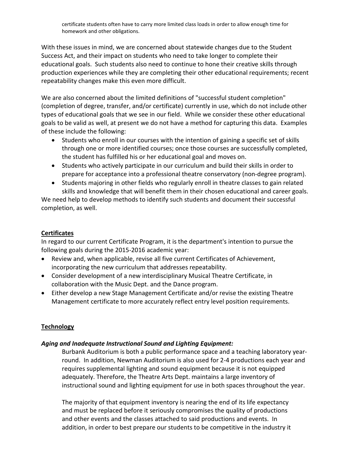With these issues in mind, we are concerned about statewide changes due to the Student Success Act, and their impact on students who need to take longer to complete their educational goals. Such students also need to continue to hone their creative skills through production experiences while they are completing their other educational requirements; recent repeatability changes make this even more difficult.

We are also concerned about the limited definitions of "successful student completion" (completion of degree, transfer, and/or certificate) currently in use, which do not include other types of educational goals that we see in our field. While we consider these other educational goals to be valid as well, at present we do not have a method for capturing this data. Examples of these include the following:

- Students who enroll in our courses with the intention of gaining a specific set of skills through one or more identified courses; once those courses are successfully completed, the student has fulfilled his or her educational goal and moves on.
- Students who actively participate in our curriculum and build their skills in order to prepare for acceptance into a professional theatre conservatory (non-degree program).
- Students majoring in other fields who regularly enroll in theatre classes to gain related skills and knowledge that will benefit them in their chosen educational and career goals.

We need help to develop methods to identify such students and document their successful completion, as well.

#### **Certificates**

In regard to our current Certificate Program, it is the department's intention to pursue the following goals during the 2015-2016 academic year:

- Review and, when applicable, revise all five current Certificates of Achievement, incorporating the new curriculum that addresses repeatability.
- Consider development of a new interdisciplinary Musical Theatre Certificate, in collaboration with the Music Dept. and the Dance program.
- Either develop a new Stage Management Certificate and/or revise the existing Theatre Management certificate to more accurately reflect entry level position requirements.

#### **Technology**

#### *Aging and Inadequate Instructional Sound and Lighting Equipment:*

Burbank Auditorium is both a public performance space and a teaching laboratory yearround. In addition, Newman Auditorium is also used for 2-4 productions each year and requires supplemental lighting and sound equipment because it is not equipped adequately. Therefore, the Theatre Arts Dept. maintains a large inventory of instructional sound and lighting equipment for use in both spaces throughout the year.

The majority of that equipment inventory is nearing the end of its life expectancy and must be replaced before it seriously compromises the quality of productions and other events and the classes attached to said productions and events. In addition, in order to best prepare our students to be competitive in the industry it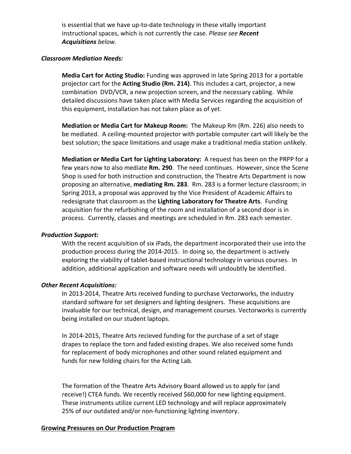is essential that we have up-to-date technology in these vitally important instructional spaces, which is not currently the case. *Please see Recent Acquisitions below.* 

#### *Classroom Mediation Needs:*

**Media Cart for Acting Studio:** Funding was approved in late Spring 2013 for a portable projector cart for the **Acting Studio (Rm. 214)**. This includes a cart, projector, a new combination DVD/VCR, a new projection screen, and the necessary cabling. While detailed discussions have taken place with Media Services regarding the acquisition of this equipment, installation has not taken place as of yet.

**Mediation or Media Cart for Makeup Room:** The Makeup Rm (Rm. 226) also needs to be mediated. A ceiling-mounted projector with portable computer cart will likely be the best solution; the space limitations and usage make a traditional media station unlikely.

**Mediation or Media Cart for Lighting Laboratory:** A request has been on the PRPP for a few years now to also mediate **Rm. 290**. The need continues. However, since the Scene Shop is used for both instruction and construction, the Theatre Arts Department is now proposing an alternative, **mediating Rm. 283**. Rm. 283 is a former lecture classroom; in Spring 2013, a proposal was approved by the Vice President of Academic Affairs to redesignate that classroom as the **Lighting Laboratory for Theatre Arts**. Funding acquisition for the refurbishing of the room and installation of a second door is in process. Currently, classes and meetings are scheduled in Rm. 283 each semester.

#### *Production Support:*

With the recent acquisition of six iPads, the department incorporated their use into the production process during the 2014-2015. In doing so, the department is actively exploring the viability of tablet-based instructional technology in various courses. In addition, additional application and software needs will undoubtly be identified.

#### *Other Recent Acquisitions:*

In 2013-2014, Theatre Arts received funding to purchase Vectorworks, the industry standard software for set designers and lighting designers. These acquisitions are invaluable for our technical, design, and management courses. Vectorworks is currently being installed on our student laptops.

In 2014-2015, Theatre Arts recieved funding for the purchase of a set of stage drapes to replace the torn and faded existing drapes. We also received some funds for replacement of body microphones and other sound related equipment and funds for new folding chairs for the Acting Lab.

The formation of the Theatre Arts Advisory Board allowed us to apply for (and receive!) CTEA funds. We recently received \$60,000 for new lighting equipment. These instruments utilize current LED technology and will replace approximately 25% of our outdated and/or non-functioning lighting inventory.

#### **Growing Pressures on Our Production Program**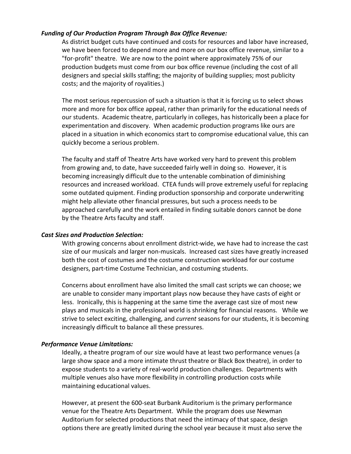#### *Funding of Our Production Program Through Box Office Revenue:*

As district budget cuts have continued and costs for resources and labor have increased, we have been forced to depend more and more on our box office revenue, similar to a "for-profit" theatre. We are now to the point where approximately 75% of our production budgets must come from our box office revenue (including the cost of all designers and special skills staffing; the majority of building supplies; most publicity costs; and the majority of royalities.)

The most serious repercussion of such a situation is that it is forcing us to select shows more and more for box office appeal, rather than primarily for the educational needs of our students. Academic theatre, particularly in colleges, has historically been a place for experimentation and discovery. When academic production programs like ours are placed in a situation in which economics start to compromise educational value, this can quickly become a serious problem.

The faculty and staff of Theatre Arts have worked very hard to prevent this problem from growing and, to date, have succeeded fairly well in doing so. However, it is becoming increasingly difficult due to the untenable combination of diminishing resources and increased workload. CTEA funds will prove extremely useful for replacing some outdated quipment. Finding production sponsorship and corporate underwriting might help alleviate other financial pressures, but such a process needs to be approached carefully and the work entailed in finding suitable donors cannot be done by the Theatre Arts faculty and staff.

#### *Cast Sizes and Production Selection:*

With growing concerns about enrollment district-wide, we have had to increase the cast size of our musicals and larger non-musicals. Increased cast sizes have greatly increased both the cost of costumes and the costume construction workload for our costume designers, part-time Costume Technician, and costuming students.

Concerns about enrollment have also limited the small cast scripts we can choose; we are unable to consider many important plays now because they have casts of eight or less. Ironically, this is happening at the same time the average cast size of most new plays and musicals in the professional world is shrinking for financial reasons. While we strive to select exciting, challenging, and *current* seasons for our students, it is becoming increasingly difficult to balance all these pressures.

#### *Performance Venue Limitations:*

Ideally, a theatre program of our size would have at least two performance venues (a large show space and a more intimate thrust theatre or Black Box theatre), in order to expose students to a variety of real-world production challenges. Departments with multiple venues also have more flexibility in controlling production costs while maintaining educational values.

However, at present the 600-seat Burbank Auditorium is the primary performance venue for the Theatre Arts Department. While the program does use Newman Auditorium for selected productions that need the intimacy of that space, design options there are greatly limited during the school year because it must also serve the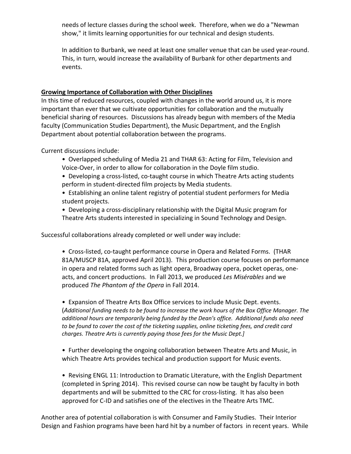needs of lecture classes during the school week. Therefore, when we do a "Newman show," it limits learning opportunities for our technical and design students.

In addition to Burbank, we need at least one smaller venue that can be used year-round. This, in turn, would increase the availability of Burbank for other departments and events.

#### **Growing Importance of Collaboration with Other Disciplines**

In this time of reduced resources, coupled with changes in the world around us, it is more important than ever that we cultivate opportunities for collaboration and the mutually beneficial sharing of resources. Discussions has already begun with members of the Media faculty (Communication Studies Department), the Music Department, and the English Department about potential collaboration between the programs.

Current discussions include:

- Overlapped scheduling of Media 21 and THAR 63: Acting for Film, Television and Voice-Over, in order to allow for collaboration in the Doyle film studio.
- Developing a cross-listed, co-taught course in which Theatre Arts acting students perform in student-directed film projects by Media students.
- Establishing an online talent registry of potential student performers for Media student projects.
- Developing a cross-disciplinary relationship with the Digital Music program for Theatre Arts students interested in specializing in Sound Technology and Design.

Successful collaborations already completed or well under way include:

• Cross-listed, co-taught performance course in Opera and Related Forms. (THAR 81A/MUSCP 81A, approved April 2013). This production course focuses on performance in opera and related forms such as light opera, Broadway opera, pocket operas, oneacts, and concert productions. In Fall 2013, we produced *Les Misérables* and we produced *The Phantom of the Opera* in Fall 2014.

• Expansion of Theatre Arts Box Office services to include Music Dept. events. (*Additional funding needs to be found to increase the work hours of the Box Office Manager. The additional hours are temporarily being funded by the Dean's office. Additional funds also need*  to be found to cover the cost of the ticketing supplies, online ticketing fees, and credit card *charges. Theatre Arts is currently paying those fees for the Music Dept.]*

• Further developing the ongoing collaboration between Theatre Arts and Music, in which Theatre Arts provides techical and production support for Music events.

• Revising ENGL 11: Introduction to Dramatic Literature, with the English Department (completed in Spring 2014). This revised course can now be taught by faculty in both departments and will be submitted to the CRC for cross-listing. It has also been approved for C-ID and satisfies one of the electives in the Theatre Arts TMC.

Another area of potential collaboration is with Consumer and Family Studies. Their Interior Design and Fashion programs have been hard hit by a number of factors in recent years. While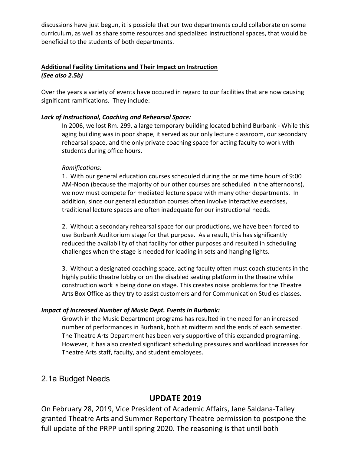discussions have just begun, it is possible that our two departments could collaborate on some curriculum, as well as share some resources and specialized instructional spaces, that would be beneficial to the students of both departments.

#### **Additional Facility Limitations and Their Impact on Instruction** *(See also 2.5b)*

Over the years a variety of events have occured in regard to our facilities that are now causing significant ramifications. They include:

#### *Lack of Instructional, Coaching and Rehearsal Space:*

In 2006, we lost Rm. 299, a large temporary building located behind Burbank - While this aging building was in poor shape, it served as our only lecture classroom, our secondary rehearsal space, and the only private coaching space for acting faculty to work with students during office hours.

#### *Ramifications:*

1. With our general education courses scheduled during the prime time hours of 9:00 AM-Noon (because the majority of our other courses are scheduled in the afternoons), we now must compete for mediated lecture space with many other departments. In addition, since our general education courses often involve interactive exercises, traditional lecture spaces are often inadequate for our instructional needs.

2. Without a secondary rehearsal space for our productions, we have been forced to use Burbank Auditorium stage for that purpose. As a result, this has significantly reduced the availability of that facility for other purposes and resulted in scheduling challenges when the stage is needed for loading in sets and hanging lights.

3. Without a designated coaching space, acting faculty often must coach students in the highly public theatre lobby or on the disabled seating platform in the theatre while construction work is being done on stage. This creates noise problems for the Theatre Arts Box Office as they try to assist customers and for Communication Studies classes.

#### *Impact of Increased Number of Music Dept. Events in Burbank:*

Growth in the Music Department programs has resulted in the need for an increased number of performances in Burbank, both at midterm and the ends of each semester. The Theatre Arts Department has been very supportive of this expanded programing. However, it has also created significant scheduling pressures and workload increases for Theatre Arts staff, faculty, and student employees.

### 2.1a Budget Needs

## **UPDATE 2019**

On February 28, 2019, Vice President of Academic Affairs, Jane Saldana-Talley granted Theatre Arts and Summer Repertory Theatre permission to postpone the full update of the PRPP until spring 2020. The reasoning is that until both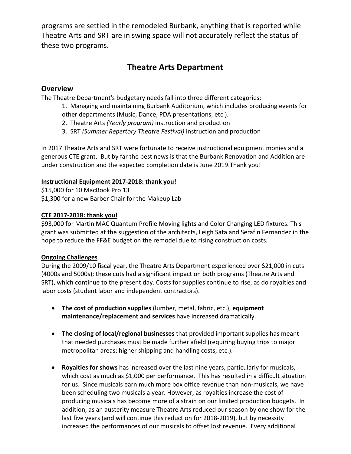programs are settled in the remodeled Burbank, anything that is reported while Theatre Arts and SRT are in swing space will not accurately reflect the status of these two programs.

# **Theatre Arts Department**

#### **Overview**

The Theatre Department's budgetary needs fall into three different categories:

1. Managing and maintaining Burbank Auditorium, which includes producing events for other departments (Music, Dance, PDA presentations, etc.).

- 2. Theatre Arts *(Yearly program)* instruction and production
- 3. SRT *(Summer Repertory Theatre Festival)* instruction and production

In 2017 Theatre Arts and SRT were fortunate to receive instructional equipment monies and a generous CTE grant. But by far the best news is that the Burbank Renovation and Addition are under construction and the expected completion date is June 2019.Thank you!

#### **Instructional Equipment 2017-2018: thank you!**

\$15,000 for 10 MacBook Pro 13 \$1,300 for a new Barber Chair for the Makeup Lab

#### **CTE 2017-2018: thank you!**

\$93,000 for Martin MAC Quantum Profile Moving lights and Color Changing LED fixtures. This grant was submitted at the suggestion of the architects, Leigh Sata and Serafin Fernandez in the hope to reduce the FF&E budget on the remodel due to rising construction costs.

#### **Ongoing Challenges**

During the 2009/10 fiscal year, the Theatre Arts Department experienced over \$21,000 in cuts (4000s and 5000s); these cuts had a significant impact on both programs (Theatre Arts and SRT), which continue to the present day. Costs for supplies continue to rise, as do royalties and labor costs (student labor and independent contractors).

- **The cost of production supplies** (lumber, metal, fabric, etc.), **equipment maintenance/replacement and services** have increased dramatically.
- **The closing of local/regional businesses** that provided important supplies has meant that needed purchases must be made further afield (requiring buying trips to major metropolitan areas; higher shipping and handling costs, etc.).
- **Royalties for shows** has increased over the last nine years, particularly for musicals, which cost as much as \$1,000 per performance. This has resulted in a difficult situation for us. Since musicals earn much more box office revenue than non-musicals, we have been scheduling two musicals a year. However, as royalties increase the cost of producing musicals has become more of a strain on our limited production budgets. In addition, as an austerity measure Theatre Arts reduced our season by one show for the last five years (and will continue this reduction for 2018-2019), but by necessity increased the performances of our musicals to offset lost revenue. Every additional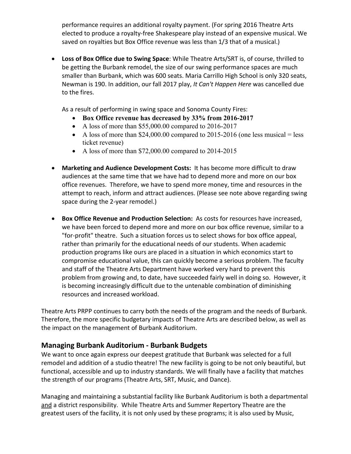performance requires an additional royalty payment. (For spring 2016 Theatre Arts elected to produce a royalty-free Shakespeare play instead of an expensive musical. We saved on royalties but Box Office revenue was less than 1/3 that of a musical.)

• **Loss of Box Office due to Swing Space**: While Theatre Arts/SRT is, of course, thrilled to be getting the Burbank remodel, the size of our swing performance spaces are much smaller than Burbank, which was 600 seats. Maria Carrillo High School is only 320 seats, Newman is 190. In addition, our fall 2017 play, *It Can't Happen Here* was cancelled due to the fires.

As a result of performing in swing space and Sonoma County Fires:

- **Box Office revenue has decreased by 33% from 2016-2017**
- A loss of more than \$55,000.00 compared to 2016-2017
- A loss of more than \$24,000.00 compared to 2015-2016 (one less musical = less ticket revenue)
- A loss of more than \$72,000.00 compared to 2014-2015
- **Marketing and Audience Development Costs:** It has become more difficult to draw audiences at the same time that we have had to depend more and more on our box office revenues. Therefore, we have to spend more money, time and resources in the attempt to reach, inform and attract audiences. (Please see note above regarding swing space during the 2-year remodel.)
- **Box Office Revenue and Production Selection:** As costs for resources have increased, we have been forced to depend more and more on our box office revenue, similar to a "for-profit" theatre. Such a situation forces us to select shows for box office appeal, rather than primarily for the educational needs of our students. When academic production programs like ours are placed in a situation in which economics start to compromise educational value, this can quickly become a serious problem. The faculty and staff of the Theatre Arts Department have worked very hard to prevent this problem from growing and, to date, have succeeded fairly well in doing so. However, it is becoming increasingly difficult due to the untenable combination of diminishing resources and increased workload.

Theatre Arts PRPP continues to carry both the needs of the program and the needs of Burbank. Therefore, the more specific budgetary impacts of Theatre Arts are described below, as well as the impact on the management of Burbank Auditorium.

#### **Managing Burbank Auditorium - Burbank Budgets**

We want to once again express our deepest gratitude that Burbank was selected for a full remodel and addition of a studio theatre! The new facility is going to be not only beautiful, but functional, accessible and up to industry standards. We will finally have a facility that matches the strength of our programs (Theatre Arts, SRT, Music, and Dance).

Managing and maintaining a substantial facility like Burbank Auditorium is both a departmental and a district responsibility. While Theatre Arts and Summer Repertory Theatre are the greatest users of the facility, it is not only used by these programs; it is also used by Music,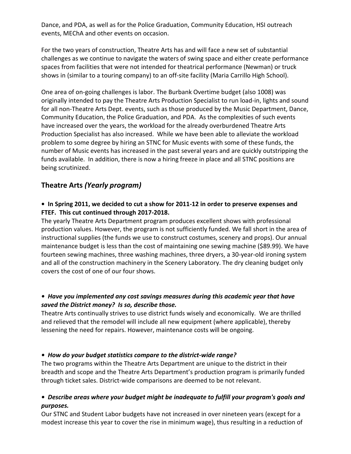Dance, and PDA, as well as for the Police Graduation, Community Education, HSI outreach events, MEChA and other events on occasion.

For the two years of construction, Theatre Arts has and will face a new set of substantial challenges as we continue to navigate the waters of swing space and either create performance spaces from facilities that were not intended for theatrical performance (Newman) or truck shows in (similar to a touring company) to an off-site facility (Maria Carrillo High School).

One area of on-going challenges is labor. The Burbank Overtime budget (also 1008) was originally intended to pay the Theatre Arts Production Specialist to run load-in, lights and sound for all non-Theatre Arts Dept. events, such as those produced by the Music Department, Dance, Community Education, the Police Graduation, and PDA. As the complexities of such events have increased over the years, the workload for the already overburdened Theatre Arts Production Specialist has also increased. While we have been able to alleviate the workload problem to some degree by hiring an STNC for Music events with some of these funds, the number of Music events has increased in the past several years and are quickly outstripping the funds available. In addition, there is now a hiring freeze in place and all STNC positions are being scrutinized.

### **Theatre Arts** *(Yearly program)*

#### **• In Spring 2011, we decided to cut a show for 2011-12 in order to preserve expenses and FTEF. This cut continued through 2017-2018.**

The yearly Theatre Arts Department program produces excellent shows with professional production values. However, the program is not sufficiently funded. We fall short in the area of instructional supplies (the funds we use to construct costumes, scenery and props). Our annual maintenance budget is less than the cost of maintaining one sewing machine (\$89.99). We have fourteen sewing machines, three washing machines, three dryers, a 30-year-old ironing system and all of the construction machinery in the Scenery Laboratory. The dry cleaning budget only covers the cost of one of our four shows.

#### *• Have you implemented any cost savings measures during this academic year that have saved the District money? Is so, describe those.*

Theatre Arts continually strives to use district funds wisely and economically. We are thrilled and relieved that the remodel will include all new equipment (where applicable), thereby lessening the need for repairs. However, maintenance costs will be ongoing.

#### *• How do your budget statistics compare to the district-wide range?*

The two programs within the Theatre Arts Department are unique to the district in their breadth and scope and the Theatre Arts Department's production program is primarily funded through ticket sales. District-wide comparisons are deemed to be not relevant.

#### *• Describe areas where your budget might be inadequate to fulfill your program's goals and purposes.*

Our STNC and Student Labor budgets have not increased in over nineteen years (except for a modest increase this year to cover the rise in minimum wage), thus resulting in a reduction of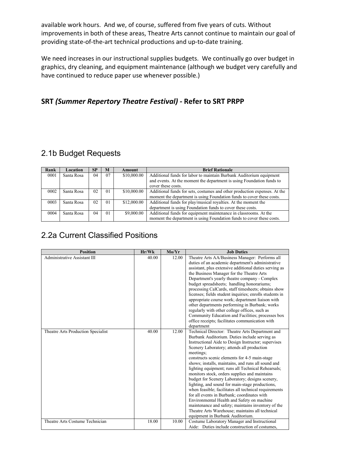available work hours. And we, of course, suffered from five years of cuts. Without improvements in both of these areas, Theatre Arts cannot continue to maintain our goal of providing state-of-the-art technical productions and up-to-date training.

We need increases in our instructional supplies budgets. We continually go over budget in graphics, dry cleaning, and equipment maintenance (although we budget very carefully and have continued to reduce paper use whenever possible.)

### **SRT** *(Summer Repertory Theatre Festival) -* **Refer to SRT PRPP**

# 2.1b Budget Requests

| Rank | Location   | <b>SP</b> | M  | Amount      | <b>Brief Rationale</b>                                                    |
|------|------------|-----------|----|-------------|---------------------------------------------------------------------------|
| 0001 | Santa Rosa | 04        | 07 | \$10,000.00 | Additional funds for labor to maintain Burbank Auditorium equipment       |
|      |            |           |    |             | and events. At the moment the department is using Foundation funds to     |
|      |            |           |    |             | cover these costs.                                                        |
| 0002 | Santa Rosa | 02        | 01 | \$10,000.00 | Additional funds for sets, costumes and other production expenses. At the |
|      |            |           |    |             | moment the department is using Foundation funds to cover these costs.     |
| 0003 | Santa Rosa | 02        | 01 | \$12,000.00 | Additional funds for play/musical royalties. At the moment the            |
|      |            |           |    |             | department is using Foundation funds to cover these costs.                |
| 0004 | Santa Rosa | 04        | 01 | \$9,000.00  | Additional funds for equipment maintenance in classrooms. At the          |
|      |            |           |    |             | moment the department is using Foundation funds to cover these costs.     |

# 2.2a Current Classified Positions

| <b>Position</b>                    | Hr/Wk | Mo/Yr | <b>Job Duties</b>                                       |
|------------------------------------|-------|-------|---------------------------------------------------------|
| Administrative Assistant III       | 40.00 | 12.00 | Theatre Arts AA/Business Manager: Performs all          |
|                                    |       |       | duties of an academic department's administrative       |
|                                    |       |       | assistant, plus extensive additional duties serving as  |
|                                    |       |       | the Business Manager for the Theatre Arts               |
|                                    |       |       | Department's yearly theatre company - Complex           |
|                                    |       |       | budget spreadsheets; handling honorariums;              |
|                                    |       |       | processing CalCards, staff timesheets; obtains show     |
|                                    |       |       | licenses; fields student inquiries; enrolls students in |
|                                    |       |       | appropriate course work; department liaison with        |
|                                    |       |       | other departments performing in Burbank; works          |
|                                    |       |       | regularly with other college offices, such as           |
|                                    |       |       | Community Education and Facilities; processes box       |
|                                    |       |       | office receipts; facilitates communication with         |
|                                    |       |       | department                                              |
| Theatre Arts Production Specialist | 40.00 | 12.00 | Technical Director: Theatre Arts Department and         |
|                                    |       |       | Burbank Auditorium. Duties include serving as           |
|                                    |       |       | Instructional Aide to Design Instructor; supervises     |
|                                    |       |       | Scenery Laboratory; attends all production              |
|                                    |       |       | meetings;                                               |
|                                    |       |       | constructs scenic elements for 4-5 main-stage           |
|                                    |       |       | shows; installs, maintains, and runs all sound and      |
|                                    |       |       | lighting equipment; runs all Technical Rehearsals;      |
|                                    |       |       | monitors stock, orders supplies and maintains           |
|                                    |       |       | budget for Scenery Laboratory; designs scenery,         |
|                                    |       |       | lighting, and sound for main-stage productions,         |
|                                    |       |       | when feasible; facilitates all technical requirements   |
|                                    |       |       | for all events in Burbank; coordinates with             |
|                                    |       |       | Environmental Health and Safety on machine              |
|                                    |       |       | maintenance and safety; maintains inventory of the      |
|                                    |       |       | Theatre Arts Warehouse; maintains all technical         |
|                                    |       |       | equipment in Burbank Auditorium.                        |
| Theatre Arts Costume Technician    | 18.00 | 10.00 | Costume Laboratory Manager and Instructional            |
|                                    |       |       | Aide: Duties include construction of costumes,          |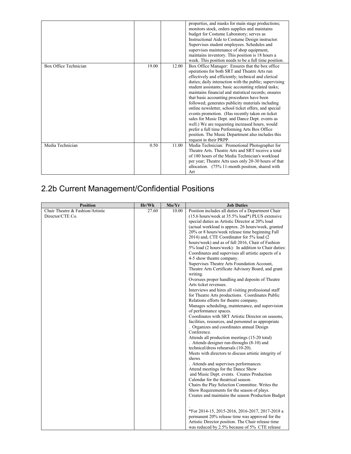|                       |       |       | properties, and masks for main stage productions;<br>monitors stock, orders supplies and maintains<br>budget for Costume Laboratory; serves as<br>Instructional Aide to Costume Design instructor.<br>Supervises student employees. Schedules and<br>supervises maintenance of shop equipment,<br>maintains inventory. This position is 18 hours a<br>week. This position needs to be a full time position.                                                                                                                                                                                                                                                                                                                                                                          |
|-----------------------|-------|-------|--------------------------------------------------------------------------------------------------------------------------------------------------------------------------------------------------------------------------------------------------------------------------------------------------------------------------------------------------------------------------------------------------------------------------------------------------------------------------------------------------------------------------------------------------------------------------------------------------------------------------------------------------------------------------------------------------------------------------------------------------------------------------------------|
| Box Office Technician | 19.00 | 12.00 | Box Office Manager: Ensures that the box office<br>operations for both SRT and Theatre Arts run<br>effectively and efficiently; technical and clerical<br>duties; daily interaction with the public; supervising<br>student assistants; basic accounting related tasks;<br>maintains financial and statistical records; ensures<br>that basic accounting procedures have been<br>followed; generates publicity materials including<br>online newsletter, school ticket offers, and special<br>events promotion. (Has recently taken on ticket)<br>sales for Music Dept. and Dance Dept. events as<br>well.) We are requesting increased hours, would<br>prefer a full time Performing Arts Box Office<br>position. The Music Department also includes this<br>request in their PRPP. |
| Media Technician      | 0.50  | 11.00 | Media Technician: Promotional Photographer for<br>Theatre Arts. Theatre Arts and SRT receive a total<br>of 180 hours of the Media Technician's workload<br>per year; Theatre Arts uses only 20-30 hours of that<br>allocation. (75% 11-month position, shared with<br>Art                                                                                                                                                                                                                                                                                                                                                                                                                                                                                                            |

# 2.2b Current Management/Confidential Positions

| <b>Position</b>                  | Hr/Wk | Mo/Yr | <b>Job Duties</b>                                     |
|----------------------------------|-------|-------|-------------------------------------------------------|
| Chair Theatre & Fashion/Artistic | 27.60 | 10.00 | Position includes all duties of a Department Chair    |
| Director/CTE Co.                 |       |       | (15.6 hours/week at 35.5% load*) PLUS extensive       |
|                                  |       |       | special duties as Artistic Director at 20% load       |
|                                  |       |       | (actual workload is approx. 26 hours/week, granted    |
|                                  |       |       | 20% or 8 hours/week release time beginning Fall       |
|                                  |       |       | 2014) and, CTE Coordinator for 5% load (2             |
|                                  |       |       | hours/week) and as of fall 2016, Chair of Fashion     |
|                                  |       |       | 5% load (2 hours/week): In addition to Chair duties:  |
|                                  |       |       | Coordinates and supervises all artistic aspects of a  |
|                                  |       |       | 4-5 show theatre company.                             |
|                                  |       |       | Supervises Theatre Arts Foundation Account,           |
|                                  |       |       | Theatre Arts Certificate Advisory Board, and grant    |
|                                  |       |       | writing.                                              |
|                                  |       |       | Oversees proper handling and deposits of Theatre      |
|                                  |       |       | Arts ticket revenues.                                 |
|                                  |       |       | Interviews and hires all visiting professional staff  |
|                                  |       |       | for Theatre Arts productions. Coordinates Public      |
|                                  |       |       | Relations efforts for theatre company.                |
|                                  |       |       | Manages scheduling, maintenance, and supervision      |
|                                  |       |       | of performance spaces.                                |
|                                  |       |       | Coordinates with SRT Artistic Director on seasons,    |
|                                  |       |       | facilities, resources, and personnel as appropriate   |
|                                  |       |       | . Organizes and coordinates annual Design             |
|                                  |       |       | Conference.                                           |
|                                  |       |       | Attends all production meetings (15-20 total)         |
|                                  |       |       | . Attends designer run-throughs (8-10) and            |
|                                  |       |       | technical/dress rehearsals (10-20).                   |
|                                  |       |       | Meets with directors to discuss artistic integrity of |
|                                  |       |       | shows                                                 |
|                                  |       |       | . Attends and supervises performances.                |
|                                  |       |       | Attend meetings for the Dance Show                    |
|                                  |       |       | and Music Dept. events. Creates Production            |
|                                  |       |       | Calendar for the theatrical season.                   |
|                                  |       |       | Chairs the Play Selection Committee. Writes the       |
|                                  |       |       | Show Requirements for the season of plays.            |
|                                  |       |       | Creates and maintains the season Production Budget    |
|                                  |       |       |                                                       |
|                                  |       |       |                                                       |
|                                  |       |       | *For 2014-15, 2015-2016, 2016-2017, 2017-2018 a       |
|                                  |       |       | permanent 20% release time was approved for the       |
|                                  |       |       | Artistic Director position. The Chair release time    |
|                                  |       |       | was reduced by 2.5% because of 5% CTE release         |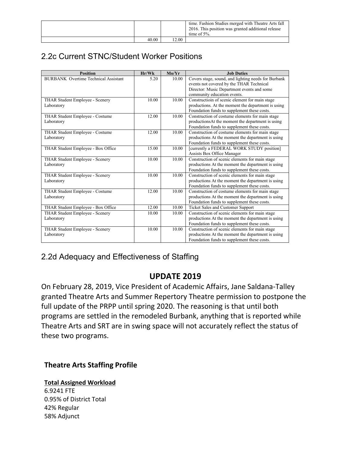|       |      | time. Fashion Studies merged with Theatre Arts fall<br>2016. This position was granted additional release<br>time of $5\%$ . |
|-------|------|------------------------------------------------------------------------------------------------------------------------------|
| 40.00 | 2.00 |                                                                                                                              |

# 2.2c Current STNC/Student Worker Positions

| <b>Position</b>                             | Hr/Wk | Mo/Yr | <b>Job Duties</b>                                   |
|---------------------------------------------|-------|-------|-----------------------------------------------------|
| <b>BURBANK</b> Overtime Technical Assistant | 5.20  | 10.00 | Covers stage, sound, and lighting needs for Burbank |
|                                             |       |       | events not covered by the THAR Technical            |
|                                             |       |       | Director: Music Department events and some          |
|                                             |       |       | community education events.                         |
| THAR Student Employee - Scenery             | 10.00 | 10.00 | Constructioin of scenic element for main stage      |
| Laboratory                                  |       |       | productions. At the moment the department is using  |
|                                             |       |       | Foundation funds to supplement these costs.         |
| THAR Student Employee - Costume             | 12.00 | 10.00 | Construction of costume elements for main stage     |
| Laboratory                                  |       |       | productionsAt the moment the department is using    |
|                                             |       |       | Foundation funds to supplement these costs.         |
| THAR Student Employee - Costume             | 12.00 | 10.00 | Construction of costume elements for main stage     |
| Laboratory                                  |       |       | productions At the moment the department is using   |
|                                             |       |       | Foundation funds to supplement these costs.         |
| THAR Student Employee - Box Office          | 15.00 | 10.00 | [currently a FEDERAL WORK STUDY position]           |
|                                             |       |       | Assists Box Office Manager                          |
| THAR Student Employee - Scenery             | 10.00 | 10.00 | Construction of scenic elements for main stage      |
| Laboratory                                  |       |       | productions At the moment the department is using   |
|                                             |       |       | Foundation funds to supplement these costs.         |
| THAR Student Employee - Scenery             | 10.00 | 10.00 | Construction of scenic elements for main stage      |
| Laboratory                                  |       |       | productions At the moment the department is using   |
|                                             |       |       | Foundation funds to supplement these costs.         |
| THAR Student Employee - Costume             | 12.00 | 10.00 | Construction of costume elements for main stage     |
| Laboratory                                  |       |       | productions At the moment the department is using   |
|                                             |       |       | Foundation funds to supplement these costs.         |
| THAR Student Employee - Box Office          | 12.00 | 10.00 | Ticket Sales and Customer Support                   |
| THAR Student Employee - Scenery             | 10.00 | 10.00 | Construction of scenic elements for main stage      |
| Laboratory                                  |       |       | productions At the moment the department is using   |
|                                             |       |       | Foundation funds to supplement these costs.         |
| THAR Student Employee - Scenery             | 10.00 | 10.00 | Construction of scenic elements for main stage      |
| Laboratory                                  |       |       | productions At the moment the department is using   |
|                                             |       |       | Foundation funds to supplement these costs.         |

# 2.2d Adequacy and Effectiveness of Staffing

# **UPDATE 2019**

On February 28, 2019, Vice President of Academic Affairs, Jane Saldana-Talley granted Theatre Arts and Summer Repertory Theatre permission to postpone the full update of the PRPP until spring 2020. The reasoning is that until both programs are settled in the remodeled Burbank, anything that is reported while Theatre Arts and SRT are in swing space will not accurately reflect the status of these two programs.

### **Theatre Arts Staffing Profile**

#### **Total Assigned Workload**

6.9241 FTE 0.95% of District Total 42% Regular 58% Adjunct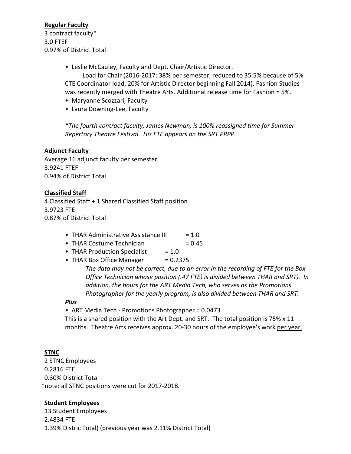#### **Regular Faculty**

3 contract faculty\* 3.0 FTEF 0.97% of District Total

• Leslie McCauley, Faculty and Dept. Chair/Artistic Director.

Load for Chair (2016-2017: 38% per semester, reduced to 35.5% because of 5% CTE Coordinator load, 20% for Artistic Director beginning Fall 2014). Fashion Studies was recently merged with Theatre Arts. Additional release time for Fashion = 5%.

- Maryanne Scozzari, Faculty
- Laura Downing-Lee, Faculty

*\*The fourth contract faculty, James Newman, is 100% reassigned time for Summer Repertory Theatre Festival. His FTE appears on the SRT PRPP.*

#### **Adjunct Faculty**

Average 16 adjunct faculty per semester 3.9241 FTEF 0.94% of District Total

#### **Classified Staff**

4 Classified Staff + 1 Shared Classified Staff position 3.9723 FTE 0.87% of District Total

- THAR Administrative Assistance III  $= 1.0$
- THAR Costume Technician  $= 0.45$
- THAR Production Specialist  $= 1.0$
- THAR Box Office Manager  $= 0.2375$

*The data may not be correct, due to an error in the recording of FTE for the Box Office Technician whose position (.47 FTE) is divided between THAR and SRT). In addition, the hours for the ART Media Tech, who serves as the Promotions Photographer for the yearly program, is also divided between THAR and SRT.*

#### *Plus*

• ART Media Tech - Promotions Photographer = 0.0473

This is a shared position with the Art Dept. and SRT. The total position is 75% x 11 months. Theatre Arts receives approx. 20-30 hours of the employee's work per year.

#### **STNC**

2 STNC Employees 0.2816 FTE 0.30% District Total \*note: all STNC positions were cut for 2017-2018.

#### **Student Employees**

13 Student Employees 2.4834 FTE 1.39% Distric Total) (previous year was 2.11% District Total)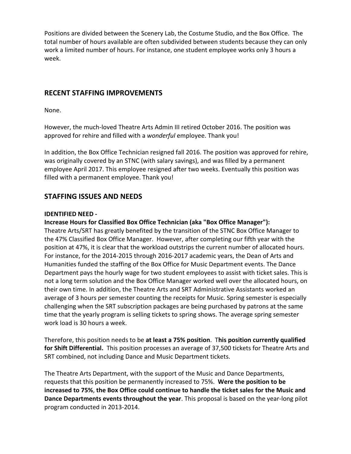Positions are divided between the Scenery Lab, the Costume Studio, and the Box Office. The total number of hours available are often subdivided between students because they can only work a limited number of hours. For instance, one student employee works only 3 hours a week.

#### **RECENT STAFFING IMPROVEMENTS**

None.

However, the much-loved Theatre Arts Admin III retired October 2016. The position was approved for rehire and filled with a *wonderful* employee. Thank you!

In addition, the Box Office Technician resigned fall 2016. The position was approved for rehire, was originally covered by an STNC (with salary savings), and was filled by a permanent employee April 2017. This employee resigned after two weeks. Eventually this position was filled with a permanent employee. Thank you!

### **STAFFING ISSUES AND NEEDS**

#### **IDENTIFIED NEED -**

#### **Increase Hours for Classified Box Office Technician (aka "Box Office Manager"):**

Theatre Arts/SRT has greatly benefited by the transition of the STNC Box Office Manager to the 47% Classified Box Office Manager. However, after completing our fifth year with the position at 47%, it is clear that the workload outstrips the current number of allocated hours. For instance, for the 2014-2015 through 2016-2017 academic years, the Dean of Arts and Humanities funded the staffing of the Box Office for Music Department events. The Dance Department pays the hourly wage for two student employees to assist with ticket sales. This is not a long term solution and the Box Office Manager worked well over the allocated hours, on their own time. In addition, the Theatre Arts and SRT Administrative Assistants worked an average of 3 hours per semester counting the receipts for Music. Spring semester is especially challenging when the SRT subscription packages are being purchased by patrons at the same time that the yearly program is selling tickets to spring shows. The average spring semester work load is 30 hours a week.

Therefore, this position needs to be **at least a 75% position**. T**his position currently qualified for Shift Differential.** This position processes an average of 37,500 tickets for Theatre Arts and SRT combined, not including Dance and Music Department tickets.

The Theatre Arts Department, with the support of the Music and Dance Departments, requests that this position be permanently increased to 75%. **Were the position to be increased to 75%**, **the Box Office could continue to handle the ticket sales for the Music and Dance Departments events throughout the year**. This proposal is based on the year-long pilot program conducted in 2013-2014.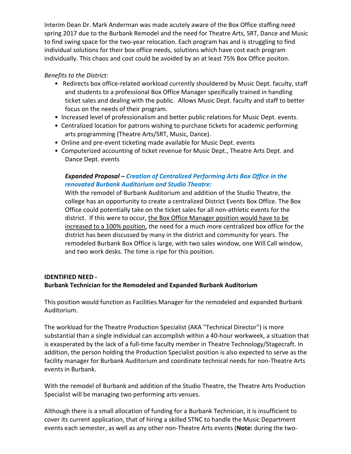Interim Dean Dr. Mark Anderman was made acutely aware of the Box Office staffing need spring 2017 due to the Burbank Remodel and the need for Theatre Arts, SRT, Dance and Music to find swing space for the two-year relocation. Each program has and is struggling to find individual solutions for their box office needs, solutions which have cost each program individually. This chaos and cost could be avoided by an at least 75% Box Office positon.

*Benefits to the District:*

- Redirects box office-related workload currently shouldered by Music Dept. faculty, staff and students to a professional Box Office Manager specifically trained in handling ticket sales and dealing with the public. Allows Music Dept. faculty and staff to better focus on the needs of their program.
- Increased level of professionalism and better public relations for Music Dept. events.
- Centralized location for patrons wishing to purchase tickets for academic performing arts programming (Theatre Arts/SRT, Music, Dance).
- Online and pre-event ticketing made available for Music Dept. events
- Computerized accounting of ticket revenue for Music Dept., Theatre Arts Dept. and Dance Dept. events

### *Expanded Proposal – Creation of Centralized Performing Arts Box Office in the renovated Burbank Auditorium and Studio Theatre:*

With the remodel of Burbank Auditorium and addition of the Studio Theatre, the college has an opportunity to create a centralized District Events Box Office. The Box Office could potentially take on the ticket sales for all non-athletic events for the district. If this were to occur, the Box Office Manager position would have to be increased to a 100% position, the need for a much more centralized box office for the district has been discussed by many in the district and community for years. The remodeled Burbank Box Office is large, with two sales window, one Will Call window, and two work desks. The time is ripe for this position.

#### **IDENTIFIED NEED - Burbank Technician for the Remodeled and Expanded Burbank Auditorium**

This position would function as Facilities Manager for the remodeled and expanded Burbank Auditorium.

The workload for the Theatre Production Specialist (AKA "Technical Director") is more substantial than a single individual can accomplish within a 40-hour workweek, a situation that is exasperated by the lack of a full-time faculty member in Theatre Technology/Stagecraft. In addition, the person holding the Production Specialist position is also expected to serve as the facility manager for Burbank Auditorium and coordinate technical needs for non-Theatre Arts events in Burbank.

With the remodel of Burbank and addition of the Studio Theatre, the Theatre Arts Production Specialist will be managing two performing arts venues.

Although there is a small allocation of funding for a Burbank Technician, it is insufficient to cover its current application, that of hiring a skilled STNC to handle the Music Department events each semester, as well as any other non-Theatre Arts events (**Note:** during the two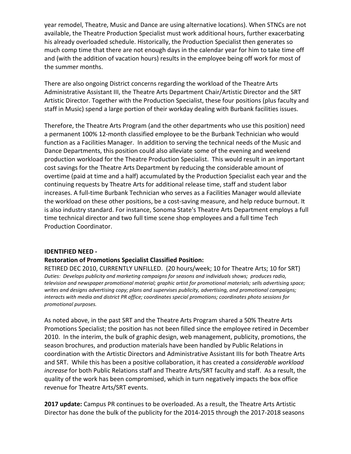year remodel, Theatre, Music and Dance are using alternative locations). When STNCs are not available, the Theatre Production Specialist must work additional hours, further exacerbating his already overloaded schedule. Historically, the Production Specialist then generates so much comp time that there are not enough days in the calendar year for him to take time off and (with the addition of vacation hours) results in the employee being off work for most of the summer months.

There are also ongoing District concerns regarding the workload of the Theatre Arts Administrative Assistant III, the Theatre Arts Department Chair/Artistic Director and the SRT Artistic Director. Together with the Production Specialist, these four positions (plus faculty and staff in Music) spend a large portion of their workday dealing with Burbank facilities issues.

Therefore, the Theatre Arts Program (and the other departments who use this position) need a permanent 100% 12-month classified employee to be the Burbank Technician who would function as a Facilities Manager. In addition to serving the technical needs of the Music and Dance Departments, this position could also alleviate some of the evening and weekend production workload for the Theatre Production Specialist. This would result in an important cost savings for the Theatre Arts Department by reducing the considerable amount of overtime (paid at time and a half) accumulated by the Production Specialist each year and the continuing requests by Theatre Arts for additional release time, staff and student labor increases. A full-time Burbank Technician who serves as a Facilities Manager would alleviate the workload on these other positions, be a cost-saving measure, and help reduce burnout. It is also industry standard. For instance, Sonoma State's Theatre Arts Department employs a full time technical director and two full time scene shop employees and a full time Tech Production Coordinator.

#### **IDENTIFIED NEED -**

#### **Restoration of Promotions Specialist Classified Position:**

RETIRED DEC 2010, CURRENTLY UNFILLED. (20 hours/week; 10 for Theatre Arts; 10 for SRT) *Duties: Develops publicity and marketing campaigns for seasons and individuals shows; produces radio, television and newspaper promotional material; graphic artist for promotional materials; sells advertising space; writes and designs advertising copy; plans and supervises publicity, advertising, and promotional campaigns; interacts with media and district PR office; coordinates special promotions; coordinates photo sessions for promotional purposes.* 

As noted above, in the past SRT and the Theatre Arts Program shared a 50% Theatre Arts Promotions Specialist; the position has not been filled since the employee retired in December 2010. In the interim, the bulk of graphic design, web management, publicity, promotions, the season brochures, and production materials have been handled by Public Relations in coordination with the Artistic Directors and Administrative Assistant IIIs for both Theatre Arts and SRT. While this has been a positive collaboration, it has created a *considerable workload increase* for both Public Relations staff and Theatre Arts/SRT faculty and staff. As a result, the quality of the work has been compromised, which in turn negatively impacts the box office revenue for Theatre Arts/SRT events.

**2017 update:** Campus PR continues to be overloaded. As a result, the Theatre Arts Artistic Director has done the bulk of the publicity for the 2014-2015 through the 2017-2018 seasons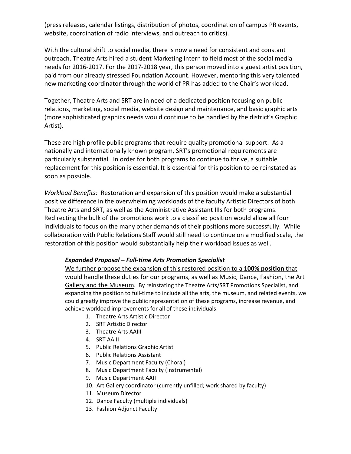(press releases, calendar listings, distribution of photos, coordination of campus PR events, website, coordination of radio interviews, and outreach to critics).

With the cultural shift to social media, there is now a need for consistent and constant outreach. Theatre Arts hired a student Marketing Intern to field most of the social media needs for 2016-2017. For the 2017-2018 year, this person moved into a guest artist position, paid from our already stressed Foundation Account. However, mentoring this very talented new marketing coordinator through the world of PR has added to the Chair's workload.

Together, Theatre Arts and SRT are in need of a dedicated position focusing on public relations, marketing, social media, website design and maintenance, and basic graphic arts (more sophisticated graphics needs would continue to be handled by the district's Graphic Artist).

These are high profile public programs that require quality promotional support. As a nationally and internationally known program, SRT's promotional requirements are particularly substantial. In order for both programs to continue to thrive, a suitable replacement for this position is essential. It is essential for this position to be reinstated as soon as possible.

*Workload Benefits:* Restoration and expansion of this position would make a substantial positive difference in the overwhelming workloads of the faculty Artistic Directors of both Theatre Arts and SRT, as well as the Administrative Assistant IIIs for both programs. Redirecting the bulk of the promotions work to a classified position would allow all four individuals to focus on the many other demands of their positions more successfully. While collaboration with Public Relations Staff would still need to continue on a modified scale, the restoration of this position would substantially help their workload issues as well.

#### *Expanded Proposal – Full-time Arts Promotion Specialist*

We further propose the expansion of this restored position to a **100% position** that would handle these duties for our programs, as well as Music, Dance, Fashion, the Art Gallery and the Museum.By reinstating the Theatre Arts/SRT Promotions Specialist, and expanding the position to full-time to include all the arts, the museum, and related events, we could greatly improve the public representation of these programs, increase revenue, and achieve workload improvements for all of these individuals:

- 1. Theatre Arts Artistic Director
- 2. SRT Artistic Director
- 3. Theatre Arts AAIII
- 4. SRT AAIII
- 5. Public Relations Graphic Artist
- 6. Public Relations Assistant
- 7. Music Department Faculty (Choral)
- 8. Music Department Faculty (Instrumental)
- 9. Music Department AAII
- 10. Art Gallery coordinator (currently unfilled; work shared by faculty)
- 11. Museum Director
- 12. Dance Faculty (multiple individuals)
- 13. Fashion Adjunct Faculty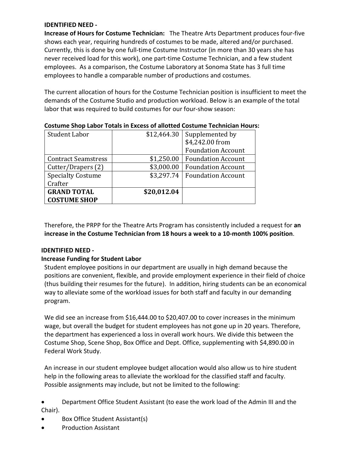#### **IDENTIFIED NEED -**

**Increase of Hours for Costume Technician:** The Theatre Arts Department produces four-five shows each year, requiring hundreds of costumes to be made, altered and/or purchased. Currently, this is done by one full-time Costume Instructor (in more than 30 years she has never received load for this work), one part-time Costume Technician, and a few student employees. As a comparison, the Costume Laboratory at Sonoma State has 3 full time employees to handle a comparable number of productions and costumes.

The current allocation of hours for the Costume Technician position is insufficient to meet the demands of the Costume Studio and production workload. Below is an example of the total labor that was required to build costumes for our four-show season:

| Student Labor              | \$12,464.30 | Supplemented by           |
|----------------------------|-------------|---------------------------|
|                            |             | \$4,242.00 from           |
|                            |             | <b>Foundation Account</b> |
| <b>Contract Seamstress</b> | \$1,250.00  | <b>Foundation Account</b> |
| Cutter/Drapers (2)         | \$3,000.00  | <b>Foundation Account</b> |
| <b>Specialty Costume</b>   | \$3,297.74  | <b>Foundation Account</b> |
| Crafter                    |             |                           |
| <b>GRAND TOTAL</b>         | \$20,012.04 |                           |
| <b>COSTUME SHOP</b>        |             |                           |

**Costume Shop Labor Totals in Excess of allotted Costume Technician Hours:**

Therefore, the PRPP for the Theatre Arts Program has consistently included a request for **an increase in the Costume Technician from 18 hours a week to a 10-month 100% position**.

#### **IDENTIFIED NEED -**

#### **Increase Funding for Student Labor**

Student employee positions in our department are usually in high demand because the positions are convenient, flexible, and provide employment experience in their field of choice (thus building their resumes for the future). In addition, hiring students can be an economical way to alleviate some of the workload issues for both staff and faculty in our demanding program.

We did see an increase from \$16,444.00 to \$20,407.00 to cover increases in the minimum wage, but overall the budget for student employees has not gone up in 20 years. Therefore, the department has experienced a loss in overall work hours. We divide this between the Costume Shop, Scene Shop, Box Office and Dept. Office, supplementing with \$4,890.00 in Federal Work Study.

An increase in our student employee budget allocation would also allow us to hire student help in the following areas to alleviate the workload for the classified staff and faculty. Possible assignments may include, but not be limited to the following:

• Department Office Student Assistant (to ease the work load of the Admin III and the Chair).

- Box Office Student Assistant(s)
- Production Assistant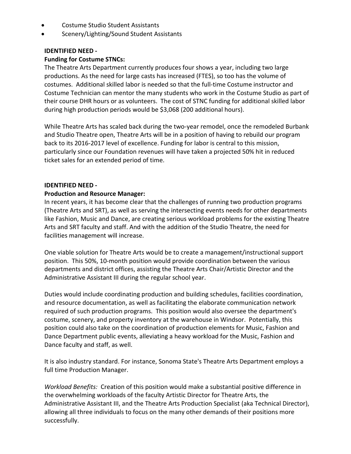- Costume Studio Student Assistants
- Scenery/Lighting/Sound Student Assistants

#### **IDENTIFIED NEED -**

#### **Funding for Costume STNCs:**

The Theatre Arts Department currently produces four shows a year, including two large productions. As the need for large casts has increased (FTES), so too has the volume of costumes. Additional skilled labor is needed so that the full-time Costume instructor and Costume Technician can mentor the many students who work in the Costume Studio as part of their course DHR hours or as volunteers. The cost of STNC funding for additional skilled labor during high production periods would be \$3,068 (200 additional hours).

While Theatre Arts has scaled back during the two-year remodel, once the remodeled Burbank and Studio Theatre open, Theatre Arts will be in a position of having to rebuild our program back to its 2016-2017 level of excellence. Funding for labor is central to this mission, particularly since our Foundation revenues will have taken a projected 50% hit in reduced ticket sales for an extended period of time.

#### **IDENTIFIED NEED -**

#### **Production and Resource Manager:**

In recent years, it has become clear that the challenges of running two production programs (Theatre Arts and SRT), as well as serving the intersecting events needs for other departments like Fashion, Music and Dance, are creating serious workload problems for the existing Theatre Arts and SRT faculty and staff. And with the addition of the Studio Theatre, the need for facilities management will increase.

One viable solution for Theatre Arts would be to create a management/instructional support position. This 50%, 10-month position would provide coordination between the various departments and district offices, assisting the Theatre Arts Chair/Artistic Director and the Administrative Assistant III during the regular school year.

Duties would include coordinating production and building schedules, facilities coordination, and resource documentation, as well as facilitating the elaborate communication network required of such production programs. This position would also oversee the department's costume, scenery, and property inventory at the warehouse in Windsor. Potentially, this position could also take on the coordination of production elements for Music, Fashion and Dance Department public events, alleviating a heavy workload for the Music, Fashion and Dance faculty and staff, as well.

It is also industry standard. For instance, Sonoma State's Theatre Arts Department employs a full time Production Manager.

*Workload Benefits:* Creation of this position would make a substantial positive difference in the overwhelming workloads of the faculty Artistic Director for Theatre Arts, the Administrative Assistant III, and the Theatre Arts Production Specialist (aka Technical Director), allowing all three individuals to focus on the many other demands of their positions more successfully.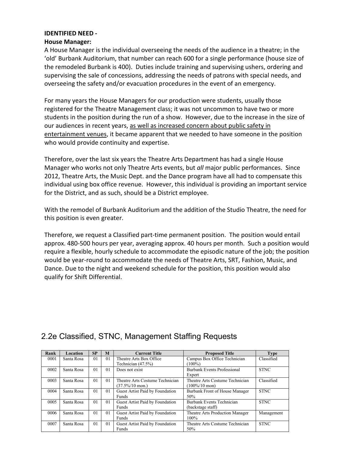#### **IDENTIFIED NEED -**

#### **House Manager:**

A House Manager is the individual overseeing the needs of the audience in a theatre; in the 'old' Burbank Auditorium, that number can reach 600 for a single performance (house size of the remodeled Burbank is 400). Duties include training and supervising ushers, ordering and supervising the sale of concessions, addressing the needs of patrons with special needs, and overseeing the safety and/or evacuation procedures in the event of an emergency.

For many years the House Managers for our production were students, usually those registered for the Theatre Management class; it was not uncommon to have two or more students in the position during the run of a show. However, due to the increase in the size of our audiences in recent years, as well as increased concern about public safety in entertainment venues, it became apparent that we needed to have someone in the position who would provide continuity and expertise.

Therefore, over the last six years the Theatre Arts Department has had a single House Manager who works not only Theatre Arts events, but *all* major public performances. Since 2012, Theatre Arts, the Music Dept. and the Dance program have all had to compensate this individual using box office revenue. However, this individual is providing an important service for the District, and as such, should be a District employee.

With the remodel of Burbank Auditorium and the addition of the Studio Theatre, the need for this position is even greater.

Therefore, we request a Classified part-time permanent position. The position would entail approx. 480-500 hours per year, averaging approx. 40 hours per month. Such a position would require a flexible, hourly schedule to accommodate the episodic nature of the job; the position would be year-round to accommodate the needs of Theatre Arts, SRT, Fashion, Music, and Dance. Due to the night and weekend schedule for the position, this position would also qualify for Shift Differential.

| Rank | Location   | <b>SP</b>      | M              | <b>Current Title</b>            | <b>Proposed Title</b>           | <b>Type</b> |
|------|------------|----------------|----------------|---------------------------------|---------------------------------|-------------|
| 0001 | Santa Rosa | $\overline{0}$ | 0 <sub>1</sub> | Theatre Arts Box Office         | Campus Box Office Technician    | Classified  |
|      |            |                |                | Technician $(47.5\%)$           | $(100\%)$                       |             |
| 0002 | Santa Rosa | $\overline{0}$ | 0 <sub>1</sub> | Does not exist                  | Burbank Events Professional     | <b>STNC</b> |
|      |            |                |                |                                 | Expert                          |             |
| 0003 | Santa Rosa | $\overline{0}$ | 0 <sub>1</sub> | Theatre Arts Costume Technician | Theatre Arts Costume Technician | Classified  |
|      |            |                |                | $(37.5\%/10 \text{ mon.})$      | $(100\%/10 \text{ mon})$        |             |
| 0004 | Santa Rosa | 0 <sub>1</sub> | 0 <sub>1</sub> | Guest Artist Paid by Foundation | Burbank Front of House Manager  | <b>STNC</b> |
|      |            |                |                | Funds                           | 50%                             |             |
| 0005 | Santa Rosa | $\overline{0}$ | 0 <sub>1</sub> | Guest Artist Paid by Foundation | Burbank Events Technician       | <b>STNC</b> |
|      |            |                |                | <b>Funds</b>                    | (backstage staff)               |             |
| 0006 | Santa Rosa | $\overline{0}$ | 0 <sub>1</sub> | Guest Artist Paid by Foundation | Theatre Arts Production Manager | Management  |
|      |            |                |                | <b>Funds</b>                    | $100\%$                         |             |
| 0007 | Santa Rosa | $\overline{0}$ | $\Omega$       | Guest Artist Paid by Foundation | Theatre Arts Costume Technician | <b>STNC</b> |
|      |            |                |                | <b>Funds</b>                    | 50%                             |             |

# 2.2e Classified, STNC, Management Staffing Requests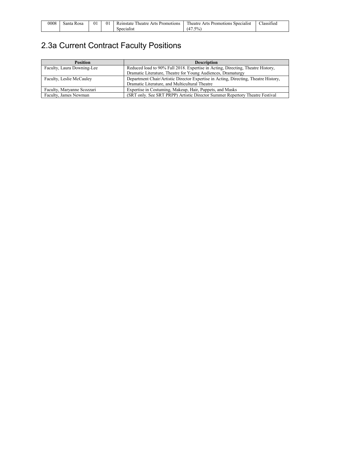| 0008 | $\sim$<br>Rosa<br>Santa | $_{01}$ | $_{01}$ | <b>CONTRACT</b><br>Arts<br>Promotions<br>Reinstate<br>heatre | <b>COL</b><br>Arts<br>l heatre<br>Promotions<br>Specialist | . .<br>$\sim$<br>∟lassified |
|------|-------------------------|---------|---------|--------------------------------------------------------------|------------------------------------------------------------|-----------------------------|
|      |                         |         |         | Specialist                                                   | $7.5\%$<br>ıд                                              |                             |

# 2.3a Current Contract Faculty Positions

| <b>Position</b>            | <b>Description</b>                                                                  |
|----------------------------|-------------------------------------------------------------------------------------|
| Faculty, Laura Downing-Lee | Reduced load to 90% Fall 2018. Expertise in Acting, Directing, Theatre History,     |
|                            | Dramatic Literature, Theatre for Young Audiences, Dramaturgy                        |
| Faculty, Leslie McCauley   | Department Chair/Artistic Director Expertise in Acting, Directing, Theatre History, |
|                            | Dramatic Literature, and Multicultural Theatre                                      |
| Faculty, Maryanne Scozzari | Expertise in Costuming, Makeup, Hair, Puppets, and Masks                            |
| Faculty, James Newman      | (SRT only. See SRT PRPP) Artistic Director Summer Repertory Theatre Festival        |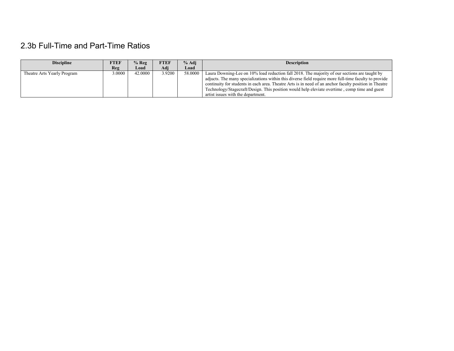# 2.3b Full-Time and Part-Time Ratios

| <b>Discipline</b>           | FTEF   | $%$ Reg | <b>FTEF</b> | % Adi   | <b>Description</b>                                                                                                                                                                                                                                                                                                                                                                                                                                      |
|-----------------------------|--------|---------|-------------|---------|---------------------------------------------------------------------------------------------------------------------------------------------------------------------------------------------------------------------------------------------------------------------------------------------------------------------------------------------------------------------------------------------------------------------------------------------------------|
|                             | Reg    | Load    | Adi         | Load    |                                                                                                                                                                                                                                                                                                                                                                                                                                                         |
| Theatre Arts Yearly Program | 3.0000 | 42,0000 | 3.9200      | 58,0000 | Laura Downing-Lee on 10% load reduction fall 2018. The majority of our sections are taught by<br>adjucts. The many specializations within this diverse field require more full-time faculty to provide<br>continuity for students in each area. Theatre Arts is in need of an anchor faculty position in Theatre<br>Technology/Stagecraft/Design. This position would help eleviate overtime, comp time and guest<br>artist issues with the department. |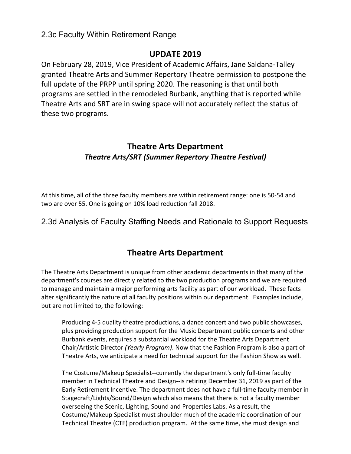### 2.3c Faculty Within Retirement Range

## **UPDATE 2019**

On February 28, 2019, Vice President of Academic Affairs, Jane Saldana-Talley granted Theatre Arts and Summer Repertory Theatre permission to postpone the full update of the PRPP until spring 2020. The reasoning is that until both programs are settled in the remodeled Burbank, anything that is reported while Theatre Arts and SRT are in swing space will not accurately reflect the status of these two programs.

## **Theatre Arts Department** *Theatre Arts/SRT (Summer Repertory Theatre Festival)*

At this time, all of the three faculty members are within retirement range: one is 50-54 and two are over 55. One is going on 10% load reduction fall 2018.

2.3d Analysis of Faculty Staffing Needs and Rationale to Support Requests

# **Theatre Arts Department**

The Theatre Arts Department is unique from other academic departments in that many of the department's courses are directly related to the two production programs and we are required to manage and maintain a major performing arts facility as part of our workload. These facts alter significantly the nature of all faculty positions within our department. Examples include, but are not limited to, the following:

Producing 4-5 quality theatre productions, a dance concert and two public showcases, plus providing production support for the Music Department public concerts and other Burbank events, requires a substantial workload for the Theatre Arts Department Chair/Artistic Director *(Yearly Program)*. Now that the Fashion Program is also a part of Theatre Arts, we anticipate a need for technical support for the Fashion Show as well.

The Costume/Makeup Specialist--currently the department's only full-time faculty member in Technical Theatre and Design--is retiring December 31, 2019 as part of the Early Retirement Incentive. The department does not have a full-time faculty member in Stagecraft/Lights/Sound/Design which also means that there is not a faculty member overseeing the Scenic, Lighting, Sound and Properties Labs. As a result, the Costume/Makeup Specialist must shoulder much of the academic coordination of our Technical Theatre (CTE) production program. At the same time, she must design and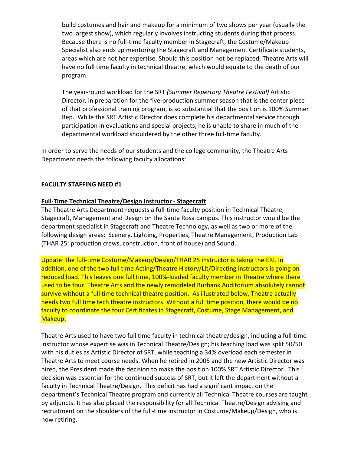build costumes and hair and makeup for a minimum of two shows per year (usually the two largest show), which regularly involves instructing students during that process. Because there is no full-time faculty member in Stagecraft, the Costume/Makeup Specialist also ends up mentoring the Stagecraft and Management Certificate students, areas which are not her expertise. Should this position not be replaced, Theatre Arts will have no full time faculty in technical theatre, which would equate to the death of our program.

The year-round workload for the SRT *(Summer Repertory Theatre Festival)* Artistic Director, in preparation for the five-production summer season that is the center piece of that professional training program, is so substantial that the position is 100% Summer Rep. While the SRT Artistic Director does complete his departmental service through participation in evaluations and special projects, he is unable to share in much of the departmental workload shouldered by the other three full-time faculty.

In order to serve the needs of our students and the college community, the Theatre Arts Department needs the following faculty allocations:

#### **FACULTY STAFFING NEED #1**

#### **Full-Time Technical Theatre/Design Instructor - Stagecraft**

The Theatre Arts Department requests a full-time faculty position in Technical Theatre, Stagecraft, Management and Design on the Santa Rosa campus. This instructor would be the department specialist in Stagecraft and Theatre Technology, as well as two or more of the following design areas: Scenery, Lighting, Properties, Theatre Management, Production Lab (THAR 25: production crews, construction, front of house) and Sound.

Update: the full-time Costume/Makeup/Design/THAR 25 instructor is taking the ERI. In addition, one of the two full time Acting/Theatre History/Lit/Directing instructors is going on reduced load. This leaves one full time, 100%-loaded faculty member in Theatre where there used to be four. Theatre Arts and the newly remodeled Burbank Auditorium absolutely cannot survive without a full time technical theatre position. As illustrated below, Theatre actually needs two full time tech theatre instructors. Without a full time position, there would be no faculty to coordinate the four Certificates in Stagecraft, Costume, Stage Management, and Makeup.

Theatre Arts used to have two full time faculty in technical theatre/design, including a full-time instructor whose expertise was in Technical Theatre/Design; his teaching load was split 50/50 with his duties as Artistic Director of SRT, while teaching a 34% overload each semester in Theatre Arts to meet course needs. When he retired in 2005 and the new Artistic Director was hired, the President made the decision to make the position 100% SRT Artistic Director. This decision was essential for the continued success of SRT, but it left the department without a faculty in Technical Theatre/Design. This deficit has had a significant impact on the department's Technical Theatre program and currently all Technical Theatre courses are taught by adjuncts. It has also placed the responsibility for all Technical Theatre/Design advising and recruitment on the shoulders of the full-time instructor in Costume/Makeup/Design, who is now retiring.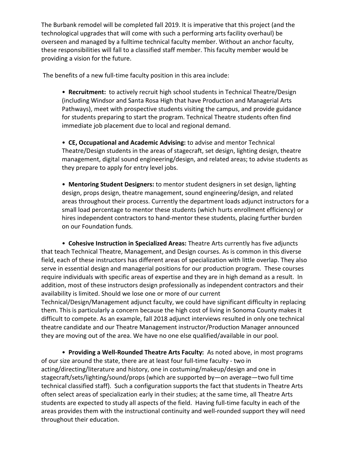The Burbank remodel will be completed fall 2019. It is imperative that this project (and the technological upgrades that will come with such a performing arts facility overhaul) be overseen and managed by a fulltime technical faculty member. Without an anchor faculty, these responsibilities will fall to a classified staff member. This faculty member would be providing a vision for the future.

The benefits of a new full-time faculty position in this area include:

• **Recruitment:** to actively recruit high school students in Technical Theatre/Design (including Windsor and Santa Rosa High that have Production and Managerial Arts Pathways), meet with prospective students visiting the campus, and provide guidance for students preparing to start the program. Technical Theatre students often find immediate job placement due to local and regional demand.

• **CE, Occupational and Academic Advising:** to advise and mentor Technical Theatre/Design students in the areas of stagecraft, set design, lighting design, theatre management, digital sound engineering/design, and related areas; to advise students as they prepare to apply for entry level jobs.

• **Mentoring Student Designers:** to mentor student designers in set design, lighting design, props design, theatre management, sound engineering/design, and related areas throughout their process. Currently the department loads adjunct instructors for a small load percentage to mentor these students (which hurts enrollment efficiency) or hires independent contractors to hand-mentor these students, placing further burden on our Foundation funds.

• **Cohesive Instruction in Specialized Areas:** Theatre Arts currently has five adjuncts that teach Technical Theatre, Management, and Design courses. As is common in this diverse field, each of these instructors has different areas of specialization with little overlap. They also serve in essential design and managerial positions for our production program. These courses require individuals with specific areas of expertise and they are in high demand as a result. In addition, most of these instructors design professionally as independent contractors and their availability is limited. Should we lose one or more of our current

Technical/Design/Management adjunct faculty, we could have significant difficulty in replacing them. This is particularly a concern because the high cost of living in Sonoma County makes it difficult to compete. As an example, fall 2018 adjunct interviews resulted in only one technical theatre candidate and our Theatre Management instructor/Production Manager announced they are moving out of the area. We have no one else qualified/available in our pool.

• **Providing a Well-Rounded Theatre Arts Faculty:** As noted above, in most programs of our size around the state, there are at least four full-time faculty - two in acting/directing/literature and history, one in costuming/makeup/design and one in stagecraft/sets/lighting/sound/props (which are supported by—on average—two full time technical classified staff). Such a configuration supports the fact that students in Theatre Arts often select areas of specialization early in their studies; at the same time, all Theatre Arts students are expected to study all aspects of the field. Having full-time faculty in each of the areas provides them with the instructional continuity and well-rounded support they will need throughout their education.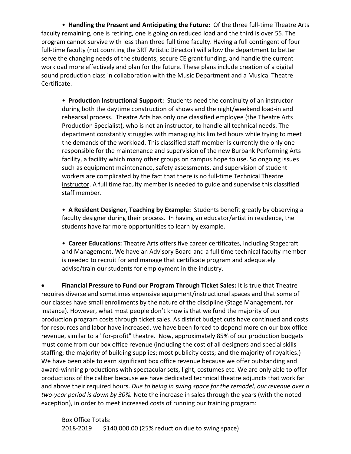• **Handling the Present and Anticipating the Future:** Of the three full-time Theatre Arts faculty remaining, one is retiring, one is going on reduced load and the third is over 55. The program cannot survive with less than three full time faculty. Having a full contingent of four full-time faculty (not counting the SRT Artistic Director) will allow the department to better serve the changing needs of the students, secure CE grant funding, and handle the current workload more effectively and plan for the future. These plans include creation of a digital sound production class in collaboration with the Music Department and a Musical Theatre Certificate.

• **Production Instructional Support:** Students need the continuity of an instructor during both the daytime construction of shows and the night/weekend load-in and rehearsal process. Theatre Arts has only one classified employee (the Theatre Arts Production Specialist), who is not an instructor, to handle all technical needs. The department constantly struggles with managing his limited hours while trying to meet the demands of the workload. This classified staff member is currently the only one responsible for the maintenance and supervision of the new Burbank Performing Arts facility, a facility which many other groups on campus hope to use. So ongoing issues such as equipment maintenance, safety assessments, and supervision of student workers are complicated by the fact that there is no full-time Technical Theatre instructor. A full time faculty member is needed to guide and supervise this classified staff member.

• **A Resident Designer, Teaching by Example:** Students benefit greatly by observing a faculty designer during their process. In having an educator/artist in residence, the students have far more opportunities to learn by example.

• **Career Educations:** Theatre Arts offers five career certificates, including Stagecraft and Management. We have an Advisory Board and a full time technical faculty member is needed to recruit for and manage that certificate program and adequately advise/train our students for employment in the industry.

• **Financial Pressure to Fund our Program Through Ticket Sales:** It is true that Theatre requires diverse and sometimes expensive equipment/instructional spaces and that some of our classes have small enrollments by the nature of the discipline (Stage Management, for instance). However, what most people don't know is that we fund the majority of our production program costs through ticket sales. As district budget cuts have continued and costs for resources and labor have increased, we have been forced to depend more on our box office revenue, similar to a "for-profit" theatre. Now, approximately 85% of our production budgets must come from our box office revenue (including the cost of all designers and special skills staffing; the majority of building supplies; most publicity costs; and the majority of royalties.) We have been able to earn significant box office revenue because we offer outstanding and award-winning productions with spectacular sets, light, costumes etc. We are only able to offer productions of the caliber because we have dedicated technical theatre adjuncts that work far and above their required hours. *Due to being in swing space for the remodel, our revenue over a two-year period is down by 30%.* Note the increase in sales through the years (with the noted exception), in order to meet increased costs of running our training program:

Box Office Totals: 2018-2019 \$140,000.00 (25% reduction due to swing space)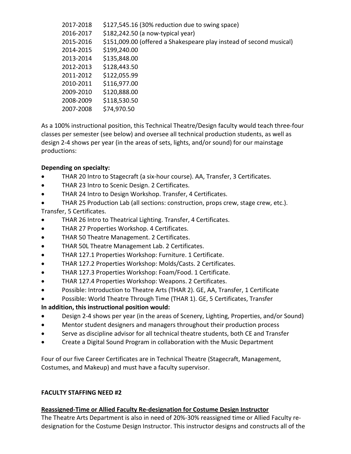| 2017-2018 | \$127,545.16 (30% reduction due to swing space)                     |
|-----------|---------------------------------------------------------------------|
| 2016-2017 | \$182,242.50 (a now-typical year)                                   |
| 2015-2016 | \$151,009.00 (offered a Shakespeare play instead of second musical) |
| 2014-2015 | \$199,240.00                                                        |
| 2013-2014 | \$135,848.00                                                        |
| 2012-2013 | \$128,443.50                                                        |
| 2011-2012 | \$122,055.99                                                        |
| 2010-2011 | \$116,977.00                                                        |
| 2009-2010 | \$120,888.00                                                        |
| 2008-2009 | \$118,530.50                                                        |
| 2007-2008 | \$74,970.50                                                         |
|           |                                                                     |

As a 100% instructional position, this Technical Theatre/Design faculty would teach three-four classes per semester (see below) and oversee all technical production students, as well as design 2-4 shows per year (in the areas of sets, lights, and/or sound) for our mainstage productions:

#### **Depending on specialty:**

- THAR 20 Intro to Stagecraft (a six-hour course). AA, Transfer, 3 Certificates.
- THAR 23 Intro to Scenic Design. 2 Certificates.
- THAR 24 Intro to Design Workshop. Transfer, 4 Certificates.
- THAR 25 Production Lab (all sections: construction, props crew, stage crew, etc.). Transfer, 5 Certificates.
- THAR 26 Intro to Theatrical Lighting. Transfer, 4 Certificates.
- THAR 27 Properties Workshop. 4 Certificates.
- THAR 50 Theatre Management. 2 Certificates.
- THAR 50L Theatre Management Lab. 2 Certificates.
- THAR 127.1 Properties Workshop: Furniture. 1 Certificate.
- THAR 127.2 Properties Workshop: Molds/Casts. 2 Certificates.
- THAR 127.3 Properties Workshop: Foam/Food. 1 Certificate.
- THAR 127.4 Properties Workshop: Weapons. 2 Certificates.
- Possible: Introduction to Theatre Arts (THAR 2). GE, AA, Transfer, 1 Certificate
- Possible: World Theatre Through Time (THAR 1). GE, 5 Certificates, Transfer

#### **In addition, this instructional position would:**

- Design 2-4 shows per year (in the areas of Scenery, Lighting, Properties, and/or Sound)
- Mentor student designers and managers throughout their production process
- Serve as discipline advisor for all technical theatre students, both CE and Transfer
- Create a Digital Sound Program in collaboration with the Music Department

Four of our five Career Certificates are in Technical Theatre (Stagecraft, Management, Costumes, and Makeup) and must have a faculty supervisor.

#### **FACULTY STAFFING NEED #2**

#### **Reassigned-Time or Allied Faculty Re-designation for Costume Design Instructor**

The Theatre Arts Department is also in need of 20%-30% reassigned time or Allied Faculty redesignation for the Costume Design Instructor. This instructor designs and constructs all of the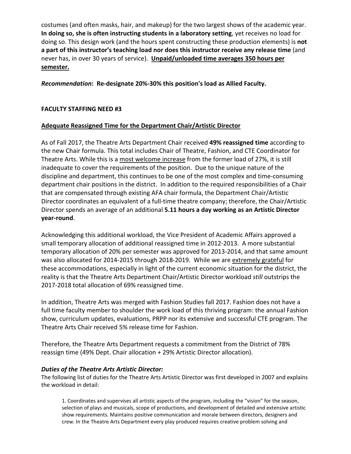costumes (and often masks, hair, and makeup) for the two largest shows of the academic year. **In doing so, she is often instructing students in a laboratory setting**, yet receives no load for doing so. This design work (and the hours spent constructing these production elements) is **not a part of this instructor's teaching load nor does this instructor receive any release time** (and never has, in over 30 years of service). **Unpaid/unloaded time averages 350 hours per semester.**

*Recommendation***: Re-designate 20%-30% this position's load as Allied Faculty.**

### **FACULTY STAFFING NEED #3**

### **Adequate Reassigned Time for the Department Chair/Artistic Director**

As of Fall 2017, the Theatre Arts Department Chair received **49% reassigned time** according to the new Chair formula. This total includes Chair of Theatre, Fashion, and CTE Coordinator for Theatre Arts. While this is a most welcome increase from the former load of 27%, it is still inadequate to cover the requirements of the position. Due to the unique nature of the discipline and department, this continues to be one of the most complex and time-consuming department chair positions in the district. In addition to the required responsibilities of a Chair that are compensated through existing AFA chair formula, the Department Chair/Artistic Director coordinates an equivalent of a full-time theatre company; therefore, the Chair/Artistic Director spends an average of an additional **5.11 hours a day working as an Artistic Director year-round**.

Acknowledging this additional workload, the Vice President of Academic Affairs approved a small temporary allocation of additional reassigned time in 2012-2013. A more substantial temporary allocation of 20% per semester was approved for 2013-2014, and that same amount was also allocated for 2014-2015 through 2018-2019. While we are extremely grateful for these accommodations, especially in light of the current economic situation for the district, the reality is that the Theatre Arts Department Chair/Artistic Director workload *still* outstrips the 2017-2018 total allocation of 69% reassigned time.

In addition, Theatre Arts was merged with Fashion Studies fall 2017. Fashion does not have a full time faculty member to shoulder the work load of this thriving program: the annual Fashion show, curriculum updates, evaluations, PRPP nor its extensive and successful CTE program. The Theatre Arts Chair received 5% release time for Fashion.

Therefore, the Theatre Arts Department requests a commitment from the District of 78% reassign time (49% Dept. Chair allocation + 29% Artistic Director allocation).

### *Duties of the Theatre Arts Artistic Director:*

The following list of duties for the Theatre Arts Artistic Director was first developed in 2007 and explains the workload in detail:

1. Coordinates and supervises all artistic aspects of the program, including the "vision" for the season, selection of plays and musicals, scope of productions, and development of detailed and extensive artistic show requirements. Maintains positive communication and morale between directors, designers and crew. In the Theatre Arts Department every play produced requires creative problem solving and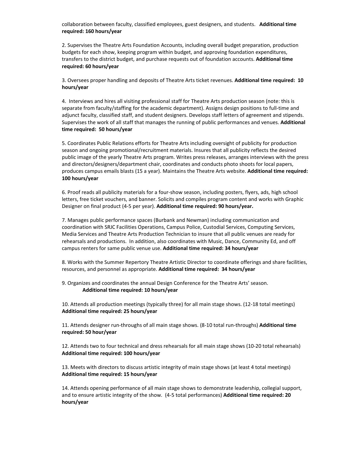collaboration between faculty, classified employees, guest designers, and students. **Additional time required: 160 hours/year**

2. Supervises the Theatre Arts Foundation Accounts, including overall budget preparation, production budgets for each show, keeping program within budget, and approving foundation expenditures, transfers to the district budget, and purchase requests out of foundation accounts. **Additional time required: 60 hours/year**

3. Oversees proper handling and deposits of Theatre Arts ticket revenues. **Additional time required: 10 hours/year**

4. Interviews and hires all visiting professional staff for Theatre Arts production season (note: this is separate from faculty/staffing for the academic department). Assigns design positions to full-time and adjunct faculty, classified staff, and student designers. Develops staff letters of agreement and stipends. Supervises the work of all staff that manages the running of public performances and venues. **Additional time required: 50 hours/year**

5. Coordinates Public Relations efforts for Theatre Arts including oversight of publicity for production season and ongoing promotional/recruitment materials. Insures that all publicity reflects the desired public image of the yearly Theatre Arts program. Writes press releases, arranges interviews with the press and directors/designers/department chair, coordinates and conducts photo shoots for local papers, produces campus emails blasts (15 a year). Maintains the Theatre Arts website. **Additional time required: 100 hours/year**

6. Proof reads all publicity materials for a four-show season, including posters, flyers, ads, high school letters, free ticket vouchers, and banner. Solicits and compiles program content and works with Graphic Designer on final product (4-5 per year). **Additional time required: 90 hours/year.**

7. Manages public performance spaces (Burbank and Newman) including communication and coordination with SRJC Facilities Operations, Campus Police, Custodial Services, Computing Services, Media Services and Theatre Arts Production Technician to insure that all public venues are ready for rehearsals and productions. In addition, also coordinates with Music, Dance, Community Ed, and off campus renters for same public venue use. **Additional time required: 34 hours/year**

8. Works with the Summer Repertory Theatre Artistic Director to coordinate offerings and share facilities, resources, and personnel as appropriate. **Additional time required: 34 hours/year**

9. Organizes and coordinates the annual Design Conference for the Theatre Arts' season. **Additional time required: 10 hours/year**

10. Attends all production meetings (typically three) for all main stage shows. (12-18 total meetings) **Additional time required: 25 hours/year**

11. Attends designer run-throughs of all main stage shows. (8-10 total run-throughs) **Additional time required: 50 hour/year**

12. Attends two to four technical and dress rehearsals for all main stage shows (10-20 total rehearsals) **Additional time required: 100 hours/year**

13. Meets with directors to discuss artistic integrity of main stage shows (at least 4 total meetings) **Additional time required: 15 hours/year**

14. Attends opening performance of all main stage shows to demonstrate leadership, collegial support, and to ensure artistic integrity of the show. (4-5 total performances) **Additional time required: 20 hours/year**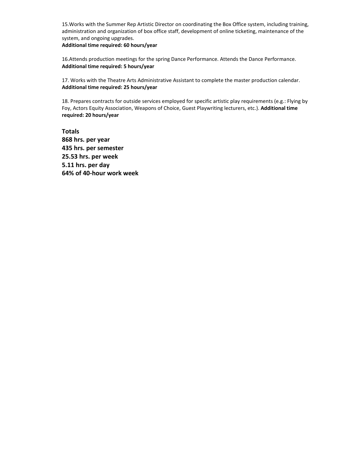15.Works with the Summer Rep Artistic Director on coordinating the Box Office system, including training, administration and organization of box office staff, development of online ticketing, maintenance of the system, and ongoing upgrades.

**Additional time required: 60 hours/year**

16.Attends production meetings for the spring Dance Performance. Attends the Dance Performance. **Additional time required: 5 hours/year**

17. Works with the Theatre Arts Administrative Assistant to complete the master production calendar. **Additional time required: 25 hours/year**

18. Prepares contracts for outside services employed for specific artistic play requirements (e.g.: Flying by Foy, Actors Equity Association, Weapons of Choice, Guest Playwriting lecturers, etc.). **Additional time required: 20 hours/year**

**Totals 868 hrs. per year 435 hrs. per semester 25.53 hrs. per week 5.11 hrs. per day 64% of 40-hour work week**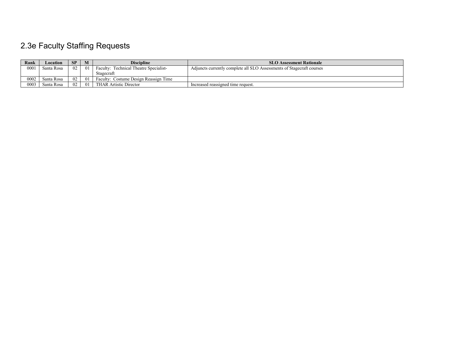# 2.3e Faculty Staffing Requests

| Rank | $\boldsymbol{\mathsf{\scriptstyle \omega}}$ ocation | <b>SP</b> |    | <b>Discipline</b>                      | <b>SLO Assessment Rationale</b>                                       |
|------|-----------------------------------------------------|-----------|----|----------------------------------------|-----------------------------------------------------------------------|
| 0001 | Santa Rosa                                          | 02        | 01 | Faculty: Technical Theatre Specialist- | Adjuncts currently complete all SLO Assessments of Stagecraft courses |
|      |                                                     |           |    | Stagecraft                             |                                                                       |
| 0002 | Santa Rosa                                          | 02        | 01 | Faculty: Costume Design Reassign Time  |                                                                       |
| 0003 | Santa Rosa                                          | -02       | 01 | <b>THAR Artistic Director</b>          | Increased reassigned time request.                                    |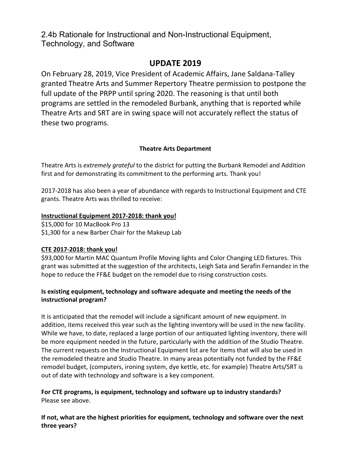2.4b Rationale for Instructional and Non-Instructional Equipment, Technology, and Software

## **UPDATE 2019**

On February 28, 2019, Vice President of Academic Affairs, Jane Saldana-Talley granted Theatre Arts and Summer Repertory Theatre permission to postpone the full update of the PRPP until spring 2020. The reasoning is that until both programs are settled in the remodeled Burbank, anything that is reported while Theatre Arts and SRT are in swing space will not accurately reflect the status of these two programs.

### **Theatre Arts Department**

Theatre Arts is *extremely grateful* to the district for putting the Burbank Remodel and Addition first and for demonstrating its commitment to the performing arts. Thank you!

2017-2018 has also been a year of abundance with regards to Instructional Equipment and CTE grants. Theatre Arts was thrilled to receive:

### **Instructional Equipment 2017-2018: thank you!**

\$15,000 for 10 MacBook Pro 13 \$1,300 for a new Barber Chair for the Makeup Lab

### **CTE 2017-2018: thank you!**

\$93,000 for Martin MAC Quantum Profile Moving lights and Color Changing LED fixtures. This grant was submitted at the suggestion of the architects, Leigh Sata and Serafin Fernandez in the hope to reduce the FF&E budget on the remodel due to rising construction costs.

### **Is existing equipment, technology and software adequate and meeting the needs of the instructional program?**

It is anticipated that the remodel will include a significant amount of new equipment. In addition, items received this year such as the lighting inventory will be used in the new facility. While we have, to date, replaced a large portion of our antiquated lighting inventory, there will be more equipment needed in the future, particularly with the addition of the Studio Theatre. The current requests on the Instructional Equipment list are for items that will also be used in the remodeled theatre and Studio Theatre. In many areas potentially not funded by the FF&E remodel budget, (computers, ironing system, dye kettle, etc. for example) Theatre Arts/SRT is out of date with technology and software is a key component.

### **For CTE programs, is equipment, technology and software up to industry standards?**  Please see above.

**If not, what are the highest priorities for equipment, technology and software over the next three years?**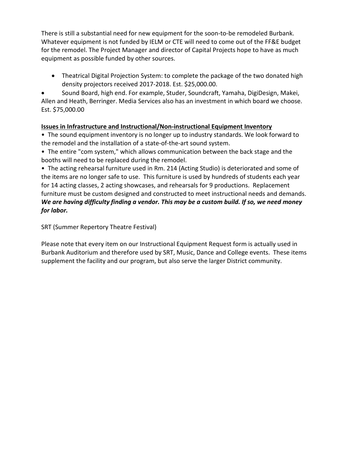There is still a substantial need for new equipment for the soon-to-be remodeled Burbank. Whatever equipment is not funded by IELM or CTE will need to come out of the FF&E budget for the remodel. The Project Manager and director of Capital Projects hope to have as much equipment as possible funded by other sources.

• Theatrical Digital Projection System: to complete the package of the two donated high density projectors received 2017-2018. Est. \$25,000.00.

• Sound Board, high end. For example, Studer, Soundcraft, Yamaha, DigiDesign, Makei, Allen and Heath, Berringer. Media Services also has an investment in which board we choose. Est. \$75,000.00

### **Issues in Infrastructure and Instructional/Non-instructional Equipment Inventory**

• The sound equipment inventory is no longer up to industry standards. We look forward to the remodel and the installation of a state-of-the-art sound system.

• The entire "com system," which allows communication between the back stage and the booths will need to be replaced during the remodel.

• The acting rehearsal furniture used in Rm. 214 (Acting Studio) is deteriorated and some of the items are no longer safe to use. This furniture is used by hundreds of students each year for 14 acting classes, 2 acting showcases, and rehearsals for 9 productions. Replacement furniture must be custom designed and constructed to meet instructional needs and demands. *We are having difficulty finding a vendor. This may be a custom build. If so, we need money for labor.*

SRT (Summer Repertory Theatre Festival)

Please note that every item on our Instructional Equipment Request form is actually used in Burbank Auditorium and therefore used by SRT, Music, Dance and College events. These items supplement the facility and our program, but also serve the larger District community.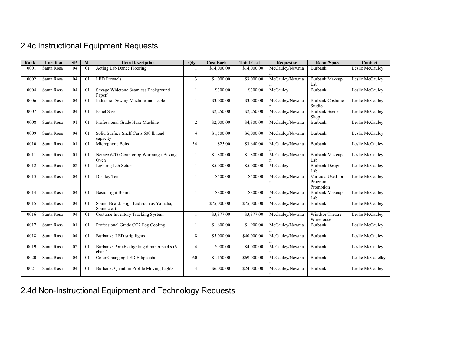# 2.4c Instructional Equipment Requests

| Rank | Location   | SP              | M              | <b>Item Description</b>                              | Qty            | <b>Cost Each</b> | <b>Total Cost</b> | <b>Requestor</b>    | Room/Space                                | Contact          |
|------|------------|-----------------|----------------|------------------------------------------------------|----------------|------------------|-------------------|---------------------|-------------------------------------------|------------------|
| 0001 | Santa Rosa | $\overline{04}$ | 01             | Acting Lab Dance Flooring                            |                | \$14,000.00      | \$14,000.00       | McCauley/Newma      | Burbank                                   | Leslie McCauley  |
| 0002 | Santa Rosa | 04              | 01             | <b>LED</b> Fresnels                                  | 3              | \$1,000.00       | \$3,000.00        | McCauley/Newma      | Burbank Makeup<br>Lab                     | Leslie McCauley  |
| 0004 | Santa Rosa | 04              | 0 <sub>1</sub> | Savage Widetone Seamless Background<br>Paper/        |                | \$300.00         | \$300.00          | McCauley            | <b>Burbank</b>                            | Leslie McCauley  |
| 0006 | Santa Rosa | 04              | 01             | Industrial Sewing Machine and Table                  |                | \$3,000.00       | \$3,000.00        | McCauley/Newma<br>n | <b>Burbank Costume</b><br>Studio          | Leslie McCauley  |
| 0007 | Santa Rosa | 04              | 0 <sub>1</sub> | Panel Saw                                            | $\mathbf{1}$   | \$2,250.00       | \$2,250.00        | McCauley/Newma      | <b>Burbank Scene</b><br>Shop              | Leslie McCauley  |
| 0008 | Santa Rosa | 01              | 0 <sub>1</sub> | Professional Grade Haze Machine                      | $\overline{2}$ | \$2,000.00       | \$4,800.00        | McCauley/Newma<br>n | Burbank                                   | Leslie McCauley  |
| 0009 | Santa Rosa | 04              | $\overline{0}$ | Solid Surface Shelf Carts 600 lb load<br>capacity    | 4              | \$1,500.00       | \$6,000.00        | McCauley/Newma      | <b>Burbank</b>                            | Leslie McCauley  |
| 0010 | Santa Rosa | 01              | 0 <sub>1</sub> | Microphone Belts                                     | 34             | \$25.00          | \$3,640.00        | McCauley/Newma<br>n | <b>Burbank</b>                            | Leslie McCauley  |
| 0011 | Santa Rosa | 01              | 0 <sub>1</sub> | Nemco 6200 Countertop Warming / Baking<br>Oven       | $\mathbf{1}$   | \$1,800.00       | \$1,800.00        | McCauley/Newma      | <b>Burbank Makeup</b><br>Lab              | Leslie McCauley  |
| 0012 | Santa Rosa | 02              | 01             | Lighting Lab Setup                                   | -1             | \$5,000.00       | \$5,000.00        | McCauley            | <b>Burbank Design</b><br>Lab              | Leslie McCauley  |
| 0013 | Santa Rosa | 04              | 0 <sub>1</sub> | Display Tent                                         |                | \$500.00         | \$500.00          | McCauley/Newma<br>n | Various: Used for<br>Program<br>Promotion | Leslie McCauley  |
| 0014 | Santa Rosa | 04              | $\overline{0}$ | <b>Basic Light Board</b>                             | 1              | \$800.00         | \$800.00          | McCauley/Newma      | <b>Burbank Makeup</b><br>Lab              | Leslie McCauley  |
| 0015 | Santa Rosa | 04              | 01             | Sound Board: High End such as Yamaha,<br>Soundcraft. | $\mathbf{1}$   | \$75,000.00      | \$75,000.00       | McCauley/Newma      | Burbank                                   | Leslie McCauley  |
| 0016 | Santa Rosa | 04              | 01             | Costume Inventory Tracking System                    |                | \$3,877.00       | \$3,877.00        | McCauley/Newma      | Windsor Theatre<br>Warehouse              | Leslie McCauley  |
| 0017 | Santa Rosa | 01              | 0 <sub>1</sub> | Professional Grade CO2 Fog Cooling                   |                | \$1,600.00       | \$1,900.00        | McCauley/Newma<br>n | Burbank                                   | Leslie McCauley  |
| 0018 | Santa Rosa | 04              | $\overline{0}$ | Burbank: LED strip lights                            | 8              | \$5,000.00       | \$40,000.00       | McCauley/Newma      | Burbank                                   | Leslie McCauley  |
| 0019 | Santa Rosa | 02              | 01             | Burbank: Portable lighting dimmer packs (6<br>chan.) | 4              | \$900.00         | \$4,000.00        | McCauley/Newma<br>n | <b>Burbank</b>                            | Leslie McCauley  |
| 0020 | Santa Rosa | 04              | 0 <sub>1</sub> | Color Changing LED Ellipsoidal                       | 60             | \$1,150.00       | \$69,000.00       | McCauley/Newma<br>n | Burbank                                   | Leslie McCauelky |
| 0021 | Santa Rosa | 04              | 0 <sup>1</sup> | Burbank: Quantum Profile Moving Lights               | $\overline{4}$ | \$6,000.00       | \$24,000.00       | McCauley/Newma<br>n | Burbank                                   | Leslie McCauley  |

2.4d Non-Instructional Equipment and Technology Requests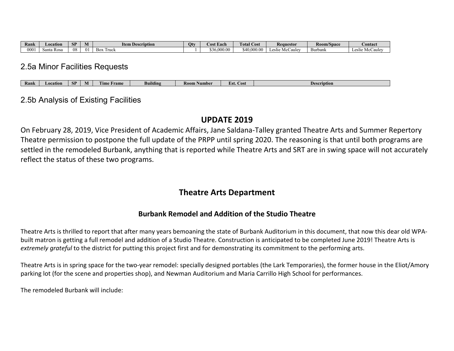| Rank | Location       | <b>CD</b><br>D. | M           | $\mathbf{r}$<br>tem<br>ı Description | Ot۱ | t Each<br>A .OS. | <b>COLLECT</b><br><b>Fotal Cost</b> | <b>Requestor</b>                            | Room/Space        | <b>Contact</b>  |
|------|----------------|-----------------|-------------|--------------------------------------|-----|------------------|-------------------------------------|---------------------------------------------|-------------------|-----------------|
| 000  | ∖anta<br>R OS2 | 08              | $^{\Omega}$ | $\sim$<br>ruck<br><b>BOX</b>         |     | .000.00<br>эn    | \$40<br>.000                        | <i>C</i> aulev<br>$\alpha$ lic<br>ചഥ<br>IVI | $\sim$<br>Burbank | . McCaulev<br>⊷ |

## 2.5a Minor Facilities Requests

### 2.5b Analysis of Existing Facilities

## **UPDATE 2019**

On February 28, 2019, Vice President of Academic Affairs, Jane Saldana-Talley granted Theatre Arts and Summer Repertory Theatre permission to postpone the full update of the PRPP until spring 2020. The reasoning is that until both programs are settled in the remodeled Burbank, anything that is reported while Theatre Arts and SRT are in swing space will not accurately reflect the status of these two programs.

## **Theatre Arts Department**

## **Burbank Remodel and Addition of the Studio Theatre**

Theatre Arts is thrilled to report that after many years bemoaning the state of Burbank Auditorium in this document, that now this dear old WPAbuilt matron is getting a full remodel and addition of a Studio Theatre. Construction is anticipated to be completed June 2019! Theatre Arts is *extremely grateful* to the district for putting this project first and for demonstrating its commitment to the performing arts.

Theatre Arts is in spring space for the two-year remodel: specially designed portables (the Lark Temporaries), the former house in the Eliot/Amory parking lot (for the scene and properties shop), and Newman Auditorium and Maria Carrillo High School for performances.

The remodeled Burbank will include: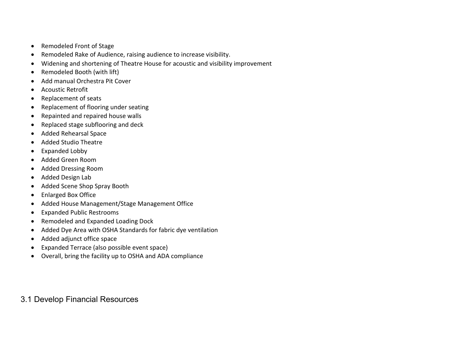- Remodeled Front of Stage
- Remodeled Rake of Audience, raising audience to increase visibility.
- Widening and shortening of Theatre House for acoustic and visibility improvement
- Remodeled Booth (with lift)
- Add manual Orchestra Pit Cover
- Acoustic Retrofit
- Replacement of seats
- Replacement of flooring under seating
- Repainted and repaired house walls
- Replaced stage subflooring and deck
- Added Rehearsal Space
- Added Studio Theatre
- Expanded Lobby
- Added Green Room
- Added Dressing Room
- Added Design Lab
- Added Scene Shop Spray Booth
- Enlarged Box Office
- Added House Management/Stage Management Office
- Expanded Public Restrooms
- Remodeled and Expanded Loading Dock
- Added Dye Area with OSHA Standards for fabric dye ventilation
- Added adjunct office space
- Expanded Terrace (also possible event space)
- Overall, bring the facility up to OSHA and ADA compliance

## 3.1 Develop Financial Resources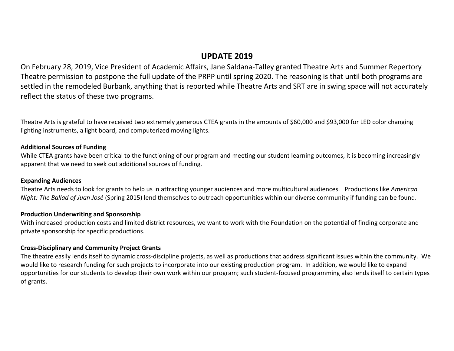## **UPDATE 2019**

On February 28, 2019, Vice President of Academic Affairs, Jane Saldana-Talley granted Theatre Arts and Summer Repertory Theatre permission to postpone the full update of the PRPP until spring 2020. The reasoning is that until both programs are settled in the remodeled Burbank, anything that is reported while Theatre Arts and SRT are in swing space will not accurately reflect the status of these two programs.

Theatre Arts is grateful to have received two extremely generous CTEA grants in the amounts of \$60,000 and \$93,000 for LED color changing lighting instruments, a light board, and computerized moving lights.

### **Additional Sources of Funding**

While CTEA grants have been critical to the functioning of our program and meeting our student learning outcomes, it is becoming increasingly apparent that we need to seek out additional sources of funding.

### **Expanding Audiences**

Theatre Arts needs to look for grants to help us in attracting younger audiences and more multicultural audiences. Productions like *American Night: The Ballad of Juan José* (Spring 2015) lend themselves to outreach opportunities within our diverse community if funding can be found.

### **Production Underwriting and Sponsorship**

With increased production costs and limited district resources, we want to work with the Foundation on the potential of finding corporate and private sponsorship for specific productions.

### **Cross-Disciplinary and Community Project Grants**

The theatre easily lends itself to dynamic cross-discipline projects, as well as productions that address significant issues within the community. We would like to research funding for such projects to incorporate into our existing production program. In addition, we would like to expand opportunities for our students to develop their own work within our program; such student-focused programming also lends itself to certain types of grants.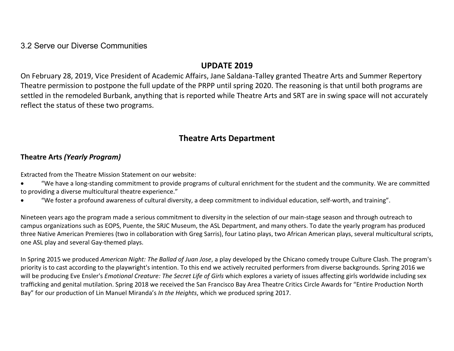## 3.2 Serve our Diverse Communities

## **UPDATE 2019**

On February 28, 2019, Vice President of Academic Affairs, Jane Saldana-Talley granted Theatre Arts and Summer Repertory Theatre permission to postpone the full update of the PRPP until spring 2020. The reasoning is that until both programs are settled in the remodeled Burbank, anything that is reported while Theatre Arts and SRT are in swing space will not accurately reflect the status of these two programs.

# **Theatre Arts Department**

## **Theatre Arts** *(Yearly Program)*

Extracted from the Theatre Mission Statement on our website:

- "We have a long-standing commitment to provide programs of cultural enrichment for the student and the community. We are committed to providing a diverse multicultural theatre experience."
- "We foster a profound awareness of cultural diversity, a deep commitment to individual education, self-worth, and training".

Nineteen years ago the program made a serious commitment to diversity in the selection of our main-stage season and through outreach to campus organizations such as EOPS, Puente, the SRJC Museum, the ASL Department, and many others. To date the yearly program has produced three Native American Premieres (two in collaboration with Greg Sarris), four Latino plays, two African American plays, several multicultural scripts, one ASL play and several Gay-themed plays.

In Spring 2015 we produced *American Night: The Ballad of Juan Jose*, a play developed by the Chicano comedy troupe Culture Clash. The program's priority is to cast according to the playwright's intention. To this end we actively recruited performers from diverse backgrounds. Spring 2016 we will be producing Eve Ensler's *Emotional Creature: The Secret Life of Girls* which explores a variety of issues affecting girls worldwide including sex trafficking and genital mutilation. Spring 2018 we received the San Francisco Bay Area Theatre Critics Circle Awards for "Entire Production North Bay" for our production of Lin Manuel Miranda's *In the Heights*, which we produced spring 2017.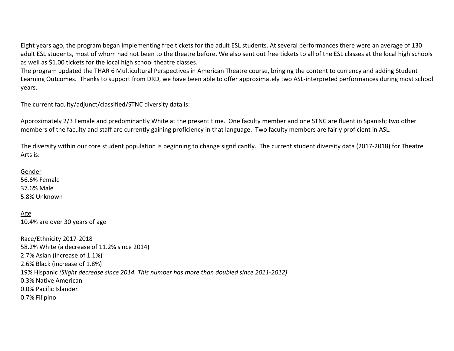Eight years ago, the program began implementing free tickets for the adult ESL students. At several performances there were an average of 130 adult ESL students, most of whom had not been to the theatre before. We also sent out free tickets to all of the ESL classes at the local high schools as well as \$1.00 tickets for the local high school theatre classes.

The program updated the THAR 6 Multicultural Perspectives in American Theatre course, bringing the content to currency and adding Student Learning Outcomes. Thanks to support from DRD, we have been able to offer approximately two ASL-interpreted performances during most school years.

The current faculty/adjunct/classified/STNC diversity data is:

Approximately 2/3 Female and predominantly White at the present time. One faculty member and one STNC are fluent in Spanish; two other members of the faculty and staff are currently gaining proficiency in that language. Two faculty members are fairly proficient in ASL.

The diversity within our core student population is beginning to change significantly. The current student diversity data (2017-2018) for Theatre Arts is:

Gender

56.6% Female 37.6% Male 5.8% Unknown

Age 10.4% are over 30 years of age

Race/Ethnicity 2017-2018 58.2% White (a decrease of 11.2% since 2014) 2.7% Asian (increase of 1.1%) 2.6% Black (increase of 1.8%) 19% Hispanic *(Slight decrease since 2014. This number has more than doubled since 2011-2012)* 0.3% Native American 0.0% Pacific Islander 0.7% Filipino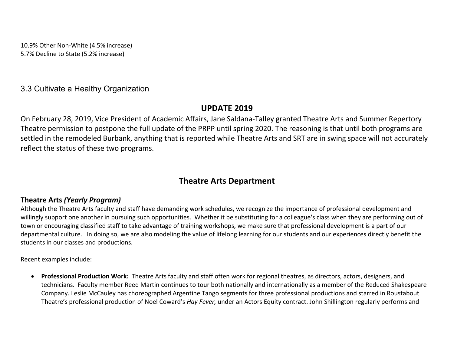10.9% Other Non-White (4.5% increase) 5.7% Decline to State (5.2% increase)

## 3.3 Cultivate a Healthy Organization

## **UPDATE 2019**

On February 28, 2019, Vice President of Academic Affairs, Jane Saldana-Talley granted Theatre Arts and Summer Repertory Theatre permission to postpone the full update of the PRPP until spring 2020. The reasoning is that until both programs are settled in the remodeled Burbank, anything that is reported while Theatre Arts and SRT are in swing space will not accurately reflect the status of these two programs.

# **Theatre Arts Department**

## **Theatre Arts** *(Yearly Program)*

Although the Theatre Arts faculty and staff have demanding work schedules, we recognize the importance of professional development and willingly support one another in pursuing such opportunities. Whether it be substituting for a colleague's class when they are performing out of town or encouraging classified staff to take advantage of training workshops, we make sure that professional development is a part of our departmental culture. In doing so, we are also modeling the value of lifelong learning for our students and our experiences directly benefit the students in our classes and productions.

Recent examples include:

• **Professional Production Work:** Theatre Arts faculty and staff often work for regional theatres, as directors, actors, designers, and technicians. Faculty member Reed Martin continues to tour both nationally and internationally as a member of the Reduced Shakespeare Company. Leslie McCauley has choreographed Argentine Tango segments for three professional productions and starred in Roustabout Theatre's professional production of Noel Coward's *Hay Fever,* under an Actors Equity contract. John Shillington regularly performs and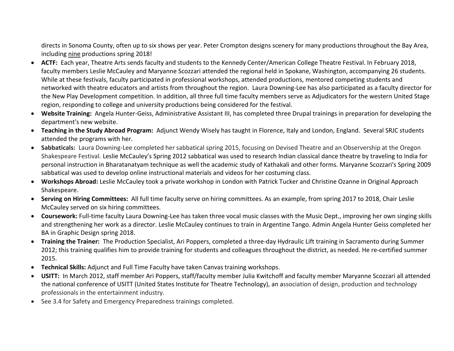directs in Sonoma County, often up to six shows per year. Peter Crompton designs scenery for many productions throughout the Bay Area, including nine productions spring 2018!

- **ACTF:** Each year, Theatre Arts sends faculty and students to the Kennedy Center/American College Theatre Festival. In February 2018, faculty members Leslie McCauley and Maryanne Scozzari attended the regional held in Spokane, Washington, accompanying 26 students. While at these festivals, faculty participated in professional workshops, attended productions, mentored competing students and networked with theatre educators and artists from throughout the region. Laura Downing-Lee has also participated as a faculty director for the New Play Development competition. In addition, all three full time faculty members serve as Adjudicators for the western United Stage region, responding to college and university productions being considered for the festival.
- **Website Training:** Angela Hunter-Geiss, Administrative Assistant III, has completed three Drupal trainings in preparation for developing the department's new website.
- **Teaching in the Study Abroad Program:** Adjunct Wendy Wisely has taught in Florence, Italy and London, England. Several SRJC students attended the programs with her.
- **Sabbaticals:** Laura Downing-Lee completed her sabbatical spring 2015, focusing on Devised Theatre and an Observership at the Oregon Shakespeare Festival. Leslie McCauley's Spring 2012 sabbatical was used to research Indian classical dance theatre by traveling to India for personal instruction in Bharatanatyam technique as well the academic study of Kathakali and other forms. Maryanne Scozzari's Spring 2009 sabbatical was used to develop online instructional materials and videos for her costuming class.
- **Workshops Abroad:** Leslie McCauley took a private workshop in London with Patrick Tucker and Christine Ozanne in Original Approach Shakespeare.
- **Serving on Hiring Committees:** All full time faculty serve on hiring committees. As an example, from spring 2017 to 2018, Chair Leslie McCauley served on six hiring committees.
- **Coursework:** Full-time faculty Laura Downing-Lee has taken three vocal music classes with the Music Dept., improving her own singing skills and strengthening her work as a director. Leslie McCauley continues to train in Argentine Tango. Admin Angela Hunter Geiss completed her BA in Graphic Design spring 2018.
- **Training the Trainer:** The Production Specialist, Ari Poppers, completed a three-day Hydraulic Lift training in Sacramento during Summer 2012; this training qualifies him to provide training for students and colleagues throughout the district, as needed. He re-certified summer 2015.
- **Technical Skills:** Adjunct and Full Time Faculty have taken Canvas training workshops.
- **USITT:** In March 2012, staff member Ari Poppers, staff/faculty member Julia Kwitchoff and faculty member Maryanne Scozzari all attended the national conference of USITT (United States Institute for Theatre Technology), an association of design, production and technology professionals in the entertainment industry.
- See 3.4 for Safety and Emergency Preparedness trainings completed.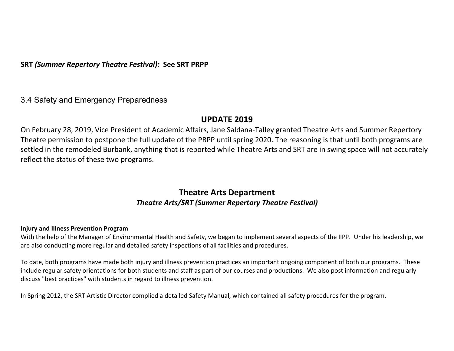**SRT** *(Summer Repertory Theatre Festival):* **See SRT PRPP**

## 3.4 Safety and Emergency Preparedness

## **UPDATE 2019**

On February 28, 2019, Vice President of Academic Affairs, Jane Saldana-Talley granted Theatre Arts and Summer Repertory Theatre permission to postpone the full update of the PRPP until spring 2020. The reasoning is that until both programs are settled in the remodeled Burbank, anything that is reported while Theatre Arts and SRT are in swing space will not accurately reflect the status of these two programs.

## **Theatre Arts Department** *Theatre Arts/SRT (Summer Repertory Theatre Festival)*

### **Injury and Illness Prevention Program**

With the help of the Manager of Environmental Health and Safety, we began to implement several aspects of the IIPP. Under his leadership, we are also conducting more regular and detailed safety inspections of all facilities and procedures.

To date, both programs have made both injury and illness prevention practices an important ongoing component of both our programs. These include regular safety orientations for both students and staff as part of our courses and productions. We also post information and regularly discuss "best practices" with students in regard to illness prevention.

In Spring 2012, the SRT Artistic Director complied a detailed Safety Manual, which contained all safety procedures for the program.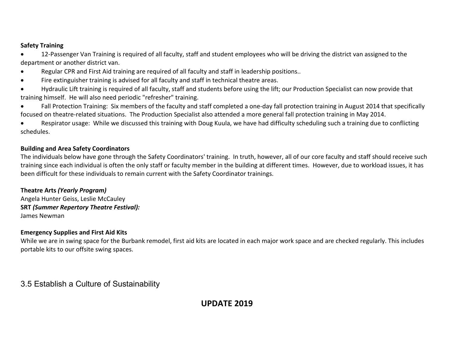### **Safety Training**

• 12-Passenger Van Training is required of all faculty, staff and student employees who will be driving the district van assigned to the department or another district van.

- Regular CPR and First Aid training are required of all faculty and staff in leadership positions..
- Fire extinguisher training is advised for all faculty and staff in technical theatre areas.
- Hydraulic Lift training is required of all faculty, staff and students before using the lift; our Production Specialist can now provide that training himself. He will also need periodic "refresher" training.
- Fall Protection Training: Six members of the faculty and staff completed a one-day fall protection training in August 2014 that specifically focused on theatre-related situations. The Production Specialist also attended a more general fall protection training in May 2014.

• Respirator usage: While we discussed this training with Doug Kuula, we have had difficulty scheduling such a training due to conflicting schedules.

### **Building and Area Safety Coordinators**

The individuals below have gone through the Safety Coordinators' training. In truth, however, all of our core faculty and staff should receive such training since each individual is often the only staff or faculty member in the building at different times. However, due to workload issues, it has been difficult for these individuals to remain current with the Safety Coordinator trainings.

### **Theatre Arts** *(Yearly Program)* Angela Hunter Geiss, Leslie McCauley **SRT** *(Summer Repertory Theatre Festival):* James Newman

### **Emergency Supplies and First Aid Kits**

While we are in swing space for the Burbank remodel, first aid kits are located in each major work space and are checked regularly. This includes portable kits to our offsite swing spaces.

# 3.5 Establish a Culture of Sustainability

## **UPDATE 2019**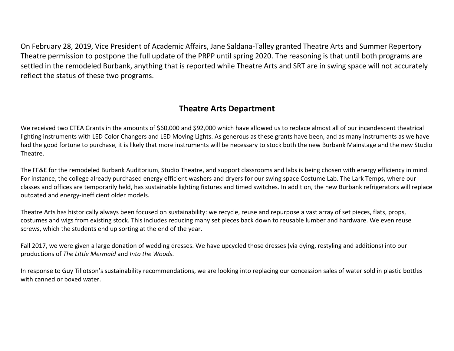On February 28, 2019, Vice President of Academic Affairs, Jane Saldana-Talley granted Theatre Arts and Summer Repertory Theatre permission to postpone the full update of the PRPP until spring 2020. The reasoning is that until both programs are settled in the remodeled Burbank, anything that is reported while Theatre Arts and SRT are in swing space will not accurately reflect the status of these two programs.

# **Theatre Arts Department**

We received two CTEA Grants in the amounts of \$60,000 and \$92,000 which have allowed us to replace almost all of our incandescent theatrical lighting instruments with LED Color Changers and LED Moving Lights. As generous as these grants have been, and as many instruments as we have had the good fortune to purchase, it is likely that more instruments will be necessary to stock both the new Burbank Mainstage and the new Studio Theatre.

The FF&E for the remodeled Burbank Auditorium, Studio Theatre, and support classrooms and labs is being chosen with energy efficiency in mind. For instance, the college already purchased energy efficient washers and dryers for our swing space Costume Lab. The Lark Temps, where our classes and offices are temporarily held, has sustainable lighting fixtures and timed switches. In addition, the new Burbank refrigerators will replace outdated and energy-inefficient older models.

Theatre Arts has historically always been focused on sustainability: we recycle, reuse and repurpose a vast array of set pieces, flats, props, costumes and wigs from existing stock. This includes reducing many set pieces back down to reusable lumber and hardware. We even reuse screws, which the students end up sorting at the end of the year.

Fall 2017, we were given a large donation of wedding dresses. We have upcycled those dresses (via dying, restyling and additions) into our productions of *The Little Mermaid* and *Into the Woods*.

In response to Guy Tillotson's sustainability recommendations, we are looking into replacing our concession sales of water sold in plastic bottles with canned or boxed water.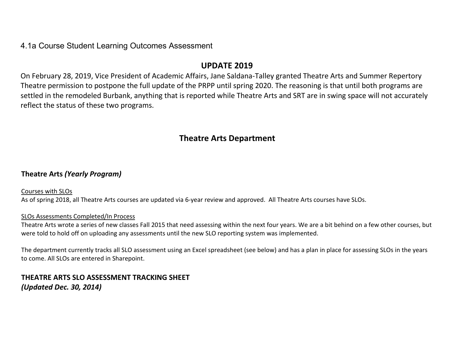## 4.1a Course Student Learning Outcomes Assessment

## **UPDATE 2019**

On February 28, 2019, Vice President of Academic Affairs, Jane Saldana-Talley granted Theatre Arts and Summer Repertory Theatre permission to postpone the full update of the PRPP until spring 2020. The reasoning is that until both programs are settled in the remodeled Burbank, anything that is reported while Theatre Arts and SRT are in swing space will not accurately reflect the status of these two programs.

# **Theatre Arts Department**

## **Theatre Arts** *(Yearly Program)*

Courses with SLOs As of spring 2018, all Theatre Arts courses are updated via 6-year review and approved. All Theatre Arts courses have SLOs.

### SLOs Assessments Completed/In Process

Theatre Arts wrote a series of new classes Fall 2015 that need assessing within the next four years. We are a bit behind on a few other courses, but were told to hold off on uploading any assessments until the new SLO reporting system was implemented.

The department currently tracks all SLO assessment using an Excel spreadsheet (see below) and has a plan in place for assessing SLOs in the years to come. All SLOs are entered in Sharepoint.

## **THEATRE ARTS SLO ASSESSMENT TRACKING SHEET** *(Updated Dec. 30, 2014)*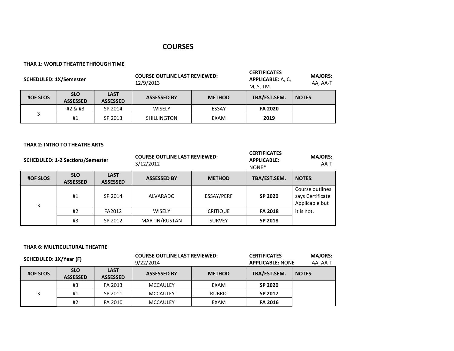### **COURSES**

#### **THAR 1: WORLD THEATRE THROUGH TIME**

| <b>SCHEDULED: 1X/Semester</b> |                               |                                | <b>COURSE OUTLINE LAST REVIEWED:</b><br>12/9/2013 |               | <b>CERTIFICATES</b><br><b>APPLICABLE: A, C,</b><br>M, S, TM | <b>MAJORS:</b><br>AA, AA-T |
|-------------------------------|-------------------------------|--------------------------------|---------------------------------------------------|---------------|-------------------------------------------------------------|----------------------------|
| <b>#OF SLOS</b>               | <b>SLO</b><br><b>ASSESSED</b> | <b>LAST</b><br><b>ASSESSED</b> | <b>ASSESSED BY</b>                                | <b>METHOD</b> | TBA/EST.SEM.                                                | <b>NOTES:</b>              |
|                               | #2 & #3                       | SP 2014                        | <b>WISELY</b>                                     | ESSAY         | <b>FA 2020</b>                                              |                            |
|                               | #1                            | SP 2013                        | <b>SHILLINGTON</b>                                | EXAM          | 2019                                                        |                            |

#### **THAR 2: INTRO TO THEATRE ARTS**

| <b>SCHEDULED: 1-2 Sections/Semester</b> |                               |                                | <b>COURSE OUTLINE LAST REVIEWED:</b><br>3/12/2012 |                 | <b>CERTIFICATES</b><br><b>APPLICABLE:</b><br>NONE* | <b>MAJORS:</b><br>AA-T                                |
|-----------------------------------------|-------------------------------|--------------------------------|---------------------------------------------------|-----------------|----------------------------------------------------|-------------------------------------------------------|
| <b>#OF SLOS</b>                         | <b>SLO</b><br><b>ASSESSED</b> | <b>LAST</b><br><b>ASSESSED</b> | <b>ASSESSED BY</b>                                | <b>METHOD</b>   | TBA/EST.SEM.                                       | <b>NOTES:</b>                                         |
| 3                                       | #1                            | SP 2014                        | ALVARADO                                          | ESSAY/PERF      | SP 2020                                            | Course outlines<br>says Certificate<br>Applicable but |
|                                         | #2                            | FA2012                         | <b>WISELY</b>                                     | <b>CRITIQUE</b> | <b>FA 2018</b>                                     | it is not.                                            |
|                                         | #3                            | SP 2012                        | MARTIN/RUSTAN                                     | <b>SURVEY</b>   | SP 2018                                            |                                                       |

#### **THAR 6: MULTICULTURAL THEATRE**

| SCHEDULED: 1X/Year (F) |                               |                                | <b>COURSE OUTLINE LAST REVIEWED:</b><br>9/22/2014 |               | <b>CERTIFICATES</b><br><b>APPLICABLE: NONE</b> | <b>MAJORS:</b><br>AA, AA-T |
|------------------------|-------------------------------|--------------------------------|---------------------------------------------------|---------------|------------------------------------------------|----------------------------|
| <b>#OF SLOS</b>        | <b>SLO</b><br><b>ASSESSED</b> | <b>LAST</b><br><b>ASSESSED</b> | <b>ASSESSED BY</b>                                | <b>METHOD</b> | TBA/EST.SEM.                                   | <b>NOTES:</b>              |
|                        | #3                            | FA 2013                        | MCCAULEY                                          | EXAM          | SP 2020                                        |                            |
| 3                      | #1                            | SP 2011                        | MCCAULEY                                          | <b>RUBRIC</b> | SP 2017                                        |                            |
|                        | #2                            | FA 2010                        | <b>MCCAULEY</b>                                   | EXAM          | <b>FA 2016</b>                                 |                            |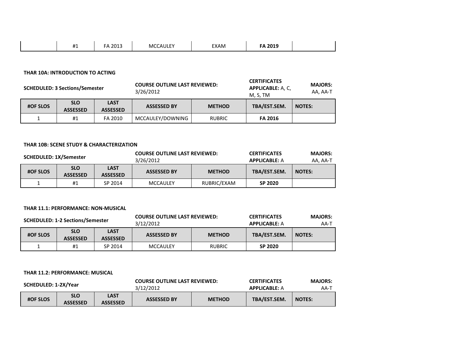| <b>EA 2010</b><br>$\overline{114}$<br>EXAM<br>2013<br>MCCALILE'<br>ں ۔<br>LUI.<br>ாட |
|--------------------------------------------------------------------------------------|
|--------------------------------------------------------------------------------------|

#### **THAR 10A: INTRODUCTION TO ACTING**

|                 | <b>SCHEDULED: 3 Sections/Semester</b> |                                | <b>COURSE OUTLINE LAST REVIEWED:</b><br>3/26/2012 |               | <b>CERTIFICATES</b><br><b>APPLICABLE: A, C,</b><br>M, S, TM | <b>MAJORS:</b><br>AA, AA-T |
|-----------------|---------------------------------------|--------------------------------|---------------------------------------------------|---------------|-------------------------------------------------------------|----------------------------|
| <b>#OF SLOS</b> | <b>SLO</b><br><b>ASSESSED</b>         | <b>LAST</b><br><b>ASSESSED</b> | <b>ASSESSED BY</b>                                | <b>METHOD</b> | TBA/EST.SEM.                                                | <b>NOTES:</b>              |
|                 | #1                                    | FA 2010                        | MCCAULEY/DOWNING                                  | <b>RUBRIC</b> | <b>FA 2016</b>                                              |                            |

#### **THAR 10B: SCENE STUDY & CHARACTERIZATION**

| <b>SCHEDULED: 1X/Semester</b> |                               |                                | <b>COURSE OUTLINE LAST REVIEWED:</b><br>3/26/2012 |               | <b>CERTIFICATES</b><br><b>APPLICABLE: A</b> | <b>MAJORS:</b><br>AA, AA-T |
|-------------------------------|-------------------------------|--------------------------------|---------------------------------------------------|---------------|---------------------------------------------|----------------------------|
| <b>#OF SLOS</b>               | <b>SLO</b><br><b>ASSESSED</b> | <b>LAST</b><br><b>ASSESSED</b> | <b>ASSESSED BY</b>                                | <b>METHOD</b> | TBA/EST.SEM.                                | <b>NOTES:</b>              |
|                               | #1                            | SP 2014                        | <b>MCCAULEY</b>                                   | RUBRIC/EXAM   | SP 2020                                     |                            |

#### **THAR 11.1: PERFORMANCE: NON-MUSICAL**

|                 | <b>SCHEDULED: 1-2 Sections/Semester</b> |                                | <b>COURSE OUTLINE LAST REVIEWED:</b><br>3/12/2012 |               | <b>CERTIFICATES</b><br><b>APPLICABLE: A</b> | <b>MAJORS:</b><br>AA-T |
|-----------------|-----------------------------------------|--------------------------------|---------------------------------------------------|---------------|---------------------------------------------|------------------------|
| <b>#OF SLOS</b> | <b>SLO</b><br><b>ASSESSED</b>           | <b>LAST</b><br><b>ASSESSED</b> | <b>ASSESSED BY</b>                                | <b>METHOD</b> | TBA/EST.SEM.                                | <b>NOTES:</b>          |
|                 | #1                                      | SP 2014                        | <b>MCCAULEY</b>                                   | <b>RUBRIC</b> | SP 2020                                     |                        |

#### **THAR 11.2: PERFORMANCE: MUSICAL**

| SCHEDULED: 1-2X/Year |                               |                         | <b>COURSE OUTLINE LAST REVIEWED:</b> |               | <b>CERTIFICATES</b>  | <b>MAJORS:</b> |
|----------------------|-------------------------------|-------------------------|--------------------------------------|---------------|----------------------|----------------|
|                      |                               |                         | 3/12/2012                            |               | <b>APPLICABLE: A</b> | АА-т           |
| <b>#OF SLOS</b>      | <b>SLO</b><br><b>ASSESSED</b> | LAST<br><b>ASSESSED</b> | <b>ASSESSED BY</b>                   | <b>METHOD</b> | TBA/EST.SEM.         | <b>NOTES:</b>  |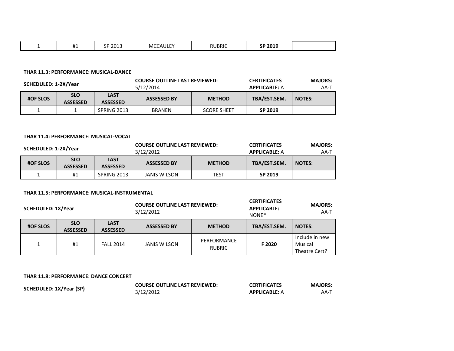|  | $^{\rm H}$<br>. . | SP 2013<br>╰ | MCCAULEY | <b>RUBRIC</b> | SP 2019 |  |
|--|-------------------|--------------|----------|---------------|---------|--|
|--|-------------------|--------------|----------|---------------|---------|--|

#### **THAR 11.3: PERFORMANCE: MUSICAL-DANCE**

|                 | <b>COURSE OUTLINE LAST REVIEWED:</b><br>SCHEDULED: 1-2X/Year<br>5/12/2014 |                                |                    | <b>CERTIFICATES</b><br><b>APPLICABLE: A</b> | <b>MAJORS:</b><br>АА-Т |               |
|-----------------|---------------------------------------------------------------------------|--------------------------------|--------------------|---------------------------------------------|------------------------|---------------|
| <b>#OF SLOS</b> | <b>SLO</b><br><b>ASSESSED</b>                                             | <b>LAST</b><br><b>ASSESSED</b> | <b>ASSESSED BY</b> | <b>METHOD</b>                               | TBA/EST.SEM.           | <b>NOTES:</b> |
|                 |                                                                           | SPRING 2013                    | <b>BRANEN</b>      | <b>SCORE SHEET</b>                          | SP 2019                |               |

#### **THAR 11.4: PERFORMANCE: MUSICAL-VOCAL**

| <b>COURSE OUTLINE LAST REVIEWED:</b><br>SCHEDULED: 1-2X/Year<br>3/12/2012 |                               |                                | <b>CERTIFICATES</b><br><b>APPLICABLE: A</b> | <b>MAJORS:</b><br>AA-T |              |               |
|---------------------------------------------------------------------------|-------------------------------|--------------------------------|---------------------------------------------|------------------------|--------------|---------------|
| <b>#OF SLOS</b>                                                           | <b>SLO</b><br><b>ASSESSED</b> | <b>LAST</b><br><b>ASSESSED</b> | <b>ASSESSED BY</b>                          | <b>METHOD</b>          | TBA/EST.SEM. | <b>NOTES:</b> |
|                                                                           | #1                            | SPRING 2013                    | <b>JANIS WILSON</b>                         | TEST                   | SP 2019      |               |

#### **THAR 11.5: PERFORMANCE: MUSICAL-INSTRUMENTAL**

| SCHEDULED: 1X/Year |                               | <b>COURSE OUTLINE LAST REVIEWED:</b><br>3/12/2012 |                     | <b>CERTIFICATES</b><br>APPLICABLE:<br>NONE* | <b>MAJORS:</b><br>AA-T |                                            |
|--------------------|-------------------------------|---------------------------------------------------|---------------------|---------------------------------------------|------------------------|--------------------------------------------|
| <b>#OF SLOS</b>    | <b>SLO</b><br><b>ASSESSED</b> | <b>LAST</b><br><b>ASSESSED</b>                    | <b>ASSESSED BY</b>  | <b>METHOD</b>                               | TBA/EST.SEM.           | <b>NOTES:</b>                              |
|                    | #1                            | <b>FALL 2014</b>                                  | <b>JANIS WILSON</b> | PERFORMANCE<br><b>RUBRIC</b>                | F 2020                 | Include in new<br>Musical<br>Theatre Cert? |

#### **THAR 11.8: PERFORMANCE: DANCE CONCERT**

| SCHEDULED: 1X/Year (SP) | <b>COURSE OUTLINE LAST REVIEWED:</b> | <b>CERTIFICATES</b>  | <b>MAJORS:</b> |
|-------------------------|--------------------------------------|----------------------|----------------|
|                         | 3/12/2012                            | <b>APPLICABLE: A</b> | AA-1           |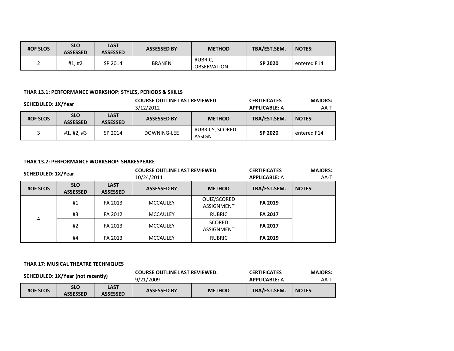| <b>#OF SLOS</b> | <b>SLO</b><br><b>ASSESSED</b> | LAST<br><b>ASSESSED</b> | <b>ASSESSED BY</b> | <b>METHOD</b>                 | TBA/EST.SEM.   | <b>NOTES:</b> |
|-----------------|-------------------------------|-------------------------|--------------------|-------------------------------|----------------|---------------|
| ←               | #1, #2                        | SP 2014                 | <b>BRANEN</b>      | RUBRIC,<br><b>OBSERVATION</b> | <b>SP 2020</b> | entered F14   |

#### **THAR 13.1: PERFORMANCE WORKSHOP: STYLES, PERIODS & SKILLS**

| SCHEDULED: 1X/Year |                               |                                | <b>COURSE OUTLINE LAST REVIEWED:</b><br>3/12/2012 |                            | <b>MAJORS:</b><br><b>CERTIFICATES</b><br><b>APPLICABLE: A</b><br>AA-T |               |
|--------------------|-------------------------------|--------------------------------|---------------------------------------------------|----------------------------|-----------------------------------------------------------------------|---------------|
| <b>#OF SLOS</b>    | <b>SLO</b><br><b>ASSESSED</b> | <b>LAST</b><br><b>ASSESSED</b> | <b>ASSESSED BY</b><br><b>METHOD</b>               |                            | TBA/EST.SEM.                                                          | <b>NOTES:</b> |
|                    | #1, #2, #3                    | SP 2014                        | DOWNING-LEE                                       | RUBRICS, SCORED<br>ASSIGN. | SP 2020                                                               | entered F14   |

#### **THAR 13.2: PERFORMANCE WORKSHOP: SHAKESPEARE**

|                 | <b>COURSE OUTLINE LAST REVIEWED:</b><br>SCHEDULED: 1X/Year<br>10/24/2011 |                                |                    | <b>CERTIFICATES</b><br><b>APPLICABLE: A</b> | <b>MAJORS:</b><br>AA-T |               |
|-----------------|--------------------------------------------------------------------------|--------------------------------|--------------------|---------------------------------------------|------------------------|---------------|
| <b>#OF SLOS</b> | <b>SLO</b><br><b>ASSESSED</b>                                            | <b>LAST</b><br><b>ASSESSED</b> | <b>ASSESSED BY</b> | <b>METHOD</b>                               | TBA/EST.SEM.           | <b>NOTES:</b> |
|                 | #1                                                                       | FA 2013                        | <b>MCCAULEY</b>    | QUIZ/SCORED<br><b>ASSIGNMENT</b>            | <b>FA 2019</b>         |               |
| 4               | #3                                                                       | FA 2012                        | <b>MCCAULEY</b>    | <b>RUBRIC</b>                               | <b>FA 2017</b>         |               |
|                 | #2                                                                       | FA 2013                        | <b>MCCAULEY</b>    | <b>SCORED</b><br><b>ASSIGNMENT</b>          | <b>FA 2017</b>         |               |
|                 | #4                                                                       | FA 2013                        | <b>MCCAULEY</b>    | <b>RUBRIC</b>                               | <b>FA 2019</b>         |               |

#### **THAR 17: MUSICAL THEATRE TECHNIQUES**

| SCHEDULED: 1X/Year (not recently) |                               | <b>COURSE OUTLINE LAST REVIEWED:</b> |                    | <b>CERTIFICATES</b>  | <b>MAJORS:</b> |               |
|-----------------------------------|-------------------------------|--------------------------------------|--------------------|----------------------|----------------|---------------|
|                                   |                               | 9/21/2009                            |                    | <b>APPLICABLE: A</b> | АА-Т           |               |
| <b>#OF SLOS</b>                   | <b>SLO</b><br><b>ASSESSED</b> | <b>LAST</b><br><b>ASSESSED</b>       | <b>ASSESSED BY</b> | <b>METHOD</b>        | TBA/EST.SEM.   | <b>NOTES:</b> |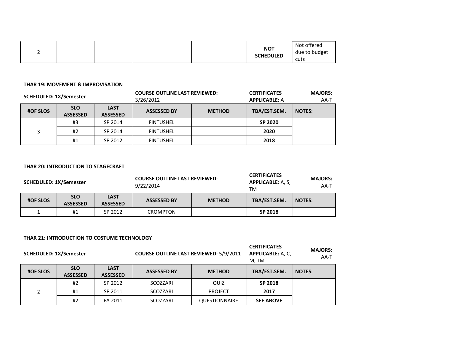|  |  |  |  |  | <b>NOT</b><br><b>SCHEDULED</b> | Not offered<br>due to budget<br>cuts |
|--|--|--|--|--|--------------------------------|--------------------------------------|
|--|--|--|--|--|--------------------------------|--------------------------------------|

#### **THAR 19: MOVEMENT & IMPROVISATION**

| <b>SCHEDULED: 1X/Semester</b> |                               | <b>COURSE OUTLINE LAST REVIEWED:</b><br>3/26/2012 | <b>CERTIFICATES</b><br><b>APPLICABLE: A</b> |               | <b>MAJORS:</b><br>AA-T |               |
|-------------------------------|-------------------------------|---------------------------------------------------|---------------------------------------------|---------------|------------------------|---------------|
| <b>#OF SLOS</b>               | <b>SLO</b><br><b>ASSESSED</b> | <b>LAST</b><br><b>ASSESSED</b>                    | <b>ASSESSED BY</b>                          | <b>METHOD</b> | TBA/EST.SEM.           | <b>NOTES:</b> |
|                               | #3                            | SP 2014                                           | <b>FINTUSHEL</b>                            |               | SP 2020                |               |
| 3                             | #2                            | SP 2014                                           | <b>FINTUSHEL</b>                            |               | 2020                   |               |
|                               | #1                            | SP 2012                                           | <b>FINTUSHEL</b>                            |               | 2018                   |               |

#### **THAR 20: INTRODUCTION TO STAGECRAFT**

| <b>COURSE OUTLINE LAST REVIEWED:</b><br><b>SCHEDULED: 1X/Semester</b><br>9/22/2014 |                               |                                | <b>CERTIFICATES</b><br><b>APPLICABLE: A, S,</b><br>тм | <b>MAJORS:</b><br>AA-T |              |               |
|------------------------------------------------------------------------------------|-------------------------------|--------------------------------|-------------------------------------------------------|------------------------|--------------|---------------|
| <b>#OF SLOS</b>                                                                    | <b>SLO</b><br><b>ASSESSED</b> | <b>LAST</b><br><b>ASSESSED</b> | <b>ASSESSED BY</b>                                    | <b>METHOD</b>          | TBA/EST.SEM. | <b>NOTES:</b> |
|                                                                                    | #1                            | SP 2012                        | CROMPTON                                              |                        | SP 2018      |               |

#### **THAR 21: INTRODUCTION TO COSTUME TECHNOLOGY**

| <b>SCHEDULED: 1X/Semester</b> |                               | <b>COURSE OUTLINE LAST REVIEWED: 5/9/2011</b> |                    | <b>CERTIFICATES</b><br><b>APPLICABLE: A, C,</b><br>M, TM | <b>MAJORS:</b><br>AA-T |               |
|-------------------------------|-------------------------------|-----------------------------------------------|--------------------|----------------------------------------------------------|------------------------|---------------|
| <b>#OF SLOS</b>               | <b>SLO</b><br><b>ASSESSED</b> | <b>LAST</b><br><b>ASSESSED</b>                | <b>ASSESSED BY</b> | <b>METHOD</b>                                            | TBA/EST.SEM.           | <b>NOTES:</b> |
|                               | #2                            | SP 2012                                       | SCOZZARI           | QUIZ                                                     | SP 2018                |               |
| 2                             | #1                            | SP 2011                                       | SCOZZARI           | <b>PROJECT</b>                                           | 2017                   |               |
|                               | #2                            | FA 2011                                       | SCOZZARI           | <b>QUESTIONNAIRE</b>                                     | <b>SEE ABOVE</b>       |               |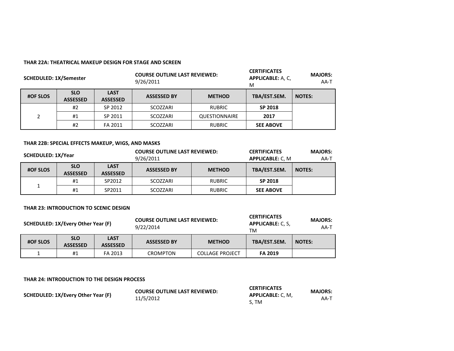#### **THAR 22A: THEATRICAL MAKEUP DESIGN FOR STAGE AND SCREEN**

| <b>COURSE OUTLINE LAST REVIEWED:</b><br><b>SCHEDULED: 1X/Semester</b><br>9/26/2011 |                               |                                | <b>CERTIFICATES</b><br><b>APPLICABLE: A, C,</b><br>M | <b>MAJORS:</b><br>AA-T |                  |               |
|------------------------------------------------------------------------------------|-------------------------------|--------------------------------|------------------------------------------------------|------------------------|------------------|---------------|
| <b>#OF SLOS</b>                                                                    | <b>SLO</b><br><b>ASSESSED</b> | <b>LAST</b><br><b>ASSESSED</b> | <b>ASSESSED BY</b>                                   | <b>METHOD</b>          | TBA/EST.SEM.     | <b>NOTES:</b> |
|                                                                                    | #2                            | SP 2012                        | SCOZZARI                                             | <b>RUBRIC</b>          | SP 2018          |               |
| 2                                                                                  | #1                            | SP 2011                        | SCOZZARI                                             | <b>QUESTIONNAIRE</b>   | 2017             |               |
|                                                                                    | #2                            | FA 2011                        | SCOZZARI                                             | <b>RUBRIC</b>          | <b>SEE ABOVE</b> |               |

#### **THAR 22B: SPECIAL EFFECTS MAKEUP, WIGS, AND MASKS**

| SCHEDULED: 1X/Year |                               | <b>COURSE OUTLINE LAST REVIEWED:</b><br>9/26/2011 |                    | <b>CERTIFICATES</b><br><b>APPLICABLE: C, M</b> | <b>MAJORS:</b><br>AA-T |               |
|--------------------|-------------------------------|---------------------------------------------------|--------------------|------------------------------------------------|------------------------|---------------|
| <b>#OF SLOS</b>    | <b>SLO</b><br><b>ASSESSED</b> | <b>LAST</b><br><b>ASSESSED</b>                    | <b>ASSESSED BY</b> | <b>METHOD</b>                                  | TBA/EST.SEM.           | <b>NOTES:</b> |
|                    | #1                            | SP2012                                            | SCOZZARI           | <b>RUBRIC</b>                                  | SP 2018                |               |
|                    | #1                            | SP2011                                            | SCOZZARI           | <b>RUBRIC</b>                                  | <b>SEE ABOVE</b>       |               |

#### **THAR 23: INTRODUCTION TO SCENIC DESIGN**

|                 | SCHEDULED: 1X/Every Other Year (F) |                                | <b>COURSE OUTLINE LAST REVIEWED:</b><br>9/22/2014 |                        | <b>CERTIFICATES</b><br><b>APPLICABLE: C. S.</b><br>TM | <b>MAJORS:</b><br>AA-T |
|-----------------|------------------------------------|--------------------------------|---------------------------------------------------|------------------------|-------------------------------------------------------|------------------------|
| <b>#OF SLOS</b> | <b>SLO</b><br><b>ASSESSED</b>      | <b>LAST</b><br><b>ASSESSED</b> | <b>ASSESSED BY</b>                                | <b>METHOD</b>          | TBA/EST.SEM.                                          | <b>NOTES:</b>          |
|                 | #1                                 | FA 2013                        | <b>CROMPTON</b>                                   | <b>COLLAGE PROJECT</b> | <b>FA 2019</b>                                        |                        |

**CERTIFICATES** 

**THAR 24: INTRODUCTION TO THE DESIGN PROCESS**

| <b>CERTIFICATES</b><br><b>COURSE OUTLINE LAST REVIEWED:</b><br>SCHEDULED: 1X/Every Other Year (F)<br><b>APPLICABLE: C. M.</b><br>11/5/2012<br>S. TM |  | <b>MAJORS:</b><br>AA-T |
|-----------------------------------------------------------------------------------------------------------------------------------------------------|--|------------------------|
|-----------------------------------------------------------------------------------------------------------------------------------------------------|--|------------------------|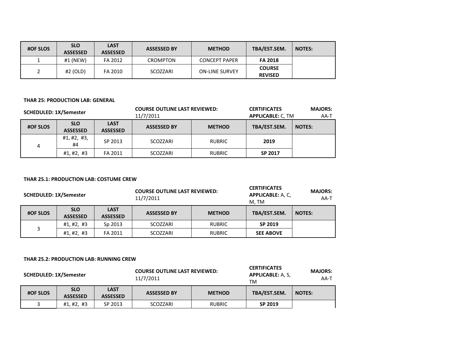| <b>#OF SLOS</b> | <b>SLO</b><br><b>ASSESSED</b> | <b>LAST</b><br><b>ASSESSED</b> | <b>ASSESSED BY</b> | <b>METHOD</b>         | TBA/EST.SEM.                    | <b>NOTES:</b> |
|-----------------|-------------------------------|--------------------------------|--------------------|-----------------------|---------------------------------|---------------|
|                 | $#1$ (NEW)                    | FA 2012                        | CROMPTON           | <b>CONCEPT PAPER</b>  | <b>FA 2018</b>                  |               |
| ∠               | $#2$ (OLD)                    | FA 2010                        | SCOZZARI           | <b>ON-LINE SURVEY</b> | <b>COURSE</b><br><b>REVISED</b> |               |

#### **THAR 25: PRODUCTION LAB: GENERAL**

| <b>SCHEDULED: 1X/Semester</b> |                               |                                | <b>COURSE OUTLINE LAST REVIEWED:</b><br>11/7/2011 |               | <b>CERTIFICATES</b><br><b>APPLICABLE: C, TM</b> | <b>MAJORS:</b><br>AA-T |
|-------------------------------|-------------------------------|--------------------------------|---------------------------------------------------|---------------|-------------------------------------------------|------------------------|
| <b>#OF SLOS</b>               | <b>SLO</b><br><b>ASSESSED</b> | <b>LAST</b><br><b>ASSESSED</b> | <b>ASSESSED BY</b>                                | <b>METHOD</b> | TBA/EST.SEM.                                    | <b>NOTES:</b>          |
| 4                             | #1, #2, #3,<br>#4             | SP 2013                        | SCOZZARI                                          | <b>RUBRIC</b> | 2019                                            |                        |
|                               | #1, #2, #3                    | FA 2011                        | SCOZZARI                                          | <b>RUBRIC</b> | SP 2017                                         |                        |

#### **THAR 25.1: PRODUCTION LAB: COSTUME CREW**

|                 | <b>COURSE OUTLINE LAST REVIEWED:</b><br><b>SCHEDULED: 1X/Semester</b><br>11/7/2011 |                                |                    | <b>CERTIFICATES</b><br><b>APPLICABLE: A, C,</b><br>M. TM | <b>MAJORS:</b><br>AA-T |               |
|-----------------|------------------------------------------------------------------------------------|--------------------------------|--------------------|----------------------------------------------------------|------------------------|---------------|
| <b>#OF SLOS</b> | <b>SLO</b><br><b>ASSESSED</b>                                                      | <b>LAST</b><br><b>ASSESSED</b> | <b>ASSESSED BY</b> | <b>METHOD</b>                                            | TBA/EST.SEM.           | <b>NOTES:</b> |
|                 | #1, #2, #3                                                                         | Sp 2013                        | SCOZZARI           | <b>RUBRIC</b>                                            | SP 2019                |               |
| 3               | #1,#2,#3                                                                           | FA 2011                        | SCOZZARI           | <b>RUBRIC</b>                                            | <b>SEE ABOVE</b>       |               |

#### **THAR 25.2: PRODUCTION LAB: RUNNING CREW**

| <b>SCHEDULED: 1X/Semester</b> |                               | <b>COURSE OUTLINE LAST REVIEWED:</b><br>11/7/2011 |                    |               | <b>CERTIFICATES</b><br><b>APPLICABLE: A, S,</b><br>TM | <b>MAJORS:</b><br>AA-T |
|-------------------------------|-------------------------------|---------------------------------------------------|--------------------|---------------|-------------------------------------------------------|------------------------|
| <b>#OF SLOS</b>               | <b>SLO</b><br><b>ASSESSED</b> | <b>LAST</b><br><b>ASSESSED</b>                    | <b>ASSESSED BY</b> | <b>METHOD</b> | TBA/EST.SEM.                                          | <b>NOTES:</b>          |
|                               | #1, #2, #3                    | SP 2013                                           | SCOZZARI           | <b>RUBRIC</b> | SP 2019                                               |                        |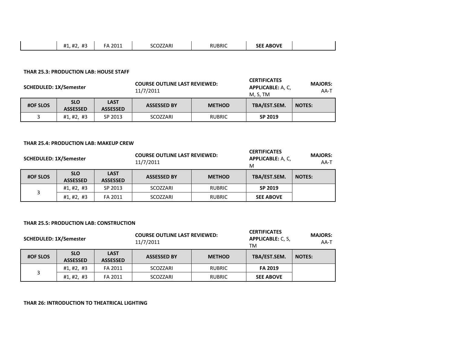|  | $\mathbf{u}$<br>H <sub>1</sub><br>$^{\prime\prime}$<br><b>II</b><br>77 T<br><b>114</b><br>11 J | 2011 | 0000000000<br>'ZARı<br><b>JLUZZ</b> | RUBRIC | <b>ABOVE</b><br><u></u><br>9FF |  |
|--|------------------------------------------------------------------------------------------------|------|-------------------------------------|--------|--------------------------------|--|
|--|------------------------------------------------------------------------------------------------|------|-------------------------------------|--------|--------------------------------|--|

#### **THAR 25.3: PRODUCTION LAB: HOUSE STAFF**

| <b>SCHEDULED: 1X/Semester</b> |                               | <b>COURSE OUTLINE LAST REVIEWED:</b><br>11/7/2011 |                    |               | <b>CERTIFICATES</b><br><b>APPLICABLE: A, C,</b><br>M, S, TM | <b>MAJORS:</b><br>AA-T |
|-------------------------------|-------------------------------|---------------------------------------------------|--------------------|---------------|-------------------------------------------------------------|------------------------|
| <b>#OF SLOS</b>               | <b>SLO</b><br><b>ASSESSED</b> | <b>LAST</b><br><b>ASSESSED</b>                    | <b>ASSESSED BY</b> | <b>METHOD</b> | TBA/EST.SEM.                                                | <b>NOTES:</b>          |
|                               | #1, #2, #3                    | SP 2013                                           | SCOZZARI           | <b>RUBRIC</b> | SP 2019                                                     |                        |

#### **THAR 25.4: PRODUCTION LAB: MAKEUP CREW**

| <b>SCHEDULED: 1X/Semester</b> |                               | <b>COURSE OUTLINE LAST REVIEWED:</b><br>11/7/2011 |                    | <b>CERTIFICATES</b><br><b>APPLICABLE: A, C,</b><br>M | <b>MAJORS:</b><br>AA-T |               |
|-------------------------------|-------------------------------|---------------------------------------------------|--------------------|------------------------------------------------------|------------------------|---------------|
| <b>#OF SLOS</b>               | <b>SLO</b><br><b>ASSESSED</b> | <b>LAST</b><br><b>ASSESSED</b>                    | <b>ASSESSED BY</b> | <b>METHOD</b>                                        | TBA/EST.SEM.           | <b>NOTES:</b> |
|                               | #1,#2,#3                      | SP 2013                                           | SCOZZARI           | <b>RUBRIC</b>                                        | SP 2019                |               |
| 3                             | #1,#2,#3                      | FA 2011                                           | SCOZZARI           | <b>RUBRIC</b>                                        | <b>SEE ABOVE</b>       |               |

#### **THAR 25.5: PRODUCTION LAB: CONSTRUCTION**

| <b>SCHEDULED: 1X/Semester</b> |                               |                                | <b>COURSE OUTLINE LAST REVIEWED:</b><br>11/7/2011 |               | <b>CERTIFICATES</b><br><b>APPLICABLE: C. S.</b><br>ТM | <b>MAJORS:</b><br>$AA-T$ |
|-------------------------------|-------------------------------|--------------------------------|---------------------------------------------------|---------------|-------------------------------------------------------|--------------------------|
| <b>#OF SLOS</b>               | <b>SLO</b><br><b>ASSESSED</b> | <b>LAST</b><br><b>ASSESSED</b> | <b>ASSESSED BY</b>                                | <b>METHOD</b> | TBA/EST.SEM.                                          | <b>NOTES:</b>            |
|                               | #1,#2,#3                      | FA 2011                        | SCOZZARI                                          | <b>RUBRIC</b> | <b>FA 2019</b>                                        |                          |
| 3                             | #1,#2,#3                      | FA 2011                        | SCOZZARI                                          | <b>RUBRIC</b> | <b>SEE ABOVE</b>                                      |                          |

#### **THAR 26: INTRODUCTION TO THEATRICAL LIGHTING**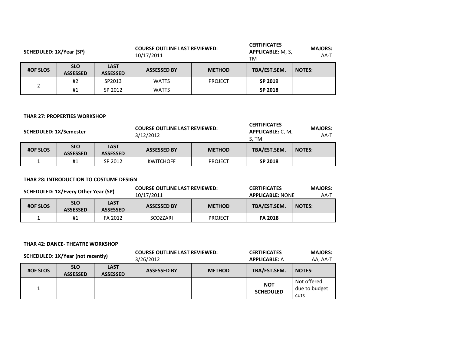| SCHEDULED: 1X/Year (SP) |                               |                                | <b>COURSE OUTLINE LAST REVIEWED:</b><br>10/17/2011 |                | <b>CERTIFICATES</b><br><b>APPLICABLE: M, S,</b><br>ТM | <b>MAJORS:</b><br>AA-T |
|-------------------------|-------------------------------|--------------------------------|----------------------------------------------------|----------------|-------------------------------------------------------|------------------------|
| <b>#OF SLOS</b>         | <b>SLO</b><br><b>ASSESSED</b> | <b>LAST</b><br><b>ASSESSED</b> | <b>ASSESSED BY</b>                                 | <b>METHOD</b>  | TBA/EST.SEM.                                          | <b>NOTES:</b>          |
|                         | #2                            | SP2013                         | <b>WATTS</b>                                       | <b>PROJECT</b> | SP 2019                                               |                        |
| 2                       | #1                            | SP 2012                        | <b>WATTS</b>                                       |                | SP 2018                                               |                        |

#### **THAR 27: PROPERTIES WORKSHOP**

| <b>SCHEDULED: 1X/Semester</b> |                               | <b>COURSE OUTLINE LAST REVIEWED:</b><br>3/12/2012 |                    | <b>CERTIFICATES</b><br>APPLICABLE: C, M,<br>S. TM | <b>MAJORS:</b><br>AA-T |               |
|-------------------------------|-------------------------------|---------------------------------------------------|--------------------|---------------------------------------------------|------------------------|---------------|
| <b>#OF SLOS</b>               | <b>SLO</b><br><b>ASSESSED</b> | <b>LAST</b><br><b>ASSESSED</b>                    | <b>ASSESSED BY</b> | <b>METHOD</b>                                     | TBA/EST.SEM.           | <b>NOTES:</b> |
|                               | #1                            | SP 2012                                           | <b>KWITCHOFF</b>   | <b>PROJECT</b>                                    | SP 2018                |               |

#### **THAR 28: INTRODUCTION TO COSTUME DESIGN**

| SCHEDULED: 1X/Every Other Year (SP) |                               | <b>COURSE OUTLINE LAST REVIEWED:</b><br>10/17/2011 |                    | <b>CERTIFICATES</b><br><b>APPLICABLE: NONE</b> | <b>MAJORS:</b><br>AA-T |               |
|-------------------------------------|-------------------------------|----------------------------------------------------|--------------------|------------------------------------------------|------------------------|---------------|
| <b>#OF SLOS</b>                     | <b>SLO</b><br><b>ASSESSED</b> | <b>LAST</b><br><b>ASSESSED</b>                     | <b>ASSESSED BY</b> | <b>METHOD</b>                                  | TBA/EST.SEM.           | <b>NOTES:</b> |
|                                     | #1                            | FA 2012                                            | SCOZZARI           | <b>PROJECT</b>                                 | <b>FA 2018</b>         |               |

#### **THAR 42: DANCE- THEATRE WORKSHOP**

| <b>SCHEDULED: 1X/Year (not recently)</b> |                               | <b>COURSE OUTLINE LAST REVIEWED:</b><br>3/26/2012 |                    | <b>CERTIFICATES</b><br><b>APPLICABLE: A</b> | <b>MAJORS:</b><br>AA, AA-T     |                                      |
|------------------------------------------|-------------------------------|---------------------------------------------------|--------------------|---------------------------------------------|--------------------------------|--------------------------------------|
| <b>#OF SLOS</b>                          | <b>SLO</b><br><b>ASSESSED</b> | <b>LAST</b><br><b>ASSESSED</b>                    | <b>ASSESSED BY</b> | <b>METHOD</b>                               | TBA/EST.SEM.                   | <b>NOTES:</b>                        |
|                                          |                               |                                                   |                    |                                             | <b>NOT</b><br><b>SCHEDULED</b> | Not offered<br>due to budget<br>cuts |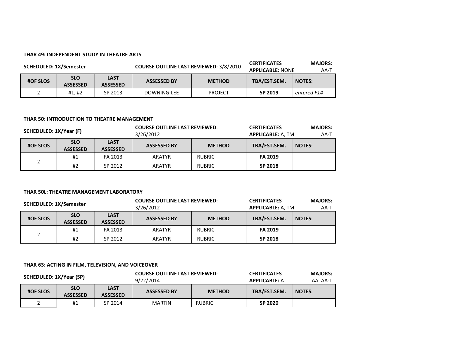#### **THAR 49: INDEPENDENT STUDY IN THEATRE ARTS**

| <b>SCHEDULED: 1X/Semester</b> |                               |                                | <b>COURSE OUTLINE LAST REVIEWED: 3/8/2010</b> |                | <b>CERTIFICATES</b><br><b>APPLICABLE: NONE</b> | <b>MAJORS:</b><br>AA-T |
|-------------------------------|-------------------------------|--------------------------------|-----------------------------------------------|----------------|------------------------------------------------|------------------------|
| <b>#OF SLOS</b>               | <b>SLO</b><br><b>ASSESSED</b> | <b>LAST</b><br><b>ASSESSED</b> | <b>ASSESSED BY</b>                            | <b>METHOD</b>  | TBA/EST.SEM.                                   | <b>NOTES:</b>          |
|                               | #1.#2                         | SP 2013                        | DOWNING-LEE                                   | <b>PROJECT</b> | SP 2019                                        | entered F14            |

#### **THAR 50: INTRODUCTION TO THEATRE MANAGEMENT**

| SCHEDULED: 1X/Year (F) |                               | <b>COURSE OUTLINE LAST REVIEWED:</b><br>3/26/2012 |                    | <b>CERTIFICATES</b><br><b>APPLICABLE: A, TM</b> | <b>MAJORS:</b><br>AA-T |               |
|------------------------|-------------------------------|---------------------------------------------------|--------------------|-------------------------------------------------|------------------------|---------------|
| <b>#OF SLOS</b>        | <b>SLO</b><br><b>ASSESSED</b> | <b>LAST</b><br><b>ASSESSED</b>                    | <b>ASSESSED BY</b> | <b>METHOD</b>                                   | TBA/EST.SEM.           | <b>NOTES:</b> |
| າ                      | #1                            | FA 2013                                           | ARATYR             | <b>RUBRIC</b>                                   | <b>FA 2019</b>         |               |
|                        | #2                            | SP 2012                                           | ARATYR             | <b>RUBRIC</b>                                   | SP 2018                |               |

#### **THAR 50L: THEATRE MANAGEMENT LABORATORY**

| <b>SCHEDULED: 1X/Semester</b> |                               |                                | <b>COURSE OUTLINE LAST REVIEWED:</b><br>3/26/2012 |               | <b>CERTIFICATES</b><br><b>APPLICABLE: A, TM</b> | <b>MAJORS:</b><br>AA-T |
|-------------------------------|-------------------------------|--------------------------------|---------------------------------------------------|---------------|-------------------------------------------------|------------------------|
| <b>#OF SLOS</b>               | <b>SLO</b><br><b>ASSESSED</b> | <b>LAST</b><br><b>ASSESSED</b> | <b>ASSESSED BY</b>                                | <b>METHOD</b> | TBA/EST.SEM.                                    | <b>NOTES:</b>          |
| $\mathcal{D}$                 | #1                            | FA 2013                        | ARATYR                                            | <b>RUBRIC</b> | <b>FA 2019</b>                                  |                        |
|                               | #2                            | SP 2012                        | ARATYR                                            | <b>RUBRIC</b> | SP 2018                                         |                        |

#### **THAR 63: ACTING IN FILM, TELEVISION, AND VOICEOVER**

| SCHEDULED: 1X/Year (SP) |                               | <b>COURSE OUTLINE LAST REVIEWED:</b><br>9/22/2014 |                    | <b>CERTIFICATES</b><br><b>APPLICABLE: A</b> | <b>MAJORS:</b><br>AA, AA-T |               |
|-------------------------|-------------------------------|---------------------------------------------------|--------------------|---------------------------------------------|----------------------------|---------------|
| <b>#OF SLOS</b>         | <b>SLO</b><br><b>ASSESSED</b> | <b>LAST</b><br><b>ASSESSED</b>                    | <b>ASSESSED BY</b> | <b>METHOD</b>                               | TBA/EST.SEM.               | <b>NOTES:</b> |
|                         | #1                            | SP 2014                                           | <b>MARTIN</b>      | <b>RUBRIC</b>                               | SP 2020                    |               |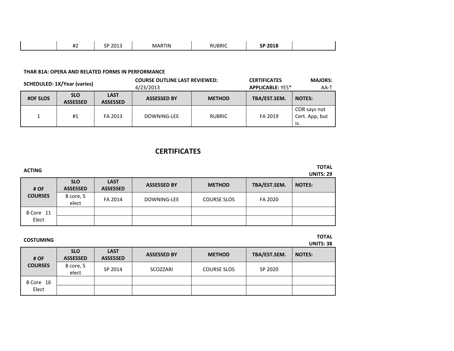| $\sim$ $\sim$ $\sim$<br>$\mathbf{u}$<br>$\sim$ $\sim$ $\sim$<br>ה־<br>I IN<br>.<br>. .<br><br>-- |
|--------------------------------------------------------------------------------------------------|
|--------------------------------------------------------------------------------------------------|

#### **THAR 81A: OPERA AND RELATED FORMS IN PERFORMANCE**

| <b>SCHEDULED: 1X/Year (varies)</b> |                               | <b>COURSE OUTLINE LAST REVIEWED:</b><br>4/23/2013 |                    | <b>CERTIFICATES</b><br><b>APPLICABLE: YES*</b> | <b>MAJORS:</b><br>AA-T |                                       |
|------------------------------------|-------------------------------|---------------------------------------------------|--------------------|------------------------------------------------|------------------------|---------------------------------------|
| <b>#OF SLOS</b>                    | <b>SLO</b><br><b>ASSESSED</b> | <b>LAST</b><br><b>ASSESSED</b>                    | <b>ASSESSED BY</b> | <b>METHOD</b>                                  | TBA/EST.SEM.           | <b>NOTES:</b>                         |
|                                    | #1                            | FA 2013                                           | DOWNING-LEE        | <b>RUBRIC</b>                                  | FA 2019                | COR says not<br>Cert. App, but<br>is. |

## **CERTIFICATES**

| <b>ACTING</b>  |                               |                                |                    |                    |              | <b>TOTAL</b><br><b>UNITS: 29</b> |
|----------------|-------------------------------|--------------------------------|--------------------|--------------------|--------------|----------------------------------|
| # OF           | <b>SLO</b><br><b>ASSESSED</b> | <b>LAST</b><br><b>ASSESSED</b> | <b>ASSESSED BY</b> | <b>METHOD</b>      | TBA/EST.SEM. | <b>NOTES:</b>                    |
| <b>COURSES</b> | 8 core, 5<br>elect            | FA 2014                        | DOWNING-LEE        | <b>COURSE SLOS</b> | FA 2020      |                                  |
| 8 Core 11      |                               |                                |                    |                    |              |                                  |
| Elect          |                               |                                |                    |                    |              |                                  |

## **COSTUMING TOTAL**

**UNITS: 38**

| # OF<br><b>COURSES</b> | <b>SLO</b><br><b>ASSESSED</b> | <b>LAST</b><br><b>ASSESSED</b> | <b>ASSESSED BY</b> | <b>METHOD</b>      | TBA/EST.SEM. | <b>NOTES:</b> |
|------------------------|-------------------------------|--------------------------------|--------------------|--------------------|--------------|---------------|
|                        | 8 core, 5<br>elect            | SP 2014                        | SCOZZARI           | <b>COURSE SLOS</b> | SP 2020      |               |
| 8 Core 16              |                               |                                |                    |                    |              |               |
| Elect                  |                               |                                |                    |                    |              |               |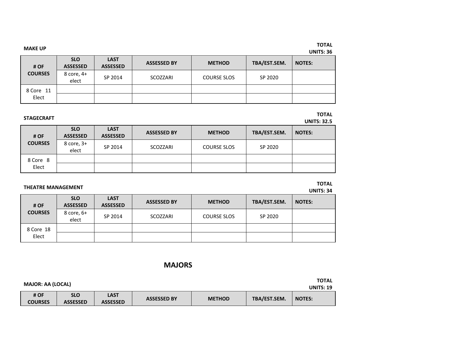| <b>MAKE UP</b>         |                               |                                |                    |                    |              | <b>TOTAL</b><br><b>UNITS: 36</b> |
|------------------------|-------------------------------|--------------------------------|--------------------|--------------------|--------------|----------------------------------|
| # OF<br><b>COURSES</b> | <b>SLO</b><br><b>ASSESSED</b> | <b>LAST</b><br><b>ASSESSED</b> | <b>ASSESSED BY</b> | <b>METHOD</b>      | TBA/EST.SEM. | <b>NOTES:</b>                    |
|                        | 8 core, 4+<br>elect           | SP 2014                        | SCOZZARI           | <b>COURSE SLOS</b> | SP 2020      |                                  |
| 8 Core 11              |                               |                                |                    |                    |              |                                  |
| Elect                  |                               |                                |                    |                    |              |                                  |

## **STAGECRAFT TOTAL**

**UNITS: 32.5**

| # OF              | <b>SLO</b><br><b>ASSESSED</b> | <b>LAST</b><br><b>ASSESSED</b> | <b>ASSESSED BY</b> | <b>METHOD</b>      | TBA/EST.SEM. | <b>NOTES:</b> |
|-------------------|-------------------------------|--------------------------------|--------------------|--------------------|--------------|---------------|
| <b>COURSES</b>    | 8 core, 3+<br>elect           | SP 2014                        | SCOZZARI           | <b>COURSE SLOS</b> | SP 2020      |               |
| 8 Core 8<br>Elect |                               |                                |                    |                    |              |               |

# **THEATRE MANAGEMENT TOTAL**

**UNITS: 34**

| # OF<br><b>COURSES</b> | <b>SLO</b><br><b>ASSESSED</b> | <b>LAST</b><br><b>ASSESSED</b> | <b>ASSESSED BY</b> | <b>METHOD</b> | TBA/EST.SEM. | <b>NOTES:</b> |
|------------------------|-------------------------------|--------------------------------|--------------------|---------------|--------------|---------------|
|                        | 8 core, 6+<br>elect           | SP 2014                        | SCOZZARI           | COURSE SLOS   | SP 2020      |               |
| 8 Core 18<br>Elect     |                               |                                |                    |               |              |               |
|                        |                               |                                |                    |               |              |               |

### **MAJORS**

| <b>MAJOR: AA (LOCAL)</b> |                               |                         |                    |               |              |                  |  |
|--------------------------|-------------------------------|-------------------------|--------------------|---------------|--------------|------------------|--|
|                          |                               |                         |                    |               |              | <b>UNITS: 19</b> |  |
| # OF<br><b>COURSES</b>   | <b>SLO</b><br><b>ASSESSED</b> | LAST<br><b>ASSESSED</b> | <b>ASSESSED BY</b> | <b>METHOD</b> | TBA/EST.SEM. | <b>NOTES:</b>    |  |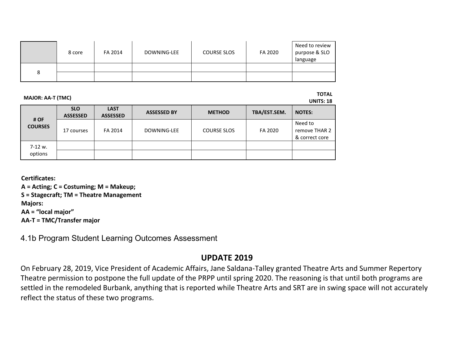|   | 8 core | FA 2014 | DOWNING-LEE | <b>COURSE SLOS</b> | FA 2020 | Need to review<br>purpose & SLO<br>language |
|---|--------|---------|-------------|--------------------|---------|---------------------------------------------|
|   |        |         |             |                    |         |                                             |
| 8 |        |         |             |                    |         |                                             |

**MAJOR: AA-T (TMC) TOTAL** 

**UNITS: 18**

| # OF<br><b>COURSES</b> | <b>SLO</b><br><b>ASSESSED</b> | <b>LAST</b><br><b>ASSESSED</b> | <b>ASSESSED BY</b> | <b>METHOD</b>      | TBA/EST.SEM. | <b>NOTES:</b>                              |
|------------------------|-------------------------------|--------------------------------|--------------------|--------------------|--------------|--------------------------------------------|
|                        | 17 courses                    | FA 2014                        | DOWNING-LEE        | <b>COURSE SLOS</b> | FA 2020      | Need to<br>remove THAR 2<br>& correct core |
| 7-12 w.<br>options     |                               |                                |                    |                    |              |                                            |

**Certificates:**

**A = Acting; C = Costuming; M = Makeup; S = Stagecraft; TM = Theatre Management Majors:**

**AA = "local major"**

**AA-T = TMC/Transfer major**

4.1b Program Student Learning Outcomes Assessment

## **UPDATE 2019**

On February 28, 2019, Vice President of Academic Affairs, Jane Saldana-Talley granted Theatre Arts and Summer Repertory Theatre permission to postpone the full update of the PRPP until spring 2020. The reasoning is that until both programs are settled in the remodeled Burbank, anything that is reported while Theatre Arts and SRT are in swing space will not accurately reflect the status of these two programs.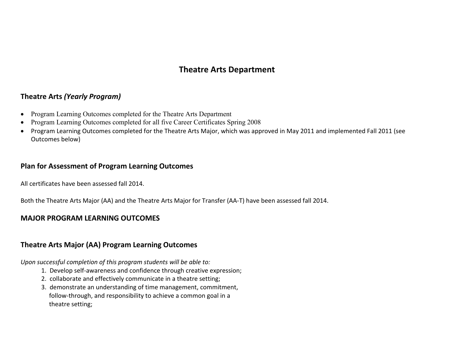## **Theatre Arts Department**

## **Theatre Arts** *(Yearly Program)*

- Program Learning Outcomes completed for the Theatre Arts Department
- Program Learning Outcomes completed for all five Career Certificates Spring 2008
- Program Learning Outcomes completed for the Theatre Arts Major, which was approved in May 2011 and implemented Fall 2011 (see Outcomes below)

### **Plan for Assessment of Program Learning Outcomes**

All certificates have been assessed fall 2014.

Both the Theatre Arts Major (AA) and the Theatre Arts Major for Transfer (AA-T) have been assessed fall 2014.

## **MAJOR PROGRAM LEARNING OUTCOMES**

## **Theatre Arts Major (AA) Program Learning Outcomes**

*Upon successful completion of this program students will be able to:*

- 1. Develop self-awareness and confidence through creative expression;
- 2. collaborate and effectively communicate in a theatre setting;
- 3. demonstrate an understanding of time management, commitment, follow-through, and responsibility to achieve a common goal in a theatre setting;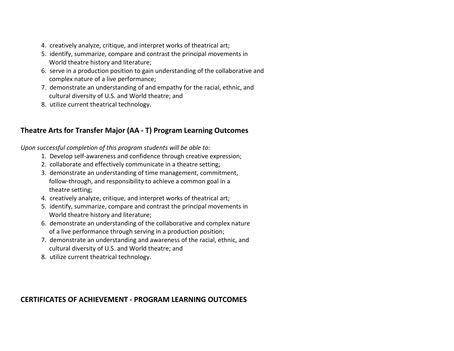- 4. creatively analyze, critique, and interpret works of theatrical art;
- 5. identify, summarize, compare and contrast the principal movements in World theatre history and literature;
- 6. serve in a production position to gain understanding of the collaborative and complex nature of a live performance;
- 7. demonstrate an understanding of and empathy for the racial, ethnic, and cultural diversity of U.S. and World theatre; and
- 8. utilize current theatrical technology.

## **Theatre Arts for Transfer Major (AA - T) Program Learning Outcomes**

*Upon successful completion of this program students will be able to:*

- 1. Develop self-awareness and confidence through creative expression;
- 2. collaborate and effectively communicate in a theatre setting;
- 3. demonstrate an understanding of time management, commitment, follow-through, and responsibility to achieve a common goal in a theatre setting;
- 4. creatively analyze, critique, and interpret works of theatrical art;
- 5. identify, summarize, compare and contrast the principal movements in World theatre history and literature;
- 6. demonstrate an understanding of the collaborative and complex nature of a live performance through serving in a production position;
- 7. demonstrate an understanding and awareness of the racial, ethnic, and cultural diversity of U.S. and World theatre; and
- 8. utilize current theatrical technology.

## **CERTIFICATES OF ACHIEVEMENT - PROGRAM LEARNING OUTCOMES**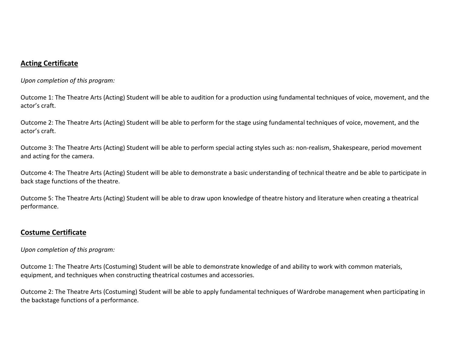## **Acting Certificate**

*Upon completion of this program:*

Outcome 1: The Theatre Arts (Acting) Student will be able to audition for a production using fundamental techniques of voice, movement, and the actor's craft.

Outcome 2: The Theatre Arts (Acting) Student will be able to perform for the stage using fundamental techniques of voice, movement, and the actor's craft.

Outcome 3: The Theatre Arts (Acting) Student will be able to perform special acting styles such as: non-realism, Shakespeare, period movement and acting for the camera.

Outcome 4: The Theatre Arts (Acting) Student will be able to demonstrate a basic understanding of technical theatre and be able to participate in back stage functions of the theatre.

Outcome 5: The Theatre Arts (Acting) Student will be able to draw upon knowledge of theatre history and literature when creating a theatrical performance.

## **Costume Certificate**

*Upon completion of this program:*

Outcome 1: The Theatre Arts (Costuming) Student will be able to demonstrate knowledge of and ability to work with common materials, equipment, and techniques when constructing theatrical costumes and accessories.

Outcome 2: The Theatre Arts (Costuming) Student will be able to apply fundamental techniques of Wardrobe management when participating in the backstage functions of a performance.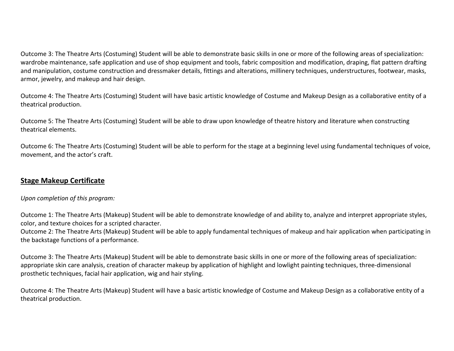Outcome 3: The Theatre Arts (Costuming) Student will be able to demonstrate basic skills in one or more of the following areas of specialization: wardrobe maintenance, safe application and use of shop equipment and tools, fabric composition and modification, draping, flat pattern drafting and manipulation, costume construction and dressmaker details, fittings and alterations, millinery techniques, understructures, footwear, masks, armor, jewelry, and makeup and hair design.

Outcome 4: The Theatre Arts (Costuming) Student will have basic artistic knowledge of Costume and Makeup Design as a collaborative entity of a theatrical production.

Outcome 5: The Theatre Arts (Costuming) Student will be able to draw upon knowledge of theatre history and literature when constructing theatrical elements.

Outcome 6: The Theatre Arts (Costuming) Student will be able to perform for the stage at a beginning level using fundamental techniques of voice, movement, and the actor's craft.

## **Stage Makeup Certificate**

### *Upon completion of this program:*

Outcome 1: The Theatre Arts (Makeup) Student will be able to demonstrate knowledge of and ability to, analyze and interpret appropriate styles, color, and texture choices for a scripted character.

Outcome 2: The Theatre Arts (Makeup) Student will be able to apply fundamental techniques of makeup and hair application when participating in the backstage functions of a performance.

Outcome 3: The Theatre Arts (Makeup) Student will be able to demonstrate basic skills in one or more of the following areas of specialization: appropriate skin care analysis, creation of character makeup by application of highlight and lowlight painting techniques, three-dimensional prosthetic techniques, facial hair application, wig and hair styling.

Outcome 4: The Theatre Arts (Makeup) Student will have a basic artistic knowledge of Costume and Makeup Design as a collaborative entity of a theatrical production.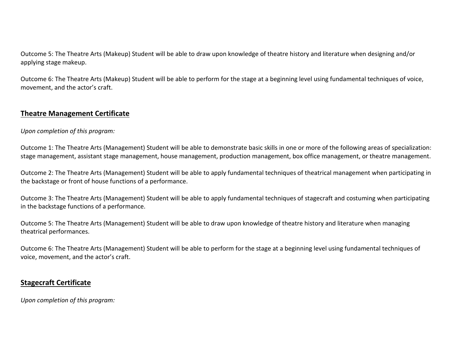Outcome 5: The Theatre Arts (Makeup) Student will be able to draw upon knowledge of theatre history and literature when designing and/or applying stage makeup.

Outcome 6: The Theatre Arts (Makeup) Student will be able to perform for the stage at a beginning level using fundamental techniques of voice, movement, and the actor's craft.

## **Theatre Management Certificate**

*Upon completion of this program:*

Outcome 1: The Theatre Arts (Management) Student will be able to demonstrate basic skills in one or more of the following areas of specialization: stage management, assistant stage management, house management, production management, box office management, or theatre management.

Outcome 2: The Theatre Arts (Management) Student will be able to apply fundamental techniques of theatrical management when participating in the backstage or front of house functions of a performance.

Outcome 3: The Theatre Arts (Management) Student will be able to apply fundamental techniques of stagecraft and costuming when participating in the backstage functions of a performance.

Outcome 5: The Theatre Arts (Management) Student will be able to draw upon knowledge of theatre history and literature when managing theatrical performances.

Outcome 6: The Theatre Arts (Management) Student will be able to perform for the stage at a beginning level using fundamental techniques of voice, movement, and the actor's craft.

## **Stagecraft Certificate**

*Upon completion of this program:*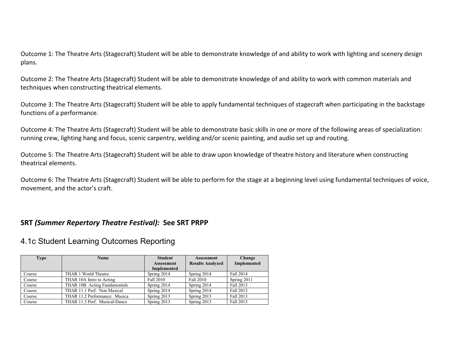Outcome 1: The Theatre Arts (Stagecraft) Student will be able to demonstrate knowledge of and ability to work with lighting and scenery design plans.

Outcome 2: The Theatre Arts (Stagecraft) Student will be able to demonstrate knowledge of and ability to work with common materials and techniques when constructing theatrical elements.

Outcome 3: The Theatre Arts (Stagecraft) Student will be able to apply fundamental techniques of stagecraft when participating in the backstage functions of a performance.

Outcome 4: The Theatre Arts (Stagecraft) Student will be able to demonstrate basic skills in one or more of the following areas of specialization: running crew, lighting hang and focus, scenic carpentry, welding and/or scenic painting, and audio set up and routing.

Outcome 5: The Theatre Arts (Stagecraft) Student will be able to draw upon knowledge of theatre history and literature when constructing theatrical elements.

Outcome 6: The Theatre Arts (Stagecraft) Student will be able to perform for the stage at a beginning level using fundamental techniques of voice, movement, and the actor's craft.

### **SRT** *(Summer Repertory Theatre Festival):* **See SRT PRPP**

## 4.1c Student Learning Outcomes Reporting

| <b>Type</b> | <b>Name</b>                   | <b>Student</b><br><b>Assessment</b> | <b>Assessment</b><br><b>Results Analyzed</b> | Change<br>Implemented |
|-------------|-------------------------------|-------------------------------------|----------------------------------------------|-----------------------|
|             |                               | <b>Implemented</b>                  |                                              |                       |
| Course      | THAR 1 World Theatre          | Spring 2014                         | Spring 2014                                  | Fall 2014             |
| Course      | THAR 10A Intro to Acting      | Fall 2010                           | Fall 2010                                    | Spring 2011           |
| Course      | THAR 10B Acting Fundamentals  | Spring 2014                         | Spring 2014                                  | Fall 2013             |
| Course      | THAR 11.1 Perf: Non Musical   | Spring 2014                         | Spring 2014                                  | Fall 2013             |
| Course      | THAR 11.2 Performance: Musica | Spring 2013                         | Spring 2013                                  | Fall 2013             |
| Course      | THAR 11.3 Perf: Musical-Dance | Spring 2013                         | Spring 2013                                  | Fall 2013             |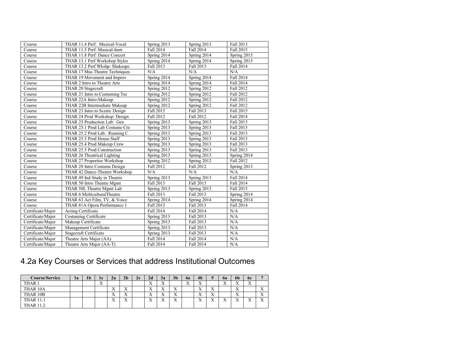| Course            | THAR 11.4 Perf: Musical-Vocal  | Spring 2013 | Spring 2013 | Fall 2013   |
|-------------------|--------------------------------|-------------|-------------|-------------|
| Course            | THAR 11.5 Perf: Musical-Instr  | Fall 2014   | Fall 2014   | Fall 2015   |
| Course            | THAR 11.8 Perf: Dance Concert  | Spring 2014 | Spring 2014 | Spring 2015 |
| Course            | THAR 13.1 Perf Workshop Styles | Spring 2014 | Spring 2014 | Spring 2015 |
| Course            | THAR 13.2 Perf Wkshp: Shakespe | Fall 2013   | Fall 2013   | Fall 2014   |
| Course            | THAR 17 Mus Theatre Techniques | N/A         | N/A         | N/A         |
| Course            | THAR 19 Movement and Improv    | Spring 2014 | Spring 2014 | Fall 2014   |
| Course            | THAR 2 Intro to Theatre Arts   | Spring 2014 | Spring 2014 | Fall 2014   |
| Course            | THAR 20 Stagecraft             | Spring 2012 | Spring 2012 | Fall 2012   |
| Course            | THAR 21 Intro to Costuming Tec | Spring 2012 | Spring 2012 | Fall 2012   |
| Course            | THAR 22A Intro-Makeup          | Spring 2012 | Spring 2012 | Fall 2012   |
| Course            | THAR 22B Intermediate Makeup   | Spring 2012 | Spring 2012 | Fall 2012   |
| Course            | THAR 23 Intro to Scenic Design | Fall 2013   | Fall 2013   | Fall 2015   |
| Course            | THAR 24 Prod Workshop: Design  | Fall 2012   | Fall 2012   | Fall 2014   |
| Course            | THAR 25 Production Lab: Gen    | Spring 2013 | Spring 2013 | Fall 2013   |
| Course            | THAR 25.1 Prod Lab Costume Cre | Spring 2013 | Spring 2013 | Fall 2013   |
| Course            | THAR 25.2 Prod Lab: Running C  | Spring 2013 | Spring 2013 | Fall 2013   |
| Course            | THAR 25.3 Prod House Staff     | Spring 2013 | Spring 2013 | Fall 2013   |
| Course            | THAR 25.4 Prod Makeup Crew     | Spring 2013 | Spring 2013 | Fall 2013   |
| Course            | THAR 25.5 Prod Construction    | Spring 2013 | Spring 2013 | Fall 2013   |
| Course            | THAR 26 Theatrical Lighting    | Spring 2013 | Spring 2013 | Spring 2014 |
| Course            | THAR 27 Properties Workshop    | Spring 2012 | Spring 2012 | Fall 2012   |
| Course            | THAR 28 Intro Costume Design   | Fall 2012   | Fall 2012   | Spring 2013 |
| Course            | THAR 42 Dance-Theatre Workshop | N/A         | N/A         | N/A         |
| Course            | THAR 49 Ind Study in Theatre   | Spring 2013 | Spring 2013 | Fall 2014   |
| Course            | THAR 50 Intro Theatre Mgmt     | Fall 2013   | Fall 2013   | Fall 2014   |
| Course            | THAR 50L Theatre Mgmt Lab      | Spring 2013 | Spring 2013 | Fall 2013   |
| Course            | THAR 6 MulticulturalTheatre    | Fall 2013   | Fall 2013   | Spring 2014 |
| Course            | THAR 63 Act Film, TV, & Voice  | Spring 2014 | Spring 2014 | Spring 2014 |
| Course            | THAR 81A Opera Performance 1   | Fall 2013   | Fall 2013   | Fall 2014   |
| Certificate/Major | Acting Certificate             | Fall 2014   | Fall 2014   | N/A         |
| Certificate/Major | <b>Costuming Certificate</b>   | Spring 2013 | Fall 2013   | N/A         |
| Certificate/Major | Makeup Certificate             | Spring 2013 | Fall 2013   | N/A         |
| Certificate/Major | Management Certificate         | Spring 2013 | Fall 2013   | N/A         |
| Certificate/Major | Stagecraft Certificate         | Spring 2013 | Fall 2013   | N/A         |
| Certificate/Major | Theatre Arts Major (AA)        | Fall 2014   | Fall 2014   | N/A         |
| Certificate/Major | Theatre Arts Major (AA-T)      | Fall 2014   | Fall 2014   | N/A         |

# 4.2a Key Courses or Services that address Institutional Outcomes

| <b>Course/Service</b> | 1a | 1 <sub>b</sub> | 1c                        | 2a                        | 2 <sub>b</sub>            | 2c | 2d               | 3a            | 3 <sub>b</sub>            | 4a                | 4 <sub>b</sub>            |                           | 6a                        | 6b                    | <b>6c</b>        |                                |
|-----------------------|----|----------------|---------------------------|---------------------------|---------------------------|----|------------------|---------------|---------------------------|-------------------|---------------------------|---------------------------|---------------------------|-----------------------|------------------|--------------------------------|
| THAR 1                |    |                | $\mathbf{v}$<br>$\Lambda$ |                           |                           |    | $\Lambda$        | <br>$\Lambda$ |                           | $\mathbf{v}$<br>△ | $\mathbf{v}$<br>$\Lambda$ |                           | <b>XF</b><br>$\Lambda$    | v r<br>$\Lambda$      | v v<br>$\Lambda$ |                                |
| THAR 10A              |    |                |                           | $\mathbf{v}$<br>$\Lambda$ | $\mathbf{v}$<br>$\Lambda$ |    | $\Lambda$        | <br>$\Lambda$ | $\mathbf{v}$<br>$\Lambda$ |                   | $\mathbf{v}$<br>$\Lambda$ | $\mathbf{v}$<br>$\Lambda$ |                           | <br>$\Lambda$         |                  | $\mathbf{v}$<br>$\overline{ }$ |
| THAR 10B              |    |                |                           | $\mathbf{v}$<br>$\Lambda$ | $\mathbf{v}$<br>$\Lambda$ |    | $\Lambda$        | $\Lambda$     | $\mathbf{v}$<br>$\Lambda$ |                   | $\mathbf{v}$<br>$\Lambda$ | $\mathbf{v}$<br>$\Lambda$ |                           | $\Lambda$             |                  | $\lambda$                      |
| <b>THAR 11.1</b>      |    |                |                           | $\mathbf{v}$<br>$\Lambda$ | $\mathbf{v}$<br>л         |    | v v<br>$\Lambda$ | <br>$\lambda$ | $\mathbf{v}$<br>$\Lambda$ |                   | $\mathbf{v}$<br>$\Lambda$ | $\mathbf{v}$<br>$\Lambda$ | $\mathbf{v}$<br>$\Lambda$ | <b>x</b><br>$\Lambda$ | $\lambda$        | <b>W</b>                       |
| <b>THAR 11 2</b>      |    |                |                           |                           |                           |    |                  |               |                           |                   |                           |                           |                           |                       |                  |                                |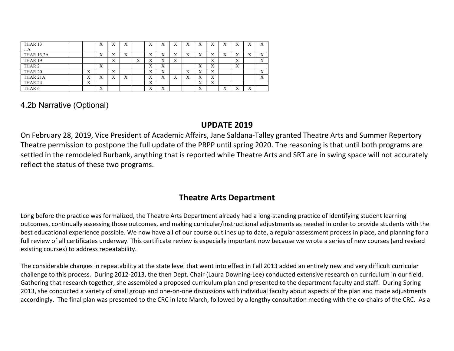| THAR 13            |                   | X                 | ٦Z<br>$\Lambda$           | X                         |                 | $\mathbf{v}$<br>$\lambda$ | $\mathbf{v}$              | $\mathbf{v}$<br>л         | X      | $\mathbf v$<br>л | $\mathbf{v}$<br>л | л | $\mathbf{x}$<br>л         | $\mathbf{v}$<br>л | X                 |
|--------------------|-------------------|-------------------|---------------------------|---------------------------|-----------------|---------------------------|---------------------------|---------------------------|--------|------------------|-------------------|---|---------------------------|-------------------|-------------------|
| .1A                |                   |                   |                           |                           |                 |                           |                           |                           |        |                  |                   |   |                           |                   |                   |
| <b>THAR 13.2A</b>  |                   | $\mathbf{v}$<br>A | v<br>$\Lambda$            | $\mathbf{v}$<br>$\Lambda$ |                 | ۳z<br>$\Lambda$           | v<br>л                    | $\mathbf{v}$<br>$\Lambda$ | X      | X                | A                 | A | ٦z<br>л                   | л                 | X                 |
| THAR 19            |                   |                   | v<br>$\Lambda$            |                           | ٦z<br>$\Lambda$ | ٦z<br>$\Lambda$           | $\mathbf{v}$<br>л         | X                         |        |                  | v<br>$\Lambda$    |   | $\mathbf{x}$<br>$\Lambda$ |                   | $\mathbf{v}$<br>A |
| THAR <sub>2</sub>  |                   | v<br>A            |                           |                           |                 | ۳z<br>$\Lambda$           | $\mathbf{v}$<br>A         |                           |        | v<br>$\Lambda$   | v<br>A            |   | $\mathbf{x}$<br>$\Lambda$ |                   |                   |
| THAR <sub>20</sub> | $\mathbf{v}$<br>A |                   | $\mathbf{v}$<br>$\Lambda$ |                           |                 | $\mathbf{v}$<br>$\Lambda$ | $\mathbf{v}$<br>л         |                           | v<br>A | X                | X                 |   |                           |                   | X                 |
| THAR 21A           | $\mathbf{v}$<br>A | X                 | v<br>$\Lambda$            | Х                         |                 | v<br>$\Lambda$            | $\mathbf{v}$<br>л         | $\mathbf{v}$<br>A         | X      | X                | X                 |   |                           |                   | X                 |
| THAR <sub>24</sub> | X                 |                   |                           |                           |                 | $\mathbf{x}$<br>$\Lambda$ |                           |                           |        | v<br>A           | X                 |   |                           |                   |                   |
| THAR <sub>6</sub>  |                   | X                 |                           |                           |                 | v<br>∡⊾                   | $\mathbf{v}$<br>$\Lambda$ |                           |        | X                |                   | л |                           | $\mathbf{v}$<br>A |                   |

### 4.2b Narrative (Optional)

## **UPDATE 2019**

On February 28, 2019, Vice President of Academic Affairs, Jane Saldana-Talley granted Theatre Arts and Summer Repertory Theatre permission to postpone the full update of the PRPP until spring 2020. The reasoning is that until both programs are settled in the remodeled Burbank, anything that is reported while Theatre Arts and SRT are in swing space will not accurately reflect the status of these two programs.

## **Theatre Arts Department**

Long before the practice was formalized, the Theatre Arts Department already had a long-standing practice of identifying student learning outcomes, continually assessing those outcomes, and making curricular/instructional adjustments as needed in order to provide students with the best educational experience possible. We now have all of our course outlines up to date, a regular assessment process in place, and planning for a full review of all certificates underway. This certificate review is especially important now because we wrote a series of new courses (and revised existing courses) to address repeatability.

The considerable changes in repeatability at the state level that went into effect in Fall 2013 added an entirely new and very difficult curricular challenge to this process. During 2012-2013, the then Dept. Chair (Laura Downing-Lee) conducted extensive research on curriculum in our field. Gathering that research together, she assembled a proposed curriculum plan and presented to the department faculty and staff. During Spring 2013, she conducted a variety of small group and one-on-one discussions with individual faculty about aspects of the plan and made adjustments accordingly. The final plan was presented to the CRC in late March, followed by a lengthy consultation meeting with the co-chairs of the CRC. As a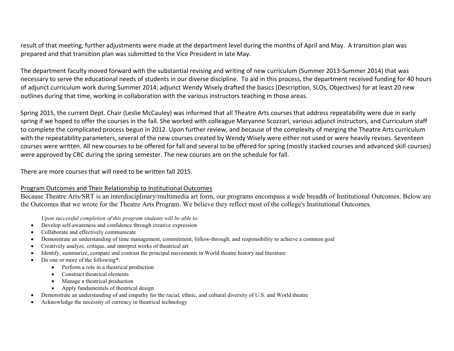result of that meeting, further adjustments were made at the department level during the months of April and May. A transition plan was prepared and that transition plan was submitted to the Vice President in late May.

The department faculty moved forward with the substantial revising and writing of new curriculum (Summer 2013-Summer 2014) that was necessary to serve the educational needs of students in our diverse discipline. To aid in this process, the department received funding for 40 hours of adjunct curriculum work during Summer 2014; adjunct Wendy Wisely drafted the basics (Description, SLOs, Objectives) for at least 20 new outlines during that time, working in collaboration with the various instructors teaching in those areas.

Spring 2015, the current Dept. Chair (Leslie McCauley) was informed that all Theatre Arts courses that address repeatability were due in early spring if we hoped to offer the courses in the fall. She worked with colleague Maryanne Scozzari, various adjunct instructors, and Curriculum staff to complete the complicated process begun in 2012. Upon further review, and because of the complexity of merging the Theatre Arts curriculum with the repeatability parameters, several of the new courses created by Wendy Wisely were either not used or were heavily revises. Seventeen courses were written. All new courses to be offered for fall and several to be offered for spring (mostly stacked courses and advanced skill courses) were approved by CRC during the spring semester. The new courses are on the schedule for fall.

There are more courses that will need to be written fall 2015.

#### Program Outcomes and Their Relationship to Institutional Outcomes

Because Theatre Arts/SRT is an interdisciplinary/multimedia art form, our programs encompass a wide breadth of Institutional Outcomes. Below are the Outcomes that we wrote for the Theatre Arts Program. We believe they reflect most of the college's Institutional Outcomes.

*Upon successful completion of this program students will be able to:*

- Develop self-awareness and confidence through creative expression
- Collaborate and effectively communicate
- Demonstrate an understanding of time management, commitment, follow-through, and responsibility to achieve a common goal
- Creatively analyze, critique, and interpret works of theatrical art
- Identify, summarize, compare and contrast the principal movements in World theatre history and literature
- Do one or more of the following\*:
	- Perform a role in a theatrical production
	- Construct theatrical elements
	- Manage a theatrical production
	- Apply fundamentals of theatrical design
- Demonstrate an understanding of and empathy for the racial, ethnic, and cultural diversity of U.S. and World theatre
- Acknowledge the necessity of currency in theatrical technology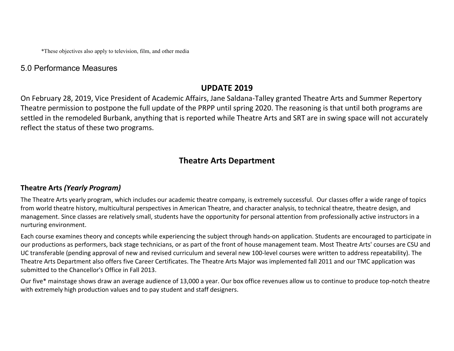\*These objectives also apply to television, film, and other media

### 5.0 Performance Measures

### **UPDATE 2019**

On February 28, 2019, Vice President of Academic Affairs, Jane Saldana-Talley granted Theatre Arts and Summer Repertory Theatre permission to postpone the full update of the PRPP until spring 2020. The reasoning is that until both programs are settled in the remodeled Burbank, anything that is reported while Theatre Arts and SRT are in swing space will not accurately reflect the status of these two programs.

## **Theatre Arts Department**

### **Theatre Arts** *(Yearly Program)*

The Theatre Arts yearly program, which includes our academic theatre company, is extremely successful. Our classes offer a wide range of topics from world theatre history, multicultural perspectives in American Theatre, and character analysis, to technical theatre, theatre design, and management. Since classes are relatively small, students have the opportunity for personal attention from professionally active instructors in a nurturing environment.

Each course examines theory and concepts while experiencing the subject through hands-on application. Students are encouraged to participate in our productions as performers, back stage technicians, or as part of the front of house management team. Most Theatre Arts' courses are CSU and UC transferable (pending approval of new and revised curriculum and several new 100-level courses were written to address repeatability). The Theatre Arts Department also offers five Career Certificates. The Theatre Arts Major was implemented fall 2011 and our TMC application was submitted to the Chancellor's Office in Fall 2013.

Our five\* mainstage shows draw an average audience of 13,000 a year. Our box office revenues allow us to continue to produce top-notch theatre with extremely high production values and to pay student and staff designers.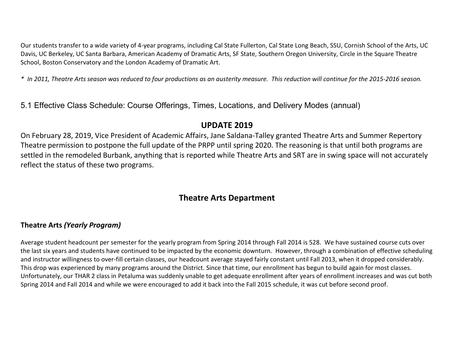Our students transfer to a wide variety of 4-year programs, including Cal State Fullerton, Cal State Long Beach, SSU, Cornish School of the Arts, UC Davis, UC Berkeley, UC Santa Barbara, American Academy of Dramatic Arts, SF State, Southern Oregon University, Circle in the Square Theatre School, Boston Conservatory and the London Academy of Dramatic Art.

*\* In 2011, Theatre Arts season was reduced to four productions as an austerity measure. This reduction will continue for the 2015-2016 season.*

5.1 Effective Class Schedule: Course Offerings, Times, Locations, and Delivery Modes (annual)

### **UPDATE 2019**

On February 28, 2019, Vice President of Academic Affairs, Jane Saldana-Talley granted Theatre Arts and Summer Repertory Theatre permission to postpone the full update of the PRPP until spring 2020. The reasoning is that until both programs are settled in the remodeled Burbank, anything that is reported while Theatre Arts and SRT are in swing space will not accurately reflect the status of these two programs.

## **Theatre Arts Department**

### **Theatre Arts** *(Yearly Program)*

Average student headcount per semester for the yearly program from Spring 2014 through Fall 2014 is 528. We have sustained course cuts over the last six years and students have continued to be impacted by the economic downturn. However, through a combination of effective scheduling and instructor willingness to over-fill certain classes, our headcount average stayed fairly constant until Fall 2013, when it dropped considerably. This drop was experienced by many programs around the District. Since that time, our enrollment has begun to build again for most classes. Unfortunately, our THAR 2 class in Petaluma was suddenly unable to get adequate enrollment after years of enrollment increases and was cut both Spring 2014 and Fall 2014 and while we were encouraged to add it back into the Fall 2015 schedule, it was cut before second proof.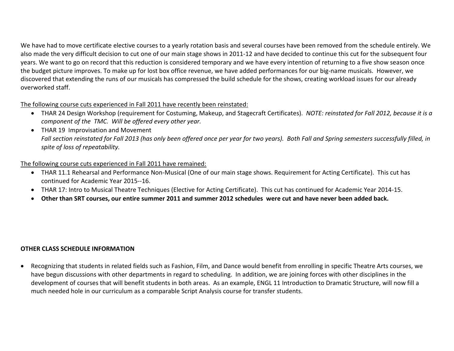We have had to move certificate elective courses to a yearly rotation basis and several courses have been removed from the schedule entirely. We also made the very difficult decision to cut one of our main stage shows in 2011-12 and have decided to continue this cut for the subsequent four years. We want to go on record that this reduction is considered temporary and we have every intention of returning to a five show season once the budget picture improves. To make up for lost box office revenue, we have added performances for our big-name musicals. However, we discovered that extending the runs of our musicals has compressed the build schedule for the shows, creating workload issues for our already overworked staff.

#### The following course cuts experienced in Fall 2011 have recently been reinstated:

- THAR 24 Design Workshop (requirement for Costuming, Makeup, and Stagecraft Certificates). *NOTE: reinstated for Fall 2012, because it is a component of the TMC. Will be offered every other year.*
- THAR 19 Improvisation and Movement *Fall section reinstated for Fall 2013 (has only been offered once per year for two years). Both Fall and Spring semesters successfully filled, in spite of loss of repeatability.*

### The following course cuts experienced in Fall 2011 have remained:

- THAR 11.1 Rehearsal and Performance Non-Musical (One of our main stage shows. Requirement for Acting Certificate). This cut has continued for Academic Year 2015--16.
- THAR 17: Intro to Musical Theatre Techniques (Elective for Acting Certificate). This cut has continued for Academic Year 2014-15.
- **Other than SRT courses, our entire summer 2011 and summer 2012 schedules were cut and have never been added back.**

### **OTHER CLASS SCHEDULE INFORMATION**

• Recognizing that students in related fields such as Fashion, Film, and Dance would benefit from enrolling in specific Theatre Arts courses, we have begun discussions with other departments in regard to scheduling. In addition, we are joining forces with other disciplines in the development of courses that will benefit students in both areas. As an example, ENGL 11 Introduction to Dramatic Structure, will now fill a much needed hole in our curriculum as a comparable Script Analysis course for transfer students.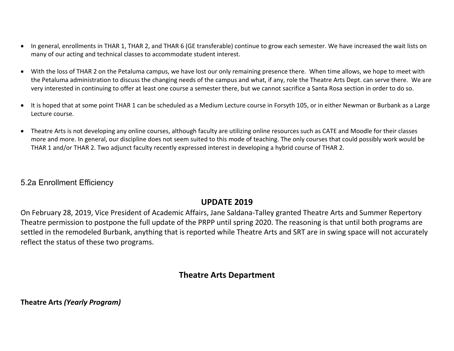- In general, enrollments in THAR 1, THAR 2, and THAR 6 (GE transferable) continue to grow each semester. We have increased the wait lists on many of our acting and technical classes to accommodate student interest.
- With the loss of THAR 2 on the Petaluma campus, we have lost our only remaining presence there. When time allows, we hope to meet with the Petaluma administration to discuss the changing needs of the campus and what, if any, role the Theatre Arts Dept. can serve there. We are very interested in continuing to offer at least one course a semester there, but we cannot sacrifice a Santa Rosa section in order to do so.
- It is hoped that at some point THAR 1 can be scheduled as a Medium Lecture course in Forsyth 105, or in either Newman or Burbank as a Large Lecture course.
- Theatre Arts is not developing any online courses, although faculty are utilizing online resources such as CATE and Moodle for their classes more and more. In general, our discipline does not seem suited to this mode of teaching. The only courses that could possibly work would be THAR 1 and/or THAR 2. Two adjunct faculty recently expressed interest in developing a hybrid course of THAR 2.

### 5.2a Enrollment Efficiency

## **UPDATE 2019**

On February 28, 2019, Vice President of Academic Affairs, Jane Saldana-Talley granted Theatre Arts and Summer Repertory Theatre permission to postpone the full update of the PRPP until spring 2020. The reasoning is that until both programs are settled in the remodeled Burbank, anything that is reported while Theatre Arts and SRT are in swing space will not accurately reflect the status of these two programs.

## **Theatre Arts Department**

**Theatre Arts** *(Yearly Program)*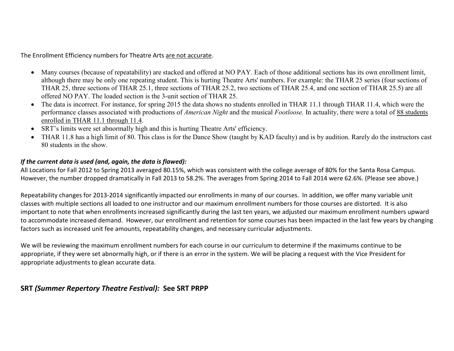The Enrollment Efficiency numbers for Theatre Arts are not accurate.

- Many courses (because of repeatability) are stacked and offered at NO PAY. Each of those additional sections has its own enrollment limit, although there may be only one repeating student. This is hurting Theatre Arts' numbers. For example: the THAR 25 series (four sections of THAR 25, three sections of THAR 25.1, three sections of THAR 25.2, two sections of THAR 25.4, and one section of THAR 25.5) are all offered NO PAY. The loaded section is the 3-unit section of THAR 25.
- The data is incorrect. For instance, for spring 2015 the data shows no students enrolled in THAR 11.1 through THAR 11.4, which were the performance classes associated with productions of *American Night* and the musical *Footloose.* In actuality, there were a total of 88 students enrolled in THAR 11.1 through 11.4.
- SRT's limits were set abnormally high and this is hurting Theatre Arts' efficiency.
- THAR 11.8 has a high limit of 80. This class is for the Dance Show (taught by KAD faculty) and is by audition. Rarely do the instructors cast 80 students in the show.

### *If the current data is used (and, again, the data is flawed):*

All Locations for Fall 2012 to Spring 2013 averaged 80.15%, which was consistent with the college average of 80% for the Santa Rosa Campus. However, the number dropped dramatically in Fall 2013 to 58.2%. The averages from Spring 2014 to Fall 2014 were 62.6%. (Please see above.)

Repeatability changes for 2013-2014 significantly impacted our enrollments in many of our courses. In addition, we offer many variable unit classes with multiple sections all loaded to one instructor and our maximum enrollment numbers for those courses are distorted. It is also important to note that when enrollments increased significantly during the last ten years, we adjusted our maximum enrollment numbers upward to accommodate increased demand. However, our enrollment and retention for some courses has been impacted in the last few years by changing factors such as increased unit fee amounts, repeatability changes, and necessary curricular adjustments.

We will be reviewing the maximum enrollment numbers for each course in our curriculum to determine if the maximums continue to be appropriate, if they were set abnormally high, or if there is an error in the system. We will be placing a request with the Vice President for appropriate adjustments to glean accurate data.

### **SRT** *(Summer Repertory Theatre Festival):* **See SRT PRPP**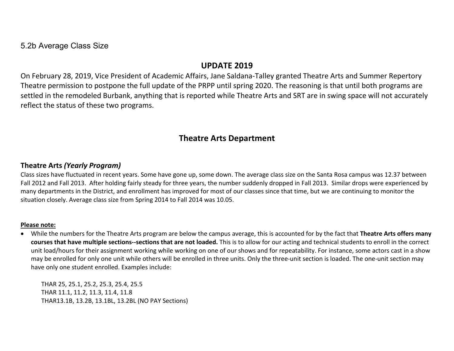5.2b Average Class Size

### **UPDATE 2019**

On February 28, 2019, Vice President of Academic Affairs, Jane Saldana-Talley granted Theatre Arts and Summer Repertory Theatre permission to postpone the full update of the PRPP until spring 2020. The reasoning is that until both programs are settled in the remodeled Burbank, anything that is reported while Theatre Arts and SRT are in swing space will not accurately reflect the status of these two programs.

## **Theatre Arts Department**

### **Theatre Arts** *(Yearly Program)*

Class sizes have fluctuated in recent years. Some have gone up, some down. The average class size on the Santa Rosa campus was 12.37 between Fall 2012 and Fall 2013. After holding fairly steady for three years, the number suddenly dropped in Fall 2013. Similar drops were experienced by many departments in the District, and enrollment has improved for most of our classes since that time, but we are continuing to monitor the situation closely. Average class size from Spring 2014 to Fall 2014 was 10.05.

#### **Please note:**

• While the numbers for the Theatre Arts program are below the campus average, this is accounted for by the fact that **Theatre Arts offers many courses that have multiple sections--sections that are not loaded.** This is to allow for our acting and technical students to enroll in the correct unit load/hours for their assignment working while working on one of our shows and for repeatability. For instance, some actors cast in a show may be enrolled for only one unit while others will be enrolled in three units. Only the three-unit section is loaded. The one-unit section may have only one student enrolled. Examples include:

THAR 25, 25.1, 25.2, 25.3, 25.4, 25.5 THAR 11.1, 11.2, 11.3, 11.4, 11.8 THAR13.1B, 13.2B, 13.1BL, 13.2BL (NO PAY Sections)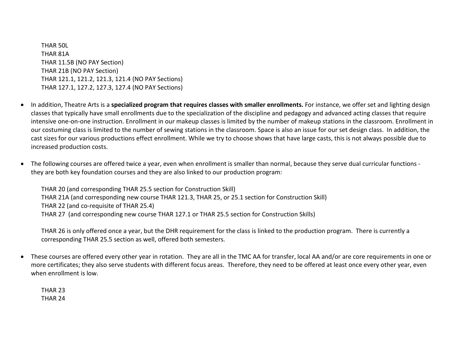THAR 50L THAR 81A THAR 11.5B (NO PAY Section) THAR 21B (NO PAY Section) THAR 121.1, 121.2, 121.3, 121.4 (NO PAY Sections) THAR 127.1, 127.2, 127.3, 127.4 (NO PAY Sections)

- In addition, Theatre Arts is a **specialized program that requires classes with smaller enrollments.** For instance, we offer set and lighting design classes that typically have small enrollments due to the specialization of the discipline and pedagogy and advanced acting classes that require intensive one-on-one instruction. Enrollment in our makeup classes is limited by the number of makeup stations in the classroom. Enrollment in our costuming class is limited to the number of sewing stations in the classroom. Space is also an issue for our set design class. In addition, the cast sizes for our various productions effect enrollment. While we try to choose shows that have large casts, this is not always possible due to increased production costs.
- The following courses are offered twice a year, even when enrollment is smaller than normal, because they serve dual curricular functions they are both key foundation courses and they are also linked to our production program:

THAR 20 (and corresponding THAR 25.5 section for Construction Skill) THAR 21A (and corresponding new course THAR 121.3, THAR 25, or 25.1 section for Construction Skill) THAR 22 (and co-requisite of THAR 25.4) THAR 27 (and corresponding new course THAR 127.1 or THAR 25.5 section for Construction Skills)

THAR 26 is only offered once a year, but the DHR requirement for the class is linked to the production program. There is currently a corresponding THAR 25.5 section as well, offered both semesters.

• These courses are offered every other year in rotation. They are all in the TMC AA for transfer, local AA and/or are core requirements in one or more certificates; they also serve students with different focus areas. Therefore, they need to be offered at least once every other year, even when enrollment is low.

THAR 23 THAR 24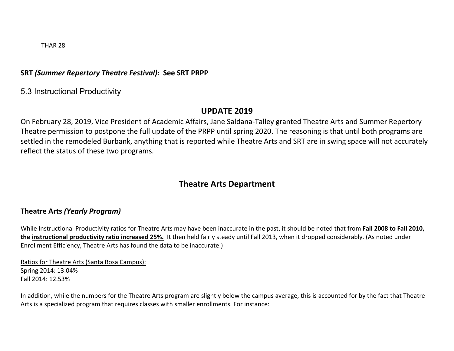THAR 28

### **SRT** *(Summer Repertory Theatre Festival):* **See SRT PRPP**

5.3 Instructional Productivity

### **UPDATE 2019**

On February 28, 2019, Vice President of Academic Affairs, Jane Saldana-Talley granted Theatre Arts and Summer Repertory Theatre permission to postpone the full update of the PRPP until spring 2020. The reasoning is that until both programs are settled in the remodeled Burbank, anything that is reported while Theatre Arts and SRT are in swing space will not accurately reflect the status of these two programs.

## **Theatre Arts Department**

### **Theatre Arts** *(Yearly Program)*

While Instructional Productivity ratios for Theatre Arts may have been inaccurate in the past, it should be noted that from **Fall 2008 to Fall 2010, the instructional productivity ratio increased 25%.** It then held fairly steady until Fall 2013, when it dropped considerably. (As noted under Enrollment Efficiency, Theatre Arts has found the data to be inaccurate.)

Ratios for Theatre Arts (Santa Rosa Campus): Spring 2014: 13.04% Fall 2014: 12.53%

In addition, while the numbers for the Theatre Arts program are slightly below the campus average, this is accounted for by the fact that Theatre Arts is a specialized program that requires classes with smaller enrollments. For instance: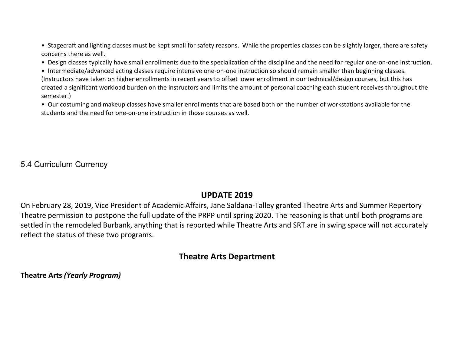• Stagecraft and lighting classes must be kept small for safety reasons. While the properties classes can be slightly larger, there are safety concerns there as well.

• Design classes typically have small enrollments due to the specialization of the discipline and the need for regular one-on-one instruction.

• Intermediate/advanced acting classes require intensive one-on-one instruction so should remain smaller than beginning classes. (Instructors have taken on higher enrollments in recent years to offset lower enrollment in our technical/design courses, but this has created a significant workload burden on the instructors and limits the amount of personal coaching each student receives throughout the semester.)

• Our costuming and makeup classes have smaller enrollments that are based both on the number of workstations available for the students and the need for one-on-one instruction in those courses as well.

5.4 Curriculum Currency

## **UPDATE 2019**

On February 28, 2019, Vice President of Academic Affairs, Jane Saldana-Talley granted Theatre Arts and Summer Repertory Theatre permission to postpone the full update of the PRPP until spring 2020. The reasoning is that until both programs are settled in the remodeled Burbank, anything that is reported while Theatre Arts and SRT are in swing space will not accurately reflect the status of these two programs.

## **Theatre Arts Department**

**Theatre Arts** *(Yearly Program)*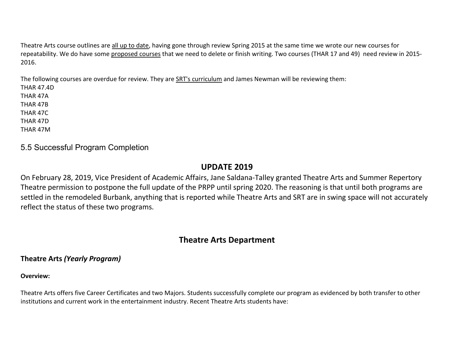Theatre Arts course outlines are all up to date, having gone through review Spring 2015 at the same time we wrote our new courses for repeatability. We do have some proposed courses that we need to delete or finish writing. Two courses (THAR 17 and 49) need review in 2015- 2016.

The following courses are overdue for review. They are SRT's curriculum and James Newman will be reviewing them:

THAR 47.4D THAR 47A THAR 47B THAR 47C THAR 47D THAR 47M

### 5.5 Successful Program Completion

### **UPDATE 2019**

On February 28, 2019, Vice President of Academic Affairs, Jane Saldana-Talley granted Theatre Arts and Summer Repertory Theatre permission to postpone the full update of the PRPP until spring 2020. The reasoning is that until both programs are settled in the remodeled Burbank, anything that is reported while Theatre Arts and SRT are in swing space will not accurately reflect the status of these two programs.

## **Theatre Arts Department**

### **Theatre Arts** *(Yearly Program)*

#### **Overview:**

Theatre Arts offers five Career Certificates and two Majors. Students successfully complete our program as evidenced by both transfer to other institutions and current work in the entertainment industry. Recent Theatre Arts students have: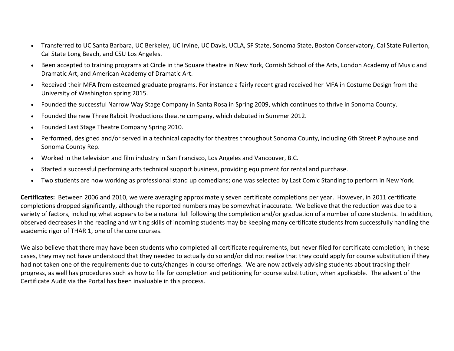- Transferred to UC Santa Barbara, UC Berkeley, UC Irvine, UC Davis, UCLA, SF State, Sonoma State, Boston Conservatory, Cal State Fullerton, Cal State Long Beach, and CSU Los Angeles.
- Been accepted to training programs at Circle in the Square theatre in New York, Cornish School of the Arts, London Academy of Music and Dramatic Art, and American Academy of Dramatic Art.
- Received their MFA from esteemed graduate programs. For instance a fairly recent grad received her MFA in Costume Design from the University of Washington spring 2015.
- Founded the successful Narrow Way Stage Company in Santa Rosa in Spring 2009, which continues to thrive in Sonoma County.
- Founded the new Three Rabbit Productions theatre company, which debuted in Summer 2012.
- Founded Last Stage Theatre Company Spring 2010.
- Performed, designed and/or served in a technical capacity for theatres throughout Sonoma County, including 6th Street Playhouse and Sonoma County Rep.
- Worked in the television and film industry in San Francisco, Los Angeles and Vancouver, B.C.
- Started a successful performing arts technical support business, providing equipment for rental and purchase.
- Two students are now working as professional stand up comedians; one was selected by Last Comic Standing to perform in New York.

**Certificates:** Between 2006 and 2010, we were averaging approximately seven certificate completions per year. However, in 2011 certificate completions dropped significantly, although the reported numbers may be somewhat inaccurate. We believe that the reduction was due to a variety of factors, including what appears to be a natural lull following the completion and/or graduation of a number of core students. In addition, observed decreases in the reading and writing skills of incoming students may be keeping many certificate students from successfully handling the academic rigor of THAR 1, one of the core courses.

We also believe that there may have been students who completed all certificate requirements, but never filed for certificate completion; in these cases, they may not have understood that they needed to actually do so and/or did not realize that they could apply for course substitution if they had not taken one of the requirements due to cuts/changes in course offerings. We are now actively advising students about tracking their progress, as well has procedures such as how to file for completion and petitioning for course substitution, when applicable. The advent of the Certificate Audit via the Portal has been invaluable in this process.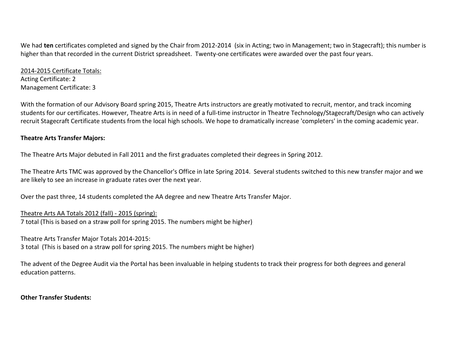We had **ten** certificates completed and signed by the Chair from 2012-2014 (six in Acting; two in Management; two in Stagecraft); this number is higher than that recorded in the current District spreadsheet. Twenty-one certificates were awarded over the past four years.

2014-2015 Certificate Totals: Acting Certificate: 2 Management Certificate: 3

With the formation of our Advisory Board spring 2015, Theatre Arts instructors are greatly motivated to recruit, mentor, and track incoming students for our certificates. However, Theatre Arts is in need of a full-time instructor in Theatre Technology/Stagecraft/Design who can actively recruit Stagecraft Certificate students from the local high schools. We hope to dramatically increase 'completers' in the coming academic year.

#### **Theatre Arts Transfer Majors:**

The Theatre Arts Major debuted in Fall 2011 and the first graduates completed their degrees in Spring 2012.

The Theatre Arts TMC was approved by the Chancellor's Office in late Spring 2014. Several students switched to this new transfer major and we are likely to see an increase in graduate rates over the next year.

Over the past three, 14 students completed the AA degree and new Theatre Arts Transfer Major.

Theatre Arts AA Totals 2012 (fall) - 2015 (spring): 7 total (This is based on a straw poll for spring 2015. The numbers might be higher)

Theatre Arts Transfer Major Totals 2014-2015:

3 total (This is based on a straw poll for spring 2015. The numbers might be higher)

The advent of the Degree Audit via the Portal has been invaluable in helping students to track their progress for both degrees and general education patterns.

**Other Transfer Students:**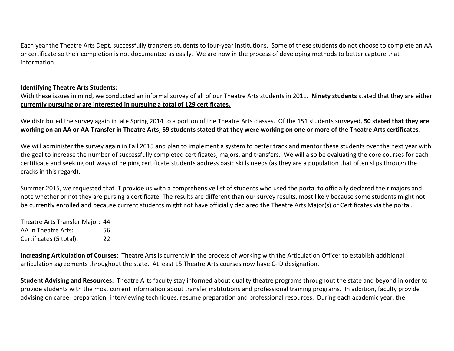Each year the Theatre Arts Dept. successfully transfers students to four-year institutions. Some of these students do not choose to complete an AA or certificate so their completion is not documented as easily. We are now in the process of developing methods to better capture that information.

#### **Identifying Theatre Arts Students:**

With these issues in mind, we conducted an informal survey of all of our Theatre Arts students in 2011. **Ninety students** stated that they are either **currently pursuing or are interested in pursuing a total of 129 certificates.**

We distributed the survey again in late Spring 2014 to a portion of the Theatre Arts classes. Of the 151 students surveyed, **50 stated that they are working on an AA or AA-Transfer in Theatre Arts**; **69 students stated that they were working on one or more of the Theatre Arts certificates**.

We will administer the survey again in Fall 2015 and plan to implement a system to better track and mentor these students over the next year with the goal to increase the number of successfully completed certificates, majors, and transfers. We will also be evaluating the core courses for each certificate and seeking out ways of helping certificate students address basic skills needs (as they are a population that often slips through the cracks in this regard).

Summer 2015, we requested that IT provide us with a comprehensive list of students who used the portal to officially declared their majors and note whether or not they are pursing a certificate. The results are different than our survey results, most likely because some students might not be currently enrolled and because current students might not have officially declared the Theatre Arts Major(s) or Certificates via the portal.

| Theatre Arts Transfer Major: 44 |    |
|---------------------------------|----|
| AA in Theatre Arts:             | 56 |
| Certificates (5 total):         | 22 |

**Increasing Articulation of Courses**: Theatre Arts is currently in the process of working with the Articulation Officer to establish additional articulation agreements throughout the state. At least 15 Theatre Arts courses now have C-ID designation.

**Student Advising and Resources:** Theatre Arts faculty stay informed about quality theatre programs throughout the state and beyond in order to provide students with the most current information about transfer institutions and professional training programs. In addition, faculty provide advising on career preparation, interviewing techniques, resume preparation and professional resources. During each academic year, the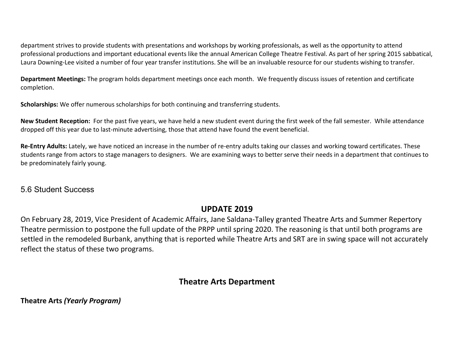department strives to provide students with presentations and workshops by working professionals, as well as the opportunity to attend professional productions and important educational events like the annual American College Theatre Festival. As part of her spring 2015 sabbatical, Laura Downing-Lee visited a number of four year transfer institutions. She will be an invaluable resource for our students wishing to transfer.

**Department Meetings:** The program holds department meetings once each month. We frequently discuss issues of retention and certificate completion.

**Scholarships:** We offer numerous scholarships for both continuing and transferring students.

**New Student Reception:** For the past five years, we have held a new student event during the first week of the fall semester. While attendance dropped off this year due to last-minute advertising, those that attend have found the event beneficial.

**Re-Entry Adults:** Lately, we have noticed an increase in the number of re-entry adults taking our classes and working toward certificates. These students range from actors to stage managers to designers. We are examining ways to better serve their needs in a department that continues to be predominately fairly young.

### 5.6 Student Success

## **UPDATE 2019**

On February 28, 2019, Vice President of Academic Affairs, Jane Saldana-Talley granted Theatre Arts and Summer Repertory Theatre permission to postpone the full update of the PRPP until spring 2020. The reasoning is that until both programs are settled in the remodeled Burbank, anything that is reported while Theatre Arts and SRT are in swing space will not accurately reflect the status of these two programs.

## **Theatre Arts Department**

**Theatre Arts** *(Yearly Program)*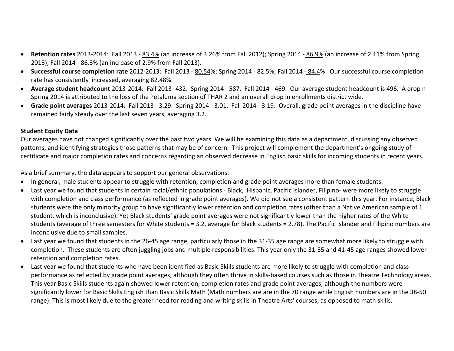- **Retention rates** 2013-2014: Fall 2013 83.4% (an increase of 3.26% from Fall 2012); Spring 2014 86.9% (an increase of 2.11% from Spring 2013); Fall 2014 - 86.3% (an increase of 2.9% from Fall 2013).
- **Successful course completion rate** 2012-2013: Fall 2013 80.54%; Spring 2014 82.5%; Fall 2014 84.4% Our successful course completion rate has consistently increased, averaging 82.48%.
- **Average student headcount** 2013-2014: Fall 2013 -432. Spring 2014 587. Fall 2014 469. Our average student headcount is 496. A drop n Spring 2014 is attributed to the loss of the Petaluma section of THAR 2 and an overall drop in enrollments district wide.
- **Grade point averages** 2013-2014: Fall 2013 3.29. Spring 2014 3.01. Fall 2014 3.19. Overall, grade point averages in the discipline have remained fairly steady over the last seven years, averaging 3.2.

#### **Student Equity Data**

Our averages have not changed significantly over the past two years. We will be examining this data as a department, discussing any observed patterns, and identifying strategies those patterns that may be of concern. This project will complement the department's ongoing study of certificate and major completion rates and concerns regarding an observed decrease in English basic skills for incoming students in recent years.

As a brief summary, the data appears to support our general observations:

- In general, male students appear to struggle with retention, completion and grade point averages more than female students.
- Last year we found that students in certain racial/ethnic populations Black, Hispanic, Pacific Islander, Filipino- were more likely to struggle with completion and class performance (as reflected in grade point averages). We did not see a consistent pattern this year. For instance, Black students were the only minority group to have significantly lower retention and completion rates (other than a Native American sample of 1 student, which is inconclusive). Yet Black students' grade point averages were not significantly lower than the higher rates of the White students (average of three semesters for White students = 3.2, average for Black students = 2.78). The Pacific Islander and Filipino numbers are inconclusive due to small samples.
- Last year we found that students in the 26-45 age range, particularly those in the 31-35 age range are somewhat more likely to struggle with completion. These students are often juggling jobs and multiple responsibilities. This year only the 31-35 and 41-45 age ranges showed lower retention and completion rates.
- Last year we found that students who have been identified as Basic Skills students are more likely to struggle with completion and class performance as reflected by grade point averages, although they often thrive in skills-based courses such as those in Theatre Technology areas. This year Basic Skills students again showed lower retention, completion rates and grade point averages, although the numbers were significantly lower for Basic Skills English than Basic Skills Math (Math numbers are are in the 70 range while English numbers are in the 38-50 range). This is most likely due to the greater need for reading and writing skills in Theatre Arts' courses, as opposed to math skills.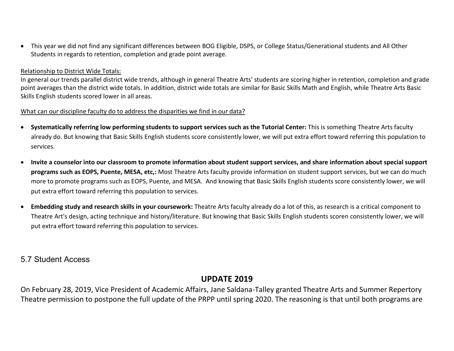• This year we did not find any significant differences between BOG Eligible, DSPS, or College Status/Generational students and All Other Students in regards to retention, completion and grade point average.

#### Relationship to District Wide Totals:

In general our trends parallel district wide trends, although in general Theatre Arts' students are scoring higher in retention, completion and grade point averages than the district wide totals. In addition, district wide totals are similar for Basic Skills Math and English, while Theatre Arts Basic Skills English students scored lower in all areas.

#### What can our discipline faculty do to address the disparities we find in our data?

- **Systematically referring low performing students to support services such as the Tutorial Center:** This is something Theatre Arts faculty already do. But knowing that Basic Skills English students score consistently lower, we will put extra effort toward referring this population to services.
- **Invite a counselor into our classroom to promote information about student support services, and share information about special support programs such as EOPS, Puente, MESA, etc,:** Most Theatre Arts faculty provide information on student support services, but we can do much more to promote programs such as EOPS, Puente, and MESA. And knowing that Basic Skills English students score consistently lower, we will put extra effort toward referring this population to services.
- **Embedding study and research skills in your coursework:** Theatre Arts faculty already do a lot of this, as research is a critical component to Theatre Art's design, acting technique and history/literature. But knowing that Basic Skills English students scoren consistently lower, we will put extra effort toward referring this population to services.

### 5.7 Student Access

### **UPDATE 2019**

On February 28, 2019, Vice President of Academic Affairs, Jane Saldana-Talley granted Theatre Arts and Summer Repertory Theatre permission to postpone the full update of the PRPP until spring 2020. The reasoning is that until both programs are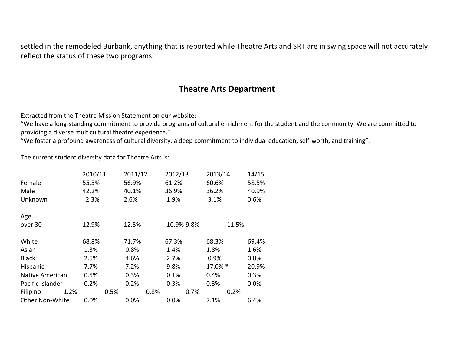settled in the remodeled Burbank, anything that is reported while Theatre Arts and SRT are in swing space will not accurately reflect the status of these two programs.

## **Theatre Arts Department**

Extracted from the Theatre Mission Statement on our website:

"We have a long-standing commitment to provide programs of cultural enrichment for the student and the community. We are committed to providing a diverse multicultural theatre experience."

"We foster a profound awareness of cultural diversity, a deep commitment to individual education, self-worth, and training".

The current student diversity data for Theatre Arts is:

|                        | 2010/11 |      | 2011/12 |      | 2012/13    |      | 2013/14 |       | 14/15 |
|------------------------|---------|------|---------|------|------------|------|---------|-------|-------|
| Female                 | 55.5%   |      | 56.9%   |      | 61.2%      |      | 60.6%   |       | 58.5% |
| Male                   | 42.2%   |      | 40.1%   |      | 36.9%      |      | 36.2%   |       | 40.9% |
| Unknown                | 2.3%    |      | 2.6%    |      | 1.9%       |      | 3.1%    |       | 0.6%  |
| Age                    |         |      |         |      |            |      |         |       |       |
| over 30                | 12.9%   |      | 12.5%   |      | 10.9% 9.8% |      |         | 11.5% |       |
| White                  | 68.8%   |      | 71.7%   |      | 67.3%      |      | 68.3%   |       | 69.4% |
| Asian                  | 1.3%    |      | 0.8%    |      | 1.4%       |      | 1.8%    |       | 1.6%  |
| <b>Black</b>           | 2.5%    |      | 4.6%    |      | 2.7%       |      | 0.9%    |       | 0.8%  |
| Hispanic               | 7.7%    |      | 7.2%    |      | 9.8%       |      | 17.0% * |       | 20.9% |
| Native American        | 0.5%    |      | 0.3%    |      | 0.1%       |      | 0.4%    |       | 0.3%  |
| Pacific Islander       | 0.2%    |      | 0.2%    |      | 0.3%       |      | 0.3%    |       | 0.0%  |
| Filipino<br>1.2%       |         | 0.5% |         | 0.8% |            | 0.7% |         | 0.2%  |       |
| <b>Other Non-White</b> | 0.0%    |      | 0.0%    |      | 0.0%       |      | 7.1%    |       | 6.4%  |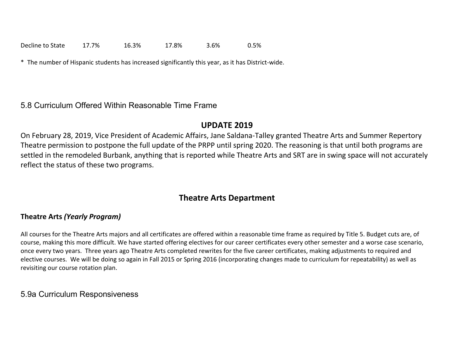Decline to State 17.7% 16.3% 17.8% 3.6% 0.5%

\* The number of Hispanic students has increased significantly this year, as it has District-wide.

5.8 Curriculum Offered Within Reasonable Time Frame

## **UPDATE 2019**

On February 28, 2019, Vice President of Academic Affairs, Jane Saldana-Talley granted Theatre Arts and Summer Repertory Theatre permission to postpone the full update of the PRPP until spring 2020. The reasoning is that until both programs are settled in the remodeled Burbank, anything that is reported while Theatre Arts and SRT are in swing space will not accurately reflect the status of these two programs.

## **Theatre Arts Department**

### **Theatre Arts** *(Yearly Program)*

All courses for the Theatre Arts majors and all certificates are offered within a reasonable time frame as required by Title 5. Budget cuts are, of course, making this more difficult. We have started offering electives for our career certificates every other semester and a worse case scenario, once every two years. Three years ago Theatre Arts completed rewrites for the five career certificates, making adjustments to required and elective courses. We will be doing so again in Fall 2015 or Spring 2016 (incorporating changes made to curriculum for repeatability) as well as revisiting our course rotation plan.

### 5.9a Curriculum Responsiveness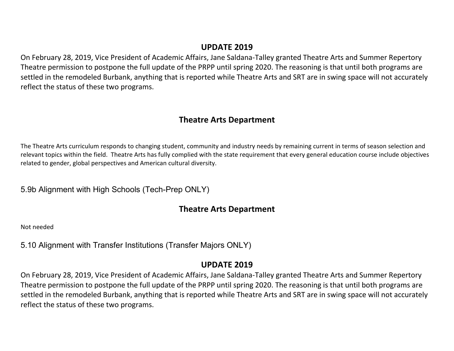### **UPDATE 2019**

On February 28, 2019, Vice President of Academic Affairs, Jane Saldana-Talley granted Theatre Arts and Summer Repertory Theatre permission to postpone the full update of the PRPP until spring 2020. The reasoning is that until both programs are settled in the remodeled Burbank, anything that is reported while Theatre Arts and SRT are in swing space will not accurately reflect the status of these two programs.

## **Theatre Arts Department**

The Theatre Arts curriculum responds to changing student, community and industry needs by remaining current in terms of season selection and relevant topics within the field. Theatre Arts has fully complied with the state requirement that every general education course include objectives related to gender, global perspectives and American cultural diversity.

5.9b Alignment with High Schools (Tech-Prep ONLY)

## **Theatre Arts Department**

Not needed

5.10 Alignment with Transfer Institutions (Transfer Majors ONLY)

### **UPDATE 2019**

On February 28, 2019, Vice President of Academic Affairs, Jane Saldana-Talley granted Theatre Arts and Summer Repertory Theatre permission to postpone the full update of the PRPP until spring 2020. The reasoning is that until both programs are settled in the remodeled Burbank, anything that is reported while Theatre Arts and SRT are in swing space will not accurately reflect the status of these two programs.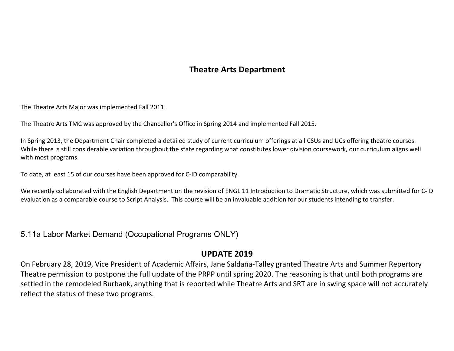## **Theatre Arts Department**

The Theatre Arts Major was implemented Fall 2011.

The Theatre Arts TMC was approved by the Chancellor's Office in Spring 2014 and implemented Fall 2015.

In Spring 2013, the Department Chair completed a detailed study of current curriculum offerings at all CSUs and UCs offering theatre courses. While there is still considerable variation throughout the state regarding what constitutes lower division coursework, our curriculum aligns well with most programs.

To date, at least 15 of our courses have been approved for C-ID comparability.

We recently collaborated with the English Department on the revision of ENGL 11 Introduction to Dramatic Structure, which was submitted for C-ID evaluation as a comparable course to Script Analysis. This course will be an invaluable addition for our students intending to transfer.

5.11a Labor Market Demand (Occupational Programs ONLY)

## **UPDATE 2019**

On February 28, 2019, Vice President of Academic Affairs, Jane Saldana-Talley granted Theatre Arts and Summer Repertory Theatre permission to postpone the full update of the PRPP until spring 2020. The reasoning is that until both programs are settled in the remodeled Burbank, anything that is reported while Theatre Arts and SRT are in swing space will not accurately reflect the status of these two programs.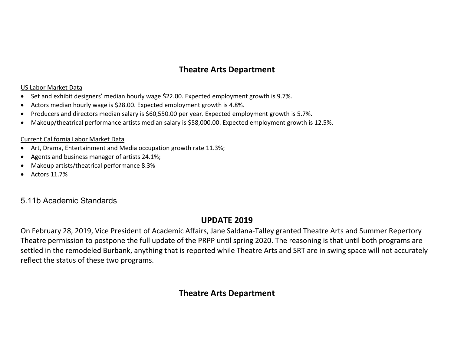## **Theatre Arts Department**

#### US Labor Market Data

- Set and exhibit designers' median hourly wage \$22.00. Expected employment growth is 9.7%.
- Actors median hourly wage is \$28.00. Expected employment growth is 4.8%.
- Producers and directors median salary is \$60,550.00 per year. Expected employment growth is 5.7%.
- Makeup/theatrical performance artists median salary is \$58,000.00. Expected employment growth is 12.5%.

#### Current California Labor Market Data

- Art, Drama, Entertainment and Media occupation growth rate 11.3%;
- Agents and business manager of artists 24.1%;
- Makeup artists/theatrical performance 8.3%
- Actors 11.7%

## 5.11b Academic Standards

## **UPDATE 2019**

On February 28, 2019, Vice President of Academic Affairs, Jane Saldana-Talley granted Theatre Arts and Summer Repertory Theatre permission to postpone the full update of the PRPP until spring 2020. The reasoning is that until both programs are settled in the remodeled Burbank, anything that is reported while Theatre Arts and SRT are in swing space will not accurately reflect the status of these two programs.

## **Theatre Arts Department**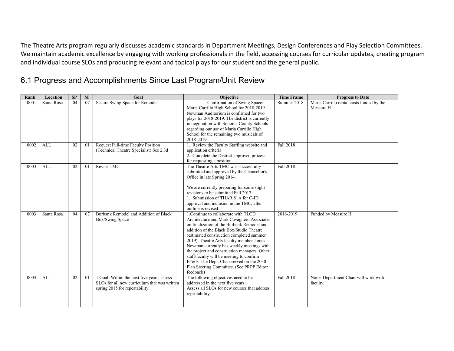The Theatre Arts program regularly discusses academic standards in Department Meetings, Design Conferences and Play Selection Committees. We maintain academic excellence by engaging with working professionals in the field, accessing courses for curricular updates, creating program and individual course SLOs and producing relevant and topical plays for our student and the general public.

## 6.1 Progress and Accomplishments Since Last Program/Unit Review

| Rank | Location   | SP | M              | Goal                                                                                                                          | <b>Objective</b>                                                                                                                                                                                                                                                                                                                                                                                                                                                                                                    | <b>Time Frame</b> | <b>Progress to Date</b>                                 |
|------|------------|----|----------------|-------------------------------------------------------------------------------------------------------------------------------|---------------------------------------------------------------------------------------------------------------------------------------------------------------------------------------------------------------------------------------------------------------------------------------------------------------------------------------------------------------------------------------------------------------------------------------------------------------------------------------------------------------------|-------------------|---------------------------------------------------------|
| 0001 | Santa Rosa | 04 | 07             | Secure Swing Space for Remodel                                                                                                | Confirmation of Swing Space:<br>Maria Carrillo High School for 2018-2019.<br>Newman Auditorium is confirmed for two<br>plays for 2018-2019. The district is currently<br>in negotiation with Sonoma County Schools<br>regarding our use of Maria Carrillo High<br>School for the remaining two musicals of<br>2018-2019.                                                                                                                                                                                            | Summer 2018       | Maria Carrillo rental costs funded by the<br>Measure H. |
| 0002 | ALL        | 02 | 01             | Request Full-time Faculty Position<br>(Technical Theatre Specialist) See 2.3d                                                 | 1. Review the Faculty Staffing website and<br>application criteria<br>2. Complete the District-approved process<br>for requesting a position.                                                                                                                                                                                                                                                                                                                                                                       | Fall 2018         |                                                         |
| 0003 | ALL        | 02 | 0 <sub>1</sub> | Revise TMC                                                                                                                    | The Theatre Arts TMC was successfully<br>submitted and approved by the Chancellor's<br>Office in late Spring 2014.<br>We are currently preparing for some slight<br>revisions to be submitted Fall 2017:<br>1. Submission of THAR 81A for C-ID<br>approval and inclusion in the TMC, after<br>outline is revised.                                                                                                                                                                                                   | Fall 2018         |                                                         |
| 0003 | Santa Rosa | 04 | 07             | Burbank Remodel and Addition of Black<br>Box/Swing Space                                                                      | 1. Continue to collaborate with TLCD<br>Architecture and Mark Cavagnero Associates<br>on finalization of the Burbank Remodel and<br>addition of the Black Box/Studio Theatre<br>(estimated construction completed summer<br>2019). Theatre Arts faculty member James<br>Newman currently has weekly meetings with<br>the project and construction managers. Other<br>staff/faculty will be meeting to confirm<br>FF&E. The Dept. Chair served on the 2030<br>Plan Steering Committee. (See PRPP Editor<br>feedback) | 2016-2019         | Funded by Measure H.                                    |
| 0004 | <b>ALL</b> | 02 | 0 <sub>1</sub> | 1. Goal: Within the next five years, assess<br>SLOs for all new curriculum that was written<br>spring 2015 for repeatability. | The following objectives need to be<br>addressed in the next five years:<br>Assess all SLOs for new courses that address<br>repeatability.                                                                                                                                                                                                                                                                                                                                                                          | Fall 2018         | None. Department Chair will work with<br>faculty.       |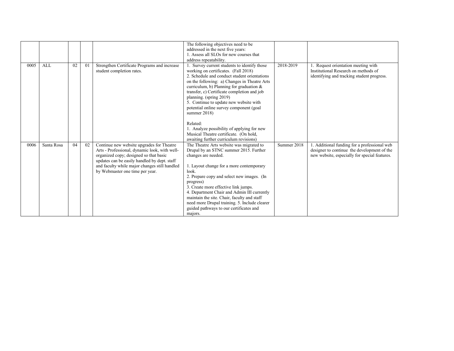|      |            |    |    |                                                                                                                                                                                                                                                                          | The following objectives need to be<br>addressed in the next five years:<br>1. Assess all SLOs for new courses that<br>address repeatability.                                                                                                                                                                                                                                                                                                                                                                                                                    |             |                                                                                                                                              |
|------|------------|----|----|--------------------------------------------------------------------------------------------------------------------------------------------------------------------------------------------------------------------------------------------------------------------------|------------------------------------------------------------------------------------------------------------------------------------------------------------------------------------------------------------------------------------------------------------------------------------------------------------------------------------------------------------------------------------------------------------------------------------------------------------------------------------------------------------------------------------------------------------------|-------------|----------------------------------------------------------------------------------------------------------------------------------------------|
| 0005 | <b>ALL</b> | 02 | 01 | Strengthen Certificate Programs and increase<br>student completion rates.                                                                                                                                                                                                | Survey current students to identify those<br>working on certificates. (Fall 2018)<br>2. Schedule and conduct student orientations<br>on the following: a) Changes in Theatre Arts<br>curriculum, b) Planning for graduation $\&$<br>transfer, c) Certificate completion and job<br>planning. (spring 2019)<br>5. Continue to update new website with<br>potential online survey component (goal<br>summer $2018$ )<br>Related:<br>1. Analyze possibility of applying for new<br>Musical Theatre certificate. (On hold,<br>awaiting further curriculum revisions) | 2018-2019   | Request orientation meeting with<br>Institutional Research on methods of<br>identifying and tracking student progress.                       |
| 0006 | Santa Rosa | 04 | 02 | Continue new website upgrades for Theatre<br>Arts - Professional, dynamic look, with well-<br>organized copy; designed so that basic<br>updates can be easily handled by dept. staff<br>and faculty while major changes still handled<br>by Webmaster one time per year. | The Theatre Arts website was migrated to<br>Drupal by an STNC summer 2015. Further<br>changes are needed.<br>1. Layout change for a more contemporary<br>look.<br>2. Prepare copy and select new images. (In<br>progress)<br>3. Create more effective link jumps.<br>4. Department Chair and Admin III currently<br>maintain the site. Chair, faculty and staff<br>need more Drupal training. 5. Include clearer<br>guided pathways to our certificates and<br>majors.                                                                                           | Summer 2018 | 1. Additional funding for a professional web<br>designer to continue the development of the<br>new website, especially for special features. |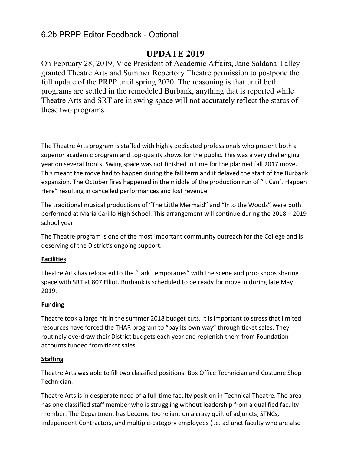### 6.2b PRPP Editor Feedback - Optional

## **UPDATE 2019**

On February 28, 2019, Vice President of Academic Affairs, Jane Saldana-Talley granted Theatre Arts and Summer Repertory Theatre permission to postpone the full update of the PRPP until spring 2020. The reasoning is that until both programs are settled in the remodeled Burbank, anything that is reported while Theatre Arts and SRT are in swing space will not accurately reflect the status of these two programs.

The Theatre Arts program is staffed with highly dedicated professionals who present both a superior academic program and top-quality shows for the public. This was a very challenging year on several fronts. Swing space was not finished in time for the planned fall 2017 move. This meant the move had to happen during the fall term and it delayed the start of the Burbank expansion. The October fires happened in the middle of the production run of "It Can't Happen Here" resulting in cancelled performances and lost revenue.

The traditional musical productions of "The Little Mermaid" and "Into the Woods" were both performed at Maria Carillo High School. This arrangement will continue during the 2018 – 2019 school year.

The Theatre program is one of the most important community outreach for the College and is deserving of the District's ongoing support.

#### **Facilities**

Theatre Arts has relocated to the "Lark Temporaries" with the scene and prop shops sharing space with SRT at 807 Elliot. Burbank is scheduled to be ready for move in during late May 2019.

### **Funding**

Theatre took a large hit in the summer 2018 budget cuts. It is important to stress that limited resources have forced the THAR program to "pay its own way" through ticket sales. They routinely overdraw their District budgets each year and replenish them from Foundation accounts funded from ticket sales.

#### **Staffing**

Theatre Arts was able to fill two classified positions: Box Office Technician and Costume Shop Technician.

Theatre Arts is in desperate need of a full-time faculty position in Technical Theatre. The area has one classified staff member who is struggling without leadership from a qualified faculty member. The Department has become too reliant on a crazy quilt of adjuncts, STNCs, Independent Contractors, and multiple-category employees (i.e. adjunct faculty who are also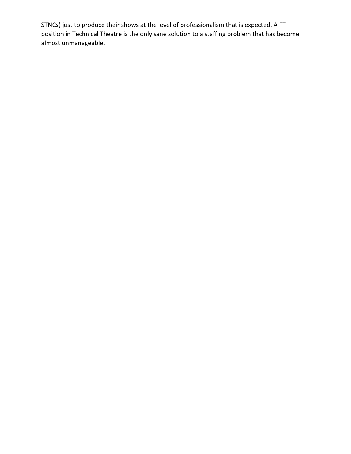STNCs) just to produce their shows at the level of professionalism that is expected. A FT position in Technical Theatre is the only sane solution to a staffing problem that has become almost unmanageable.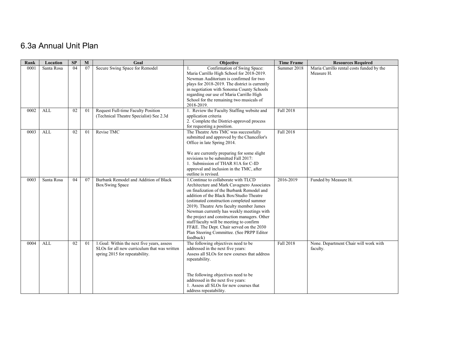# 6.3a Annual Unit Plan

| Rank | Location   | SP | $\mathbf{M}$ | Goal                                         | Objective                                                                                | <b>Time Frame</b> | <b>Resources Required</b>                               |
|------|------------|----|--------------|----------------------------------------------|------------------------------------------------------------------------------------------|-------------------|---------------------------------------------------------|
| 0001 | Santa Rosa | 04 | 07           | Secure Swing Space for Remodel               | Confirmation of Swing Space:<br>Maria Carrillo High School for 2018-2019.                | Summer 2018       | Maria Carrillo rental costs funded by the<br>Measure H. |
|      |            |    |              |                                              | Newman Auditorium is confirmed for two                                                   |                   |                                                         |
|      |            |    |              |                                              | plays for 2018-2019. The district is currently                                           |                   |                                                         |
|      |            |    |              |                                              | in negotiation with Sonoma County Schools                                                |                   |                                                         |
|      |            |    |              |                                              | regarding our use of Maria Carrillo High                                                 |                   |                                                         |
|      |            |    |              |                                              | School for the remaining two musicals of                                                 |                   |                                                         |
|      |            |    |              |                                              | 2018-2019.                                                                               |                   |                                                         |
| 0002 | <b>ALL</b> | 02 | 01           | Request Full-time Faculty Position           | 1. Review the Faculty Staffing website and                                               | Fall 2018         |                                                         |
|      |            |    |              | (Technical Theatre Specialist) See 2.3d      | application criteria<br>2. Complete the District-approved process                        |                   |                                                         |
|      |            |    |              |                                              | for requesting a position.                                                               |                   |                                                         |
| 0003 | <b>ALL</b> | 02 | 01           | Revise TMC                                   | The Theatre Arts TMC was successfully                                                    | Fall 2018         |                                                         |
|      |            |    |              |                                              | submitted and approved by the Chancellor's                                               |                   |                                                         |
|      |            |    |              |                                              | Office in late Spring 2014.                                                              |                   |                                                         |
|      |            |    |              |                                              | We are currently preparing for some slight                                               |                   |                                                         |
|      |            |    |              |                                              | revisions to be submitted Fall 2017:                                                     |                   |                                                         |
|      |            |    |              |                                              | 1. Submission of THAR 81A for C-ID                                                       |                   |                                                         |
|      |            |    |              |                                              | approval and inclusion in the TMC, after                                                 |                   |                                                         |
|      |            |    |              |                                              | outline is revised.                                                                      |                   |                                                         |
| 0003 | Santa Rosa | 04 | 07           | Burbank Remodel and Addition of Black        | 1. Continue to collaborate with TLCD                                                     | 2016-2019         | Funded by Measure H.                                    |
|      |            |    |              | Box/Swing Space                              | Architecture and Mark Cavagnero Associates<br>on finalization of the Burbank Remodel and |                   |                                                         |
|      |            |    |              |                                              | addition of the Black Box/Studio Theatre                                                 |                   |                                                         |
|      |            |    |              |                                              | (estimated construction completed summer                                                 |                   |                                                         |
|      |            |    |              |                                              | 2019). Theatre Arts faculty member James                                                 |                   |                                                         |
|      |            |    |              |                                              | Newman currently has weekly meetings with                                                |                   |                                                         |
|      |            |    |              |                                              | the project and construction managers. Other                                             |                   |                                                         |
|      |            |    |              |                                              | staff/faculty will be meeting to confirm                                                 |                   |                                                         |
|      |            |    |              |                                              | FF&E. The Dept. Chair served on the 2030                                                 |                   |                                                         |
|      |            |    |              |                                              | Plan Steering Committee. (See PRPP Editor                                                |                   |                                                         |
|      |            |    |              |                                              | feedback)                                                                                |                   |                                                         |
| 0004 | ALL        | 02 | 01           | 1. Goal: Within the next five years, assess  | The following objectives need to be                                                      | Fall 2018         | None. Department Chair will work with                   |
|      |            |    |              | SLOs for all new curriculum that was written | addressed in the next five years:<br>Assess all SLOs for new courses that address        |                   | faculty.                                                |
|      |            |    |              | spring 2015 for repeatability.               | repeatability.                                                                           |                   |                                                         |
|      |            |    |              |                                              |                                                                                          |                   |                                                         |
|      |            |    |              |                                              | The following objectives need to be                                                      |                   |                                                         |
|      |            |    |              |                                              | addressed in the next five years:                                                        |                   |                                                         |
|      |            |    |              |                                              | 1. Assess all SLOs for new courses that                                                  |                   |                                                         |
|      |            |    |              |                                              | address repeatability.                                                                   |                   |                                                         |